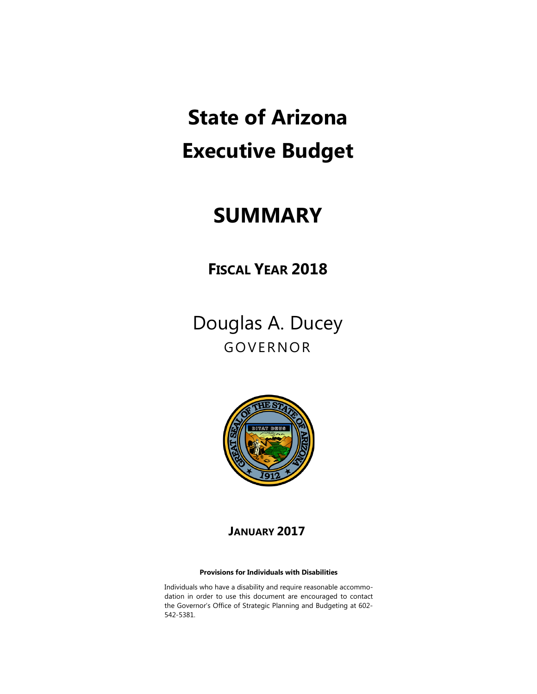# **State of Arizona Executive Budget**

# **SUMMARY**

**FISCAL YEAR 2018** 

Douglas A. Ducey GOVERNOR



### **JANUARY 2017**

#### **Provisions for Individuals with Disabilities**

Individuals who have a disability and require reasonable accommodation in order to use this document are encouraged to contact the Governor's Office of Strategic Planning and Budgeting at 602- 542-5381.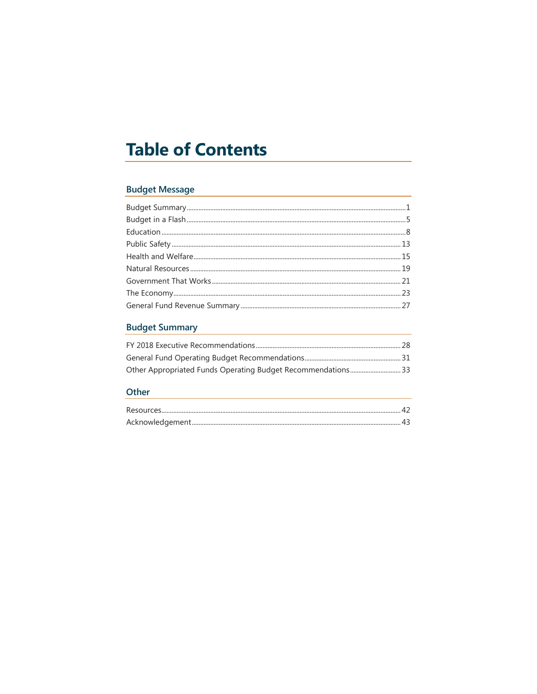# **Table of Contents**

### **Budget Message**

### **Budget Summary**

### Other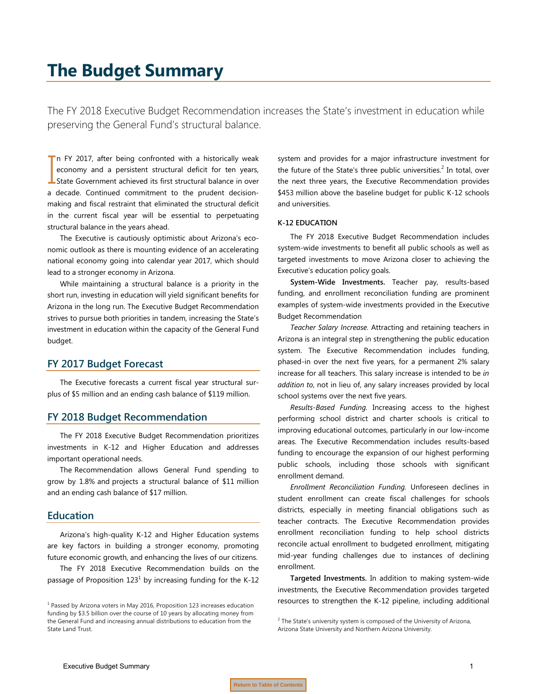## <span id="page-2-0"></span>**The Budget Summary**

The FY 2018 Executive Budget Recommendation increases the State's investment in education while preserving the General Fund's structural balance.

In FY 2017, after being confronted with a historically weak economy and a persistent structural deficit for ten years, In FY 2017, after being confronted with a historically weak<br>economy and a persistent structural deficit for ten years,<br>State Government achieved its first structural balance in over a decade. Continued commitment to the prudent decisionmaking and fiscal restraint that eliminated the structural deficit in the current fiscal year will be essential to perpetuating structural balance in the years ahead.

The Executive is cautiously optimistic about Arizona's economic outlook as there is mounting evidence of an accelerating national economy going into calendar year 2017, which should lead to a stronger economy in Arizona.

While maintaining a structural balance is a priority in the short run, investing in education will yield significant benefits for Arizona in the long run. The Executive Budget Recommendation strives to pursue both priorities in tandem, increasing the State's investment in education within the capacity of the General Fund budget.

#### **FY 2017 Budget Forecast**

The Executive forecasts a current fiscal year structural surplus of \$5 million and an ending cash balance of \$119 million.

#### **FY 2018 Budget Recommendation**

The FY 2018 Executive Budget Recommendation prioritizes investments in K-12 and Higher Education and addresses important operational needs.

The Recommendation allows General Fund spending to grow by 1.8% and projects a structural balance of \$11 million and an ending cash balance of \$17 million.

#### **Education**

Arizona's high-quality K-12 and Higher Education systems are key factors in building a stronger economy, promoting future economic growth, and enhancing the lives of our citizens.

The FY 2018 Executive Recommendation builds on the passage of Proposition  $123<sup>1</sup>$  by increasing funding for the K-12 system and provides for a major infrastructure investment for the future of the State's three public universities.<sup>2</sup> In total, over the next three years, the Executive Recommendation provides \$453 million above the baseline budget for public K-12 schools and universities.

#### **K-12 EDUCATION**

The FY 2018 Executive Budget Recommendation includes system-wide investments to benefit all public schools as well as targeted investments to move Arizona closer to achieving the Executive's education policy goals.

**System-Wide Investments.** Teacher pay, results-based funding, and enrollment reconciliation funding are prominent examples of system-wide investments provided in the Executive Budget Recommendation

*Teacher Salary Increase.* Attracting and retaining teachers in Arizona is an integral step in strengthening the public education system. The Executive Recommendation includes funding, phased-in over the next five years, for a permanent 2% salary increase for all teachers. This salary increase is intended to be *in addition to*, not in lieu of, any salary increases provided by local school systems over the next five years.

*Results-Based Funding.* Increasing access to the highest performing school district and charter schools is critical to improving educational outcomes, particularly in our low-income areas. The Executive Recommendation includes results-based funding to encourage the expansion of our highest performing public schools, including those schools with significant enrollment demand.

*Enrollment Reconciliation Funding.* Unforeseen declines in student enrollment can create fiscal challenges for schools districts, especially in meeting financial obligations such as teacher contracts. The Executive Recommendation provides enrollment reconciliation funding to help school districts reconcile actual enrollment to budgeted enrollment, mitigating mid-year funding challenges due to instances of declining enrollment.

**Targeted Investments.** In addition to making system-wide investments, the Executive Recommendation provides targeted resources to strengthen the K-12 pipeline, including additional

 $<sup>1</sup>$  Passed by Arizona voters in May 2016, Proposition 123 increases education</sup> funding by \$3.5 billion over the course of 10 years by allocating money from the General Fund and increasing annual distributions to education from the State Land Trust.

 $2$  The State's university system is composed of the University of Arizona, Arizona State University and Northern Arizona University.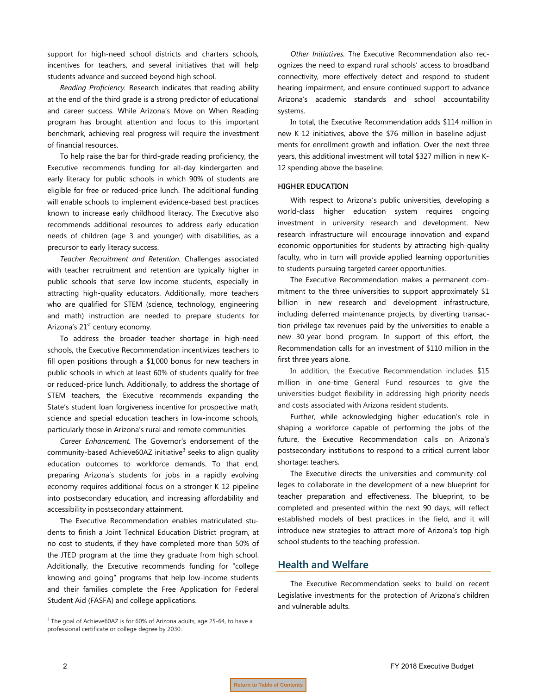support for high-need school districts and charters schools, incentives for teachers, and several initiatives that will help students advance and succeed beyond high school.

*Reading Proficiency.* Research indicates that reading ability at the end of the third grade is a strong predictor of educational and career success. While Arizona's Move on When Reading program has brought attention and focus to this important benchmark, achieving real progress will require the investment of financial resources.

To help raise the bar for third-grade reading proficiency, the Executive recommends funding for all-day kindergarten and early literacy for public schools in which 90% of students are eligible for free or reduced-price lunch. The additional funding will enable schools to implement evidence-based best practices known to increase early childhood literacy. The Executive also recommends additional resources to address early education needs of children (age 3 and younger) with disabilities, as a precursor to early literacy success.

*Teacher Recruitment and Retention.* Challenges associated with teacher recruitment and retention are typically higher in public schools that serve low-income students, especially in attracting high-quality educators. Additionally, more teachers who are qualified for STEM (science, technology, engineering and math) instruction are needed to prepare students for Arizona's 21<sup>st</sup> century economy.

To address the broader teacher shortage in high-need schools, the Executive Recommendation incentivizes teachers to fill open positions through a \$1,000 bonus for new teachers in public schools in which at least 60% of students qualify for free or reduced-price lunch. Additionally, to address the shortage of STEM teachers, the Executive recommends expanding the State's student loan forgiveness incentive for prospective math, science and special education teachers in low-income schools, particularly those in Arizona's rural and remote communities.

*Career Enhancement.* The Governor's endorsement of the community-based Achieve60AZ initiative<sup>3</sup> seeks to align quality education outcomes to workforce demands. To that end, preparing Arizona's students for jobs in a rapidly evolving economy requires additional focus on a stronger K-12 pipeline into postsecondary education, and increasing affordability and accessibility in postsecondary attainment.

The Executive Recommendation enables matriculated students to finish a Joint Technical Education District program, at no cost to students, if they have completed more than 50% of the JTED program at the time they graduate from high school. Additionally, the Executive recommends funding for "college knowing and going" programs that help low-income students and their families complete the Free Application for Federal Student Aid (FASFA) and college applications.

<sup>3</sup> The goal of Achieve60AZ is for 60% of Arizona adults, age 25-64, to have a professional certificate or college degree by 2030.

*Other Initiatives.* The Executive Recommendation also recognizes the need to expand rural schools' access to broadband connectivity, more effectively detect and respond to student hearing impairment, and ensure continued support to advance Arizona's academic standards and school accountability systems.

In total, the Executive Recommendation adds \$114 million in new K-12 initiatives, above the \$76 million in baseline adjustments for enrollment growth and inflation. Over the next three years, this additional investment will total \$327 million in new K-12 spending above the baseline.

#### **HIGHER EDUCATION**

With respect to Arizona's public universities, developing a world-class higher education system requires ongoing investment in university research and development. New research infrastructure will encourage innovation and expand economic opportunities for students by attracting high-quality faculty, who in turn will provide applied learning opportunities to students pursuing targeted career opportunities.

The Executive Recommendation makes a permanent commitment to the three universities to support approximately \$1 billion in new research and development infrastructure, including deferred maintenance projects, by diverting transaction privilege tax revenues paid by the universities to enable a new 30-year bond program. In support of this effort, the Recommendation calls for an investment of \$110 million in the first three years alone.

In addition, the Executive Recommendation includes \$15 million in one-time General Fund resources to give the universities budget flexibility in addressing high-priority needs and costs associated with Arizona resident students.

Further, while acknowledging higher education's role in shaping a workforce capable of performing the jobs of the future, the Executive Recommendation calls on Arizona's postsecondary institutions to respond to a critical current labor shortage: teachers.

The Executive directs the universities and community colleges to collaborate in the development of a new blueprint for teacher preparation and effectiveness. The blueprint, to be completed and presented within the next 90 days, will reflect established models of best practices in the field, and it will introduce new strategies to attract more of Arizona's top high school students to the teaching profession.

#### **Health and Welfare**

The Executive Recommendation seeks to build on recent Legislative investments for the protection of Arizona's children and vulnerable adults.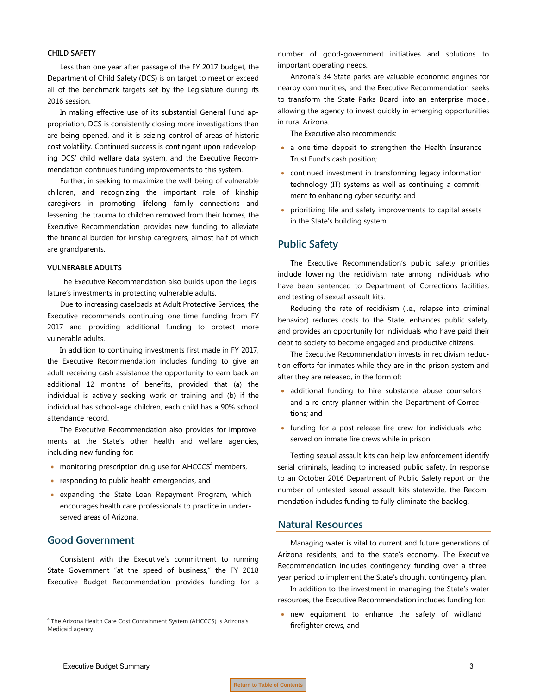#### **CHILD SAFETY**

Less than one year after passage of the FY 2017 budget, the Department of Child Safety (DCS) is on target to meet or exceed all of the benchmark targets set by the Legislature during its 2016 session.

In making effective use of its substantial General Fund appropriation, DCS is consistently closing more investigations than are being opened, and it is seizing control of areas of historic cost volatility. Continued success is contingent upon redeveloping DCS' child welfare data system, and the Executive Recommendation continues funding improvements to this system.

Further, in seeking to maximize the well-being of vulnerable children, and recognizing the important role of kinship caregivers in promoting lifelong family connections and lessening the trauma to children removed from their homes, the Executive Recommendation provides new funding to alleviate the financial burden for kinship caregivers, almost half of which are grandparents.

#### **VULNERABLE ADULTS**

The Executive Recommendation also builds upon the Legislature's investments in protecting vulnerable adults.

Due to increasing caseloads at Adult Protective Services, the Executive recommends continuing one-time funding from FY 2017 and providing additional funding to protect more vulnerable adults.

In addition to continuing investments first made in FY 2017, the Executive Recommendation includes funding to give an adult receiving cash assistance the opportunity to earn back an additional 12 months of benefits, provided that (a) the individual is actively seeking work or training and (b) if the individual has school-age children, each child has a 90% school attendance record.

The Executive Recommendation also provides for improvements at the State's other health and welfare agencies, including new funding for:

- monitoring prescription drug use for  $A H C C C S<sup>4</sup>$  members,
- responding to public health emergencies, and
- expanding the State Loan Repayment Program, which encourages health care professionals to practice in underserved areas of Arizona.

#### **Good Government**

Consistent with the Executive's commitment to running State Government "at the speed of business," the FY 2018 Executive Budget Recommendation provides funding for a number of good-government initiatives and solutions to important operating needs.

Arizona's 34 State parks are valuable economic engines for nearby communities, and the Executive Recommendation seeks to transform the State Parks Board into an enterprise model, allowing the agency to invest quickly in emerging opportunities in rural Arizona.

The Executive also recommends:

- a one-time deposit to strengthen the Health Insurance Trust Fund's cash position;
- continued investment in transforming legacy information technology (IT) systems as well as continuing a commitment to enhancing cyber security; and
- prioritizing life and safety improvements to capital assets in the State's building system.

#### **Public Safety**

The Executive Recommendation's public safety priorities include lowering the recidivism rate among individuals who have been sentenced to Department of Corrections facilities, and testing of sexual assault kits.

Reducing the rate of recidivism (i.e., relapse into criminal behavior) reduces costs to the State, enhances public safety, and provides an opportunity for individuals who have paid their debt to society to become engaged and productive citizens.

The Executive Recommendation invests in recidivism reduction efforts for inmates while they are in the prison system and after they are released, in the form of:

- additional funding to hire substance abuse counselors and a re-entry planner within the Department of Corrections; and
- funding for a post-release fire crew for individuals who served on inmate fire crews while in prison.

Testing sexual assault kits can help law enforcement identify serial criminals, leading to increased public safety. In response to an October 2016 Department of Public Safety report on the number of untested sexual assault kits statewide, the Recommendation includes funding to fully eliminate the backlog.

#### **Natural Resources**

Managing water is vital to current and future generations of Arizona residents, and to the state's economy. The Executive Recommendation includes contingency funding over a threeyear period to implement the State's drought contingency plan.

In addition to the investment in managing the State's water resources, the Executive Recommendation includes funding for:

• new equipment to enhance the safety of wildland firefighter crews, and

<sup>4</sup> The Arizona Health Care Cost Containment System (AHCCCS) is Arizona's Medicaid agency.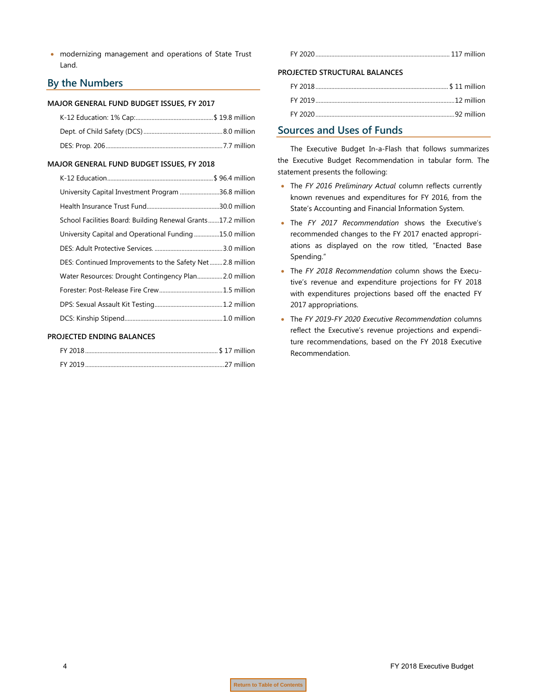• modernizing management and operations of State Trust Land.

### **By the Numbers**

#### **MAJOR GENERAL FUND BUDGET ISSUES, FY 2017**

#### **MAJOR GENERAL FUND BUDGET ISSUES, FY 2018**

| University Capital Investment Program 36.8 million           |  |
|--------------------------------------------------------------|--|
|                                                              |  |
| School Facilities Board: Building Renewal Grants17.2 million |  |
| University Capital and Operational Funding15.0 million       |  |
|                                                              |  |
| DES: Continued Improvements to the Safety Net2.8 million     |  |
| Water Resources: Drought Contingency Plan 2.0 million        |  |
|                                                              |  |
|                                                              |  |
|                                                              |  |

#### **PROJECTED ENDING BALANCES**

FY 2020..................................................................................... 117 million

#### **PROJECTED STRUCTURAL BALANCES**

### **Sources and Uses of Funds**

The Executive Budget In-a-Flash that follows summarizes the Executive Budget Recommendation in tabular form. The statement presents the following:

- The *FY 2016 Preliminary Actual* column reflects currently known revenues and expenditures for FY 2016, from the State's Accounting and Financial Information System.
- The *FY 2017 Recommendation* shows the Executive's recommended changes to the FY 2017 enacted appropriations as displayed on the row titled, "Enacted Base Spending."
- The *FY 2018 Recommendation* column shows the Executive's revenue and expenditure projections for FY 2018 with expenditures projections based off the enacted FY 2017 appropriations.
- The *FY 2019-FY 2020 Executive Recommendation* columns reflect the Executive's revenue projections and expenditure recommendations, based on the FY 2018 Executive Recommendation.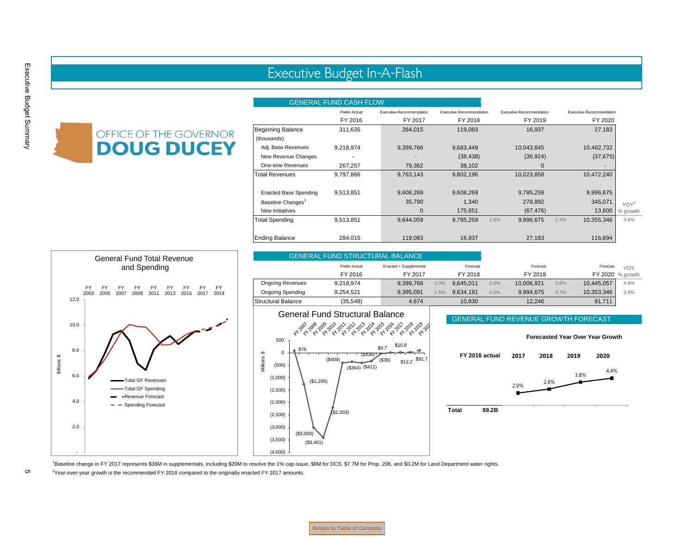## Executive Budget In-A-Flash

#### GENERAL FUND CASH FLOW

<span id="page-6-0"></span>

|                               | Prelim Actual | Executive Recommendation | <b>Executive Recommendation</b> | <b>Executive Recommendation</b> | <b>Executive Recommendation</b> |          |
|-------------------------------|---------------|--------------------------|---------------------------------|---------------------------------|---------------------------------|----------|
|                               | FY 2016       | FY 2017                  | FY 2018                         | FY 2019                         | FY 2020                         |          |
| <b>Beginning Balance</b>      | 311,635       | 284,015                  | 119,083                         | 16,937                          | 27,183                          |          |
| (thousands)                   |               |                          |                                 |                                 |                                 |          |
| Adj. Base Revenues            | 9,218,974     | 9,399,766                | 9,683,449                       | 10,043,845                      | 10,482,732                      |          |
| New Revenue Changes           |               |                          | (38, 438)                       | (36, 924)                       | (37, 675)                       |          |
| One-time Revenues             | 267,257       | 79,362                   | 38,102                          | $\mathbf 0$                     |                                 |          |
| <b>Total Revenues</b>         | 9,797,866     | 9,763,143                | 9,802,196                       | 10,023,858                      | 10,472,240                      |          |
| <b>Enacted Base Spending</b>  | 9,513,851     | 9,608,269                | 9,608,269                       | 9,785,259                       | 9,996,675                       |          |
| Baseline Changes <sup>1</sup> |               | 35,790                   | 1,340                           | 278,892                         | 345,071                         | $YOY^2$  |
| New Initiatives               |               | $\mathbf 0$              | 175,651                         | (67, 476)                       | 13,600                          | % growth |
| <b>Total Spending</b>         | 9,513,851     | 9,644,059                | 9,785,259                       | 9,996,675<br>1.8%               | 10,355,346<br>2.2%              | 3.6%     |
| <b>Ending Balance</b>         | 284,015       | 119,083                  | 16,937                          | 27,183                          | 116,894                         |          |



1 Baseline change in FY 2017 represents \$36M in supplementals, including \$20M to resolve the 1% cap issue, \$8M for DCS, \$7.7M for Prop. 206, and \$0.2M for Land Department water rights.

<sup>2</sup>Year-over-year growth is the recommended FY 2018 compared to the originally enacted FY 2017 amounts.

**Return to Table of Contents**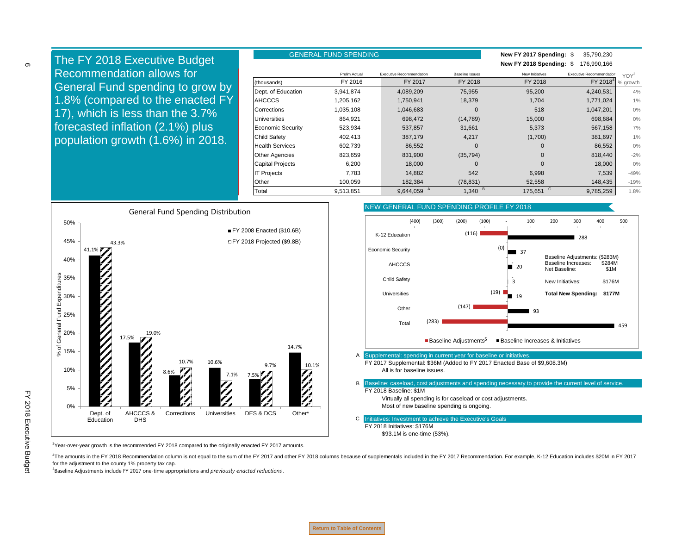GENERAL FUND SPENDING **New FY 2017 Spending:** \$ 35,790,230 **New FY 2018 Spending:** \$ 176,990,166 Prelim Actual Executive Recommendation Baseline Issues New Initiatives Executive Recommendation Executive Recommendation (thousands) FY 2016 FY 2017 FY 2018 FY 2018<sup>4</sup> Dept. of Education 3,941,874 4,089,209 75,955 95,200 4,240,531 4% AHCCCS 1,205,162 1,750,941 18,379 1,704 1,771,024 1% Corrections 1,035,108 1,046,683 0 518 1,047,201 0% Universities 864,921 698,472 (14,789) 15,000 698,684 0% Economic Security 523,934 537,857 31,661 5,373 567,158 7% Child Safety 402,413 387,179 4,217 (1,700) 381,697 1% Health Services 602,739 86,552 0 0 86,552 | 0% Other Agencies 823,659 831,900 (35,794) 0 818,440 -2% Capital Projects 6,200 18,000 0 0 18,000 | 0% IT Projects 7,783 14,882 542 6,998 7,539 -49% YOY<sup>3</sup> % growth The FY 2018 Executive Budget Recommendation allows for General Fund spending to grow by 1.8% (compared to the enacted FY 17), which is less than the 3.7% forecasted inflation (2.1%) plus population growth (1.6%) in 2018.

Other 100,059 182,384 (78,831) 52,558 148,435 -19%



<sup>3</sup>Year-over-year growth is the recommended FY 2018 compared to the originally enacted FY 2017 amounts.

4The amounts in the FY 2018 Recommendation column is not equal to the sum of the FY 2017 and other FY 2018 columns because of supplementals included in the FY 2017 Recommendation. For example, K-12 Education includes \$20M for the adjustment to the county 1% property tax cap.

5 Baseline Adjustments include FY 2017 one-time appropriations and *previously enacted reductions* .

FY 2018 Executive Budge FY 2018 Executive Budget

6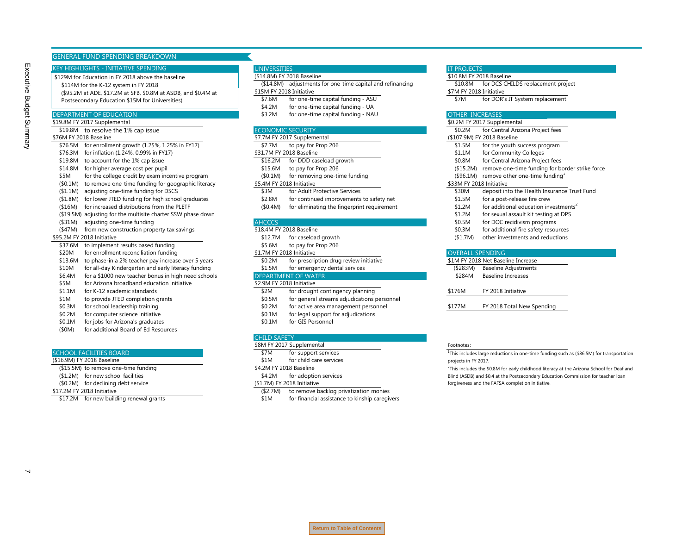#### GENERAL FUND SPENDING BREAKDOWN

#### KEY HIGHLIGHTS - INITIATIVE SPENDING

\$129M for Education in FY 2018 above the baseline \$114M for the K-12 system in FY 2018 (\$95.2M at ADE, \$17.2M at SFB, \$0.8M at ASDB, and \$0.4M at Postsecondary Education \$15M for Universities)

Executive Budget Summary

Executive Budget Summary

| \$19.8M FY<br>' 2017 S<br>Supplemental         |                               | Supplemental<br>' U.∠IVIب<br>20 I                                   |
|------------------------------------------------|-------------------------------|---------------------------------------------------------------------|
| \$19.8M<br>10/2<br>to resolve the<br>CAD ICCUP | 4-C Z<br>NK<br>WI IG<br>NF 1. | $t \cap r$ .<br>$\sim$ ntro'<br>ral Arız <sup>,</sup><br>NU ZM<br>. |

- 
- \$76.5M for enrollment growth (1.25%, 1.25% in FY17) \$7.7M to pay for Prop 206
- \$76.3M for inflation (1.24%, 0.99% in FY17) \$31.7M FY 2018 Baseline
- \$19.8M to account for the 1% cap issue \$16.2M for DDD caseload growth \$16.8M for DDD caseload growth
- \$14.8M for higher average cost per pupil \$15.6M to pay for Prop 206
- \$5M for the college credit by exam incentive program (\$0.1M) for removing one-time funding
- (\$0.1M) to remove one-time funding for geographic literacy \$5.4M FY 2018 Initiative
- (\$1.1M) adjusting one-time funding for DSCS  $\overline{\text{3M}}$  for Adult Protective Services
- (\$1.8M) for lower JTED funding for high school graduates  $\qquad \qquad$  \$2.8M for continued improvements to safety net
- 
- (\$19.5M) adjusting for the multisite charter SSW phase down
- (\$31M) adjusting one-time funding and a second programs adjusting one-time funding
- (\$47M) from new construction property tax savings \$18.4M FY 2018 Baseline
- 
- \$37.6M to implement results based funding \$5.6M to pay for Prop 206
- 
- \$20M for enrollment reconciliation funding<br>\$1.7M FY 2018 Initiative on the strategy of the series of the CO2M for prescription drug review initiative \$13.6M to phase-in a 2% teacher pay increase over 5 years
- \$10M for all-day Kindergarten and early literacy funding \$1.5M for emergency dental services
- \$6.4M for a \$1000 new teacher bonus in high need schools **DEPARTMENT OF WATER**<br>\$29M for Arizona broadband education initiative **Increases Increases Increases Increases**
- \$5M for Arizona broadband education initiative
- \$1.1M for K-12 academic standards \$2M for drought contingency planning
- \$1M to provide JTED completion grants \$0.5M for general streams adjudications personnel
- 
- \$0.2M for computer science initiative \$0.2M for legal support for adjudications
- \$0.1M for jobs for Arizona's graduates \$0.1M for GIS Personnel
- (\$0M) for additional Board of Ed Resources

#### SCHOOL FACILITIES BOARD **\$7M** for support services

| (\$16.9M) FY 2018 Baseline      |
|---------------------------------|
| (\$15.5M) to remove one-time fr |

- 
- $(1.2M)$  for new school facilities  $(50.2M)$  for adoption services  $(50.2M)$  for adoption services  $($0.2M)$  for declining debt service
- 

#### (\$14.8M) FY 2018 Baseline \$10.8M FY 2018 Baseline

- (\$14.8M) adjustments for one-time capital and refinancing \$10.8M for DCS CHILDS replacement project \$15M FY 2018 Initiative \$7M FY 2018 Initiative
- \$7.6M for one-time capital funding ASU 57M for DOR's IT System replacement
- \$4.2M for one-time capital funding UA
- DEPARTMENT OF EDUCATION **1999 CONDUCATION** \$3.2M for one-time capital funding NAU OTHER INCREASES

#### \$7.7M FY 2018 Baseline \$7.7M FY 2017 Supplemental

- 
- 
- 
- 
- 

- 
- 
- (\$16M) for increased distributions from the PLETF (\$0.4M) for eliminating the fingerprint requirement

- 
- \$95.2M FY 2018 Initiative \$12.7M for caseload growth (\$12.7M) for caseload growth
	-
	-
	-
	-

- 
- 
- 
- \$0.3M for school leadership training example and the state of the state area management personnel the state of the spending the spending to the spending to the spending to the spending to the spending to the spending to th
	-
	-

#### CHILD SAFETY

- \$8M FY 2017 Supplemental Footnotes:
- 
- \$1M for child care services

#### unding  $$4.2M$  FY 2018 Baseline

- \$17.2M FY 2018 Initiative (\$2.7M) to remove backlog privatization monies
	- \$17.2M for new building renewal grants  $$1M$  for financial assistance to kinship caregivers

#### UNIVERSITIES **In the contract of the contract of the contract of the contract of the contract of the contract of the contract of the contract of the contract of the contract of the contract of the contract of the contract**

|       | 9.8M FY 2017 Supplemental                                    |                          |                                             |                          | SUIZIVI FY ZUIT Supplemental                          |
|-------|--------------------------------------------------------------|--------------------------|---------------------------------------------|--------------------------|-------------------------------------------------------|
|       | \$19.8M to resolve the 1% cap issue                          | <b>ECONOMIC SECURITY</b> |                                             | \$0.2M                   | for Central Arizona Project fees                      |
|       | 6M FY 2018 Baseline                                          |                          | \$7.7M FY 2017 Supplemental                 |                          | (\$107.9M) FY 2018 Baseline                           |
|       | \$76.5M for enrollment growth (1.25%, 1.25% in FY17)         | \$7.7M                   | to pay for Prop 206                         | \$1.5M                   | for the youth success program                         |
|       | \$76.3M for inflation (1.24%, 0.99% in FY17)                 |                          | \$31.7M FY 2018 Baseline                    | \$1.1M                   | for Community Colleges                                |
|       | \$19.8M to account for the 1% cap issue                      | \$16.2M                  | for DDD caseload growth                     | \$0.8M                   | for Central Arizona Project fees                      |
|       | \$14.8M for higher average cost per pupil                    | \$15.6M                  | to pay for Prop 206                         | (\$15.2M)                | remove one-time funding for border strike force       |
| \$5M  | for the college credit by exam incentive program             | (\$0.1M)                 | for removing one-time funding               |                          | $($96.1M)$ remove other one-time funding <sup>1</sup> |
|       | (\$0.1M) to remove one-time funding for geographic literacy  |                          | \$5.4M FY 2018 Initiative                   | \$33M FY 2018 Initiative |                                                       |
|       | (\$1.1M) adjusting one-time funding for DSCS                 | \$3M                     | for Adult Protective Services               | \$30M                    | deposit into the Health Insurance Trust Fund          |
|       | (\$1.8M) for lower JTED funding for high school graduates    | \$2.8M                   | for continued improvements to safety net    | \$1.5M                   | for a post-release fire crew                          |
|       | (\$16M) for increased distributions from the PLETF           | (\$0.4M)                 | for eliminating the fingerprint requirement | \$1.2M                   | for additional education investments <sup>2</sup>     |
|       | (\$19.5M) adjusting for the multisite charter SSW phase down |                          |                                             | \$1.2M                   | for sexual assault kit testing at DPS                 |
|       | (\$31M) adjusting one-time funding                           | <b>AHCCCS</b>            |                                             | \$0.5M                   | for DOC recidivism programs                           |
|       | (\$47M) from new construction property tax savings           |                          | \$18.4M FY 2018 Baseline                    | \$0.3M                   | for additional fire safety resources                  |
|       | 5.2M FY 2018 Initiative                                      | \$12.7M                  | for caseload growth                         | (\$1.7M)                 | other investments and reductions                      |
|       | \$37.6M to implement results based funding                   | \$5.6M                   | to pay for Prop 206                         |                          |                                                       |
| \$20M | for enrollment reconciliation funding                        |                          | \$1.7M FY 2018 Initiative                   | <b>OVERALL SPENDING</b>  |                                                       |
|       | \$13.6M to phase-in a 2% teacher pay increase over 5 years   | \$0.2M                   | for prescription drug review initiative     |                          | \$1M FY 2018 Net Baseline Increase                    |
|       |                                                              |                          |                                             |                          |                                                       |

|         | <b>DEIVELY COTO THE DASEME THE RASE</b> |
|---------|-----------------------------------------|
| (5283M) | <b>Baseline Adjustments</b>             |
| \$284M  | <b>Baseline Increases</b>               |
|         |                                         |
| \$176M  | FY 2018 Initiative                      |
|         |                                         |
|         |                                         |

<sup>1</sup>This includes large reductions in one-time funding such as (\$86.5M) for transportation projects in FY 2017.

<sup>2</sup>This includes the \$0.8M for early childhood literacy at the Arizona School for Deaf and Blind (ASDB) and \$0.4 at the Postsecondary Education Commission for teacher loan forgiveness and the FAFSA completion initiative.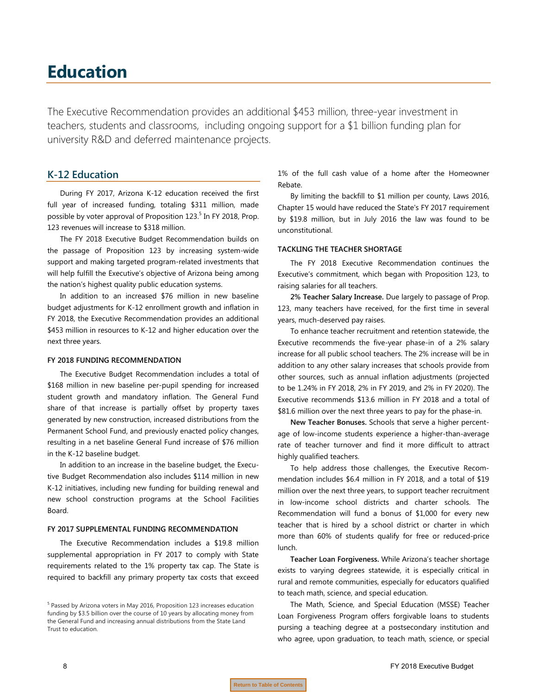# <span id="page-9-0"></span>**Education**

The Executive Recommendation provides an additional \$453 million, three-year investment in teachers, students and classrooms, including ongoing support for a \$1 billion funding plan for university R&D and deferred maintenance projects.

### **K-12 Education**

During FY 2017, Arizona K-12 education received the first full year of increased funding, totaling \$311 million, made possible by voter approval of Proposition 123.<sup>5</sup> In FY 2018, Prop. 123 revenues will increase to \$318 million.

The FY 2018 Executive Budget Recommendation builds on the passage of Proposition 123 by increasing system-wide support and making targeted program-related investments that will help fulfill the Executive's objective of Arizona being among the nation's highest quality public education systems.

In addition to an increased \$76 million in new baseline budget adjustments for K-12 enrollment growth and inflation in FY 2018, the Executive Recommendation provides an additional \$453 million in resources to K-12 and higher education over the next three years.

#### **FY 2018 FUNDING RECOMMENDATION**

The Executive Budget Recommendation includes a total of \$168 million in new baseline per-pupil spending for increased student growth and mandatory inflation. The General Fund share of that increase is partially offset by property taxes generated by new construction, increased distributions from the Permanent School Fund, and previously enacted policy changes, resulting in a net baseline General Fund increase of \$76 million in the K-12 baseline budget.

In addition to an increase in the baseline budget, the Executive Budget Recommendation also includes \$114 million in new K-12 initiatives, including new funding for building renewal and new school construction programs at the School Facilities Board.

#### **FY 2017 SUPPLEMENTAL FUNDING RECOMMENDATION**

The Executive Recommendation includes a \$19.8 million supplemental appropriation in FY 2017 to comply with State requirements related to the 1% property tax cap. The State is required to backfill any primary property tax costs that exceed 1% of the full cash value of a home after the Homeowner Rebate.

By limiting the backfill to \$1 million per county, Laws 2016, Chapter 15 would have reduced the State's FY 2017 requirement by \$19.8 million, but in July 2016 the law was found to be unconstitutional.

#### **TACKLING THE TEACHER SHORTAGE**

The FY 2018 Executive Recommendation continues the Executive's commitment, which began with Proposition 123, to raising salaries for all teachers.

**2% Teacher Salary Increase.** Due largely to passage of Prop. 123, many teachers have received, for the first time in several years, much-deserved pay raises.

To enhance teacher recruitment and retention statewide, the Executive recommends the five-year phase-in of a 2% salary increase for all public school teachers. The 2% increase will be in addition to any other salary increases that schools provide from other sources, such as annual inflation adjustments (projected to be 1.24% in FY 2018, 2% in FY 2019, and 2% in FY 2020). The Executive recommends \$13.6 million in FY 2018 and a total of \$81.6 million over the next three years to pay for the phase-in.

**New Teacher Bonuses.** Schools that serve a higher percentage of low-income students experience a higher-than-average rate of teacher turnover and find it more difficult to attract highly qualified teachers.

To help address those challenges, the Executive Recommendation includes \$6.4 million in FY 2018, and a total of \$19 million over the next three years, to support teacher recruitment in low-income school districts and charter schools. The Recommendation will fund a bonus of \$1,000 for every new teacher that is hired by a school district or charter in which more than 60% of students qualify for free or reduced-price lunch.

**Teacher Loan Forgiveness.** While Arizona's teacher shortage exists to varying degrees statewide, it is especially critical in rural and remote communities, especially for educators qualified to teach math, science, and special education.

The Math, Science, and Special Education (MSSE) Teacher Loan Forgiveness Program offers forgivable loans to students pursing a teaching degree at a postsecondary institution and who agree, upon graduation, to teach math, science, or special

<sup>&</sup>lt;sup>5</sup> Passed by Arizona voters in May 2016, Proposition 123 increases education funding by \$3.5 billion over the course of 10 years by allocating money from the General Fund and increasing annual distributions from the State Land Trust to education.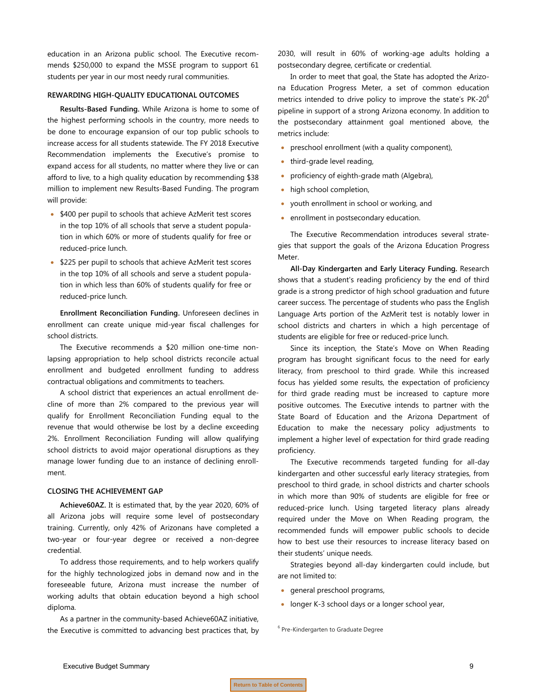education in an Arizona public school. The Executive recommends \$250,000 to expand the MSSE program to support 61 students per year in our most needy rural communities.

#### **REWARDING HIGH-QUALITY EDUCATIONAL OUTCOMES**

**Results-Based Funding.** While Arizona is home to some of the highest performing schools in the country, more needs to be done to encourage expansion of our top public schools to increase access for all students statewide. The FY 2018 Executive Recommendation implements the Executive's promise to expand access for all students, no matter where they live or can afford to live, to a high quality education by recommending \$38 million to implement new Results-Based Funding. The program will provide:

- \$400 per pupil to schools that achieve AzMerit test scores in the top 10% of all schools that serve a student population in which 60% or more of students qualify for free or reduced-price lunch.
- \$225 per pupil to schools that achieve AzMerit test scores in the top 10% of all schools and serve a student population in which less than 60% of students qualify for free or reduced-price lunch.

**Enrollment Reconciliation Funding.** Unforeseen declines in enrollment can create unique mid-year fiscal challenges for school districts.

The Executive recommends a \$20 million one-time nonlapsing appropriation to help school districts reconcile actual enrollment and budgeted enrollment funding to address contractual obligations and commitments to teachers.

A school district that experiences an actual enrollment decline of more than 2% compared to the previous year will qualify for Enrollment Reconciliation Funding equal to the revenue that would otherwise be lost by a decline exceeding 2%. Enrollment Reconciliation Funding will allow qualifying school districts to avoid major operational disruptions as they manage lower funding due to an instance of declining enrollment.

#### **CLOSING THE ACHIEVEMENT GAP**

**Achieve60AZ.** It is estimated that, by the year 2020, 60% of all Arizona jobs will require some level of postsecondary training. Currently, only 42% of Arizonans have completed a two-year or four-year degree or received a non-degree credential.

To address those requirements, and to help workers qualify for the highly technologized jobs in demand now and in the foreseeable future, Arizona must increase the number of working adults that obtain education beyond a high school diploma.

As a partner in the community-based Achieve60AZ initiative, the Executive is committed to advancing best practices that, by 2030, will result in 60% of working-age adults holding a postsecondary degree, certificate or credential.

In order to meet that goal, the State has adopted the Arizona Education Progress Meter, a set of common education metrics intended to drive policy to improve the state's PK-20<sup>6</sup> pipeline in support of a strong Arizona economy. In addition to the postsecondary attainment goal mentioned above, the metrics include:

- preschool enrollment (with a quality component),
- third-grade level reading,
- proficiency of eighth-grade math (Algebra),
- high school completion,
- youth enrollment in school or working, and
- enrollment in postsecondary education.

The Executive Recommendation introduces several strategies that support the goals of the Arizona Education Progress Meter.

**All-Day Kindergarten and Early Literacy Funding.** Research shows that a student's reading proficiency by the end of third grade is a strong predictor of high school graduation and future career success. The percentage of students who pass the English Language Arts portion of the AzMerit test is notably lower in school districts and charters in which a high percentage of students are eligible for free or reduced-price lunch.

Since its inception, the State's Move on When Reading program has brought significant focus to the need for early literacy, from preschool to third grade. While this increased focus has yielded some results, the expectation of proficiency for third grade reading must be increased to capture more positive outcomes. The Executive intends to partner with the State Board of Education and the Arizona Department of Education to make the necessary policy adjustments to implement a higher level of expectation for third grade reading proficiency.

The Executive recommends targeted funding for all-day kindergarten and other successful early literacy strategies, from preschool to third grade, in school districts and charter schools in which more than 90% of students are eligible for free or reduced-price lunch. Using targeted literacy plans already required under the Move on When Reading program, the recommended funds will empower public schools to decide how to best use their resources to increase literacy based on their students' unique needs.

Strategies beyond all-day kindergarten could include, but are not limited to:

- general preschool programs,
- longer K-3 school days or a longer school year,

<sup>6</sup> Pre-Kindergarten to Graduate Degree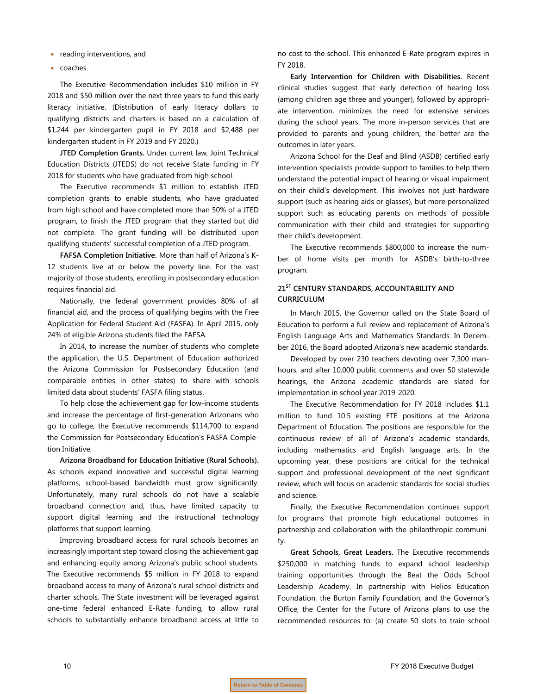- reading interventions, and
- coaches.

The Executive Recommendation includes \$10 million in FY 2018 and \$50 million over the next three years to fund this early literacy initiative. (Distribution of early literacy dollars to qualifying districts and charters is based on a calculation of \$1,244 per kindergarten pupil in FY 2018 and \$2,488 per kindergarten student in FY 2019 and FY 2020.)

**JTED Completion Grants.** Under current law, Joint Technical Education Districts (JTEDS) do not receive State funding in FY 2018 for students who have graduated from high school.

The Executive recommends \$1 million to establish JTED completion grants to enable students, who have graduated from high school and have completed more than 50% of a JTED program, to finish the JTED program that they started but did not complete. The grant funding will be distributed upon qualifying students' successful completion of a JTED program.

**FAFSA Completion Initiative.** More than half of Arizona's K-12 students live at or below the poverty line. For the vast majority of those students, enrolling in postsecondary education requires financial aid.

Nationally, the federal government provides 80% of all financial aid, and the process of qualifying begins with the Free Application for Federal Student Aid (FASFA). In April 2015, only 24% of eligible Arizona students filed the FAFSA.

In 2014, to increase the number of students who complete the application, the U.S. Department of Education authorized the Arizona Commission for Postsecondary Education (and comparable entities in other states) to share with schools limited data about students' FASFA filing status.

To help close the achievement gap for low-income students and increase the percentage of first-generation Arizonans who go to college, the Executive recommends \$114,700 to expand the Commission for Postsecondary Education's FASFA Completion Initiative.

**Arizona Broadband for Education Initiative (Rural Schools).** As schools expand innovative and successful digital learning platforms, school-based bandwidth must grow significantly. Unfortunately, many rural schools do not have a scalable broadband connection and, thus, have limited capacity to support digital learning and the instructional technology platforms that support learning.

Improving broadband access for rural schools becomes an increasingly important step toward closing the achievement gap and enhancing equity among Arizona's public school students. The Executive recommends \$5 million in FY 2018 to expand broadband access to many of Arizona's rural school districts and charter schools. The State investment will be leveraged against one-time federal enhanced E-Rate funding, to allow rural schools to substantially enhance broadband access at little to no cost to the school. This enhanced E-Rate program expires in FY 2018.

**Early Intervention for Children with Disabilities.** Recent clinical studies suggest that early detection of hearing loss (among children age three and younger), followed by appropriate intervention, minimizes the need for extensive services during the school years. The more in-person services that are provided to parents and young children, the better are the outcomes in later years.

Arizona School for the Deaf and Blind (ASDB) certified early intervention specialists provide support to families to help them understand the potential impact of hearing or visual impairment on their child's development. This involves not just hardware support (such as hearing aids or glasses), but more personalized support such as educating parents on methods of possible communication with their child and strategies for supporting their child's development.

The Executive recommends \$800,000 to increase the number of home visits per month for ASDB's birth-to-three program.

#### **21ST CENTURY STANDARDS, ACCOUNTABILITY AND CURRICULUM**

In March 2015, the Governor called on the State Board of Education to perform a full review and replacement of Arizona's English Language Arts and Mathematics Standards. In December 2016, the Board adopted Arizona's new academic standards.

Developed by over 230 teachers devoting over 7,300 manhours, and after 10,000 public comments and over 50 statewide hearings, the Arizona academic standards are slated for implementation in school year 2019-2020.

The Executive Recommendation for FY 2018 includes \$1.1 million to fund 10.5 existing FTE positions at the Arizona Department of Education. The positions are responsible for the continuous review of all of Arizona's academic standards, including mathematics and English language arts. In the upcoming year, these positions are critical for the technical support and professional development of the next significant review, which will focus on academic standards for social studies and science.

Finally, the Executive Recommendation continues support for programs that promote high educational outcomes in partnership and collaboration with the philanthropic community.

**Great Schools, Great Leaders.** The Executive recommends \$250,000 in matching funds to expand school leadership training opportunities through the Beat the Odds School Leadership Academy. In partnership with Helios Education Foundation, the Burton Family Foundation, and the Governor's Office, the Center for the Future of Arizona plans to use the recommended resources to: (a) create 50 slots to train school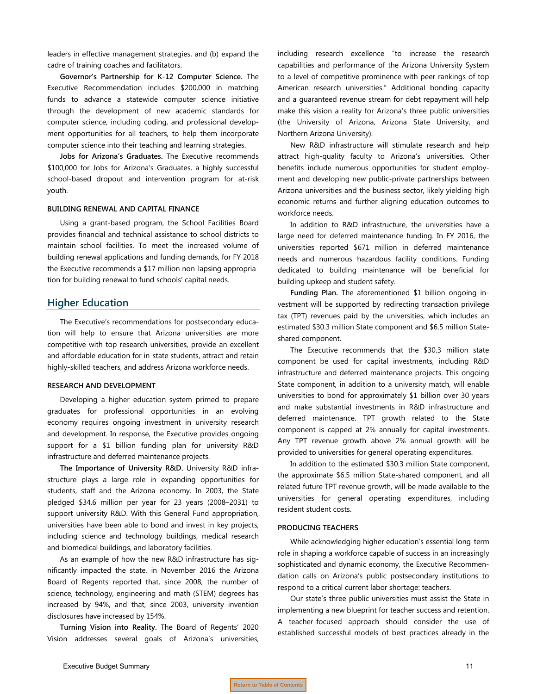leaders in effective management strategies, and (b) expand the cadre of training coaches and facilitators.

**Governor's Partnership for K-12 Computer Science.** The Executive Recommendation includes \$200,000 in matching funds to advance a statewide computer science initiative through the development of new academic standards for computer science, including coding, and professional development opportunities for all teachers, to help them incorporate computer science into their teaching and learning strategies.

**Jobs for Arizona's Graduates.** The Executive recommends \$100,000 for Jobs for Arizona's Graduates, a highly successful school-based dropout and intervention program for at-risk youth.

#### **BUILDING RENEWAL AND CAPITAL FINANCE**

Using a grant-based program, the School Facilities Board provides financial and technical assistance to school districts to maintain school facilities. To meet the increased volume of building renewal applications and funding demands, for FY 2018 the Executive recommends a \$17 million non-lapsing appropriation for building renewal to fund schools' capital needs.

#### **Higher Education**

The Executive's recommendations for postsecondary education will help to ensure that Arizona universities are more competitive with top research universities, provide an excellent and affordable education for in-state students, attract and retain highly-skilled teachers, and address Arizona workforce needs.

#### **RESEARCH AND DEVELOPMENT**

Developing a higher education system primed to prepare graduates for professional opportunities in an evolving economy requires ongoing investment in university research and development. In response, the Executive provides ongoing support for a \$1 billion funding plan for university R&D infrastructure and deferred maintenance projects.

**The Importance of University R&D.** University R&D infrastructure plays a large role in expanding opportunities for students, staff and the Arizona economy. In 2003, the State pledged \$34.6 million per year for 23 years (2008–2031) to support university R&D. With this General Fund appropriation, universities have been able to bond and invest in key projects, including science and technology buildings, medical research and biomedical buildings, and laboratory facilities.

As an example of how the new R&D infrastructure has significantly impacted the state, in November 2016 the Arizona Board of Regents reported that, since 2008, the number of science, technology, engineering and math (STEM) degrees has increased by 94%, and that, since 2003, university invention disclosures have increased by 154%.

**Turning Vision into Reality.** The Board of Regents' 2020 Vision addresses several goals of Arizona's universities,

including research excellence "to increase the research capabilities and performance of the Arizona University System to a level of competitive prominence with peer rankings of top American research universities." Additional bonding capacity and a guaranteed revenue stream for debt repayment will help make this vision a reality for Arizona's three public universities (the University of Arizona, Arizona State University, and Northern Arizona University).

New R&D infrastructure will stimulate research and help attract high-quality faculty to Arizona's universities. Other benefits include numerous opportunities for student employment and developing new public-private partnerships between Arizona universities and the business sector, likely yielding high economic returns and further aligning education outcomes to workforce needs.

In addition to R&D infrastructure, the universities have a large need for deferred maintenance funding. In FY 2016, the universities reported \$671 million in deferred maintenance needs and numerous hazardous facility conditions. Funding dedicated to building maintenance will be beneficial for building upkeep and student safety.

**Funding Plan.** The aforementioned \$1 billion ongoing investment will be supported by redirecting transaction privilege tax (TPT) revenues paid by the universities, which includes an estimated \$30.3 million State component and \$6.5 million Stateshared component.

The Executive recommends that the \$30.3 million state component be used for capital investments, including R&D infrastructure and deferred maintenance projects. This ongoing State component, in addition to a university match, will enable universities to bond for approximately \$1 billion over 30 years and make substantial investments in R&D infrastructure and deferred maintenance. TPT growth related to the State component is capped at 2% annually for capital investments. Any TPT revenue growth above 2% annual growth will be provided to universities for general operating expenditures.

In addition to the estimated \$30.3 million State component, the approximate \$6.5 million State-shared component, and all related future TPT revenue growth, will be made available to the universities for general operating expenditures, including resident student costs.

#### **PRODUCING TEACHERS**

While acknowledging higher education's essential long-term role in shaping a workforce capable of success in an increasingly sophisticated and dynamic economy, the Executive Recommendation calls on Arizona's public postsecondary institutions to respond to a critical current labor shortage: teachers.

Our state's three public universities must assist the State in implementing a new blueprint for teacher success and retention. A teacher-focused approach should consider the use of established successful models of best practices already in the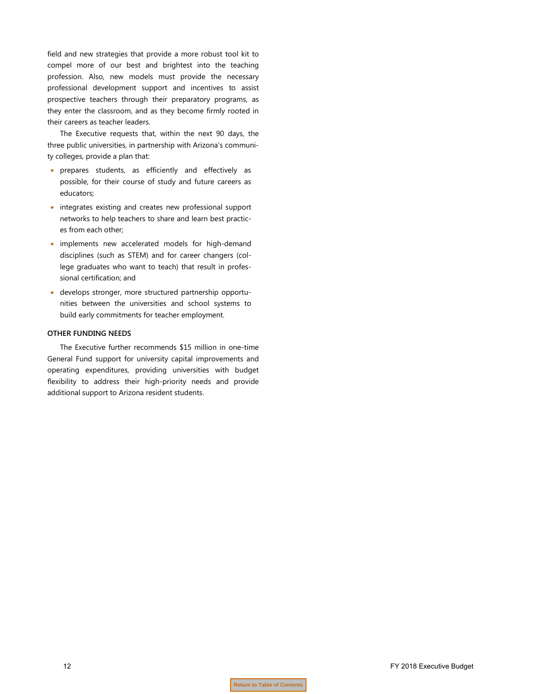field and new strategies that provide a more robust tool kit to compel more of our best and brightest into the teaching profession. Also, new models must provide the necessary professional development support and incentives to assist prospective teachers through their preparatory programs, as they enter the classroom, and as they become firmly rooted in their careers as teacher leaders.

The Executive requests that, within the next 90 days, the three public universities, in partnership with Arizona's community colleges, provide a plan that:

- prepares students, as efficiently and effectively as possible, for their course of study and future careers as educators;
- integrates existing and creates new professional support networks to help teachers to share and learn best practices from each other;
- implements new accelerated models for high-demand disciplines (such as STEM) and for career changers (college graduates who want to teach) that result in professional certification; and
- develops stronger, more structured partnership opportunities between the universities and school systems to build early commitments for teacher employment.

#### **OTHER FUNDING NEEDS**

The Executive further recommends \$15 million in one-time General Fund support for university capital improvements and operating expenditures, providing universities with budget flexibility to address their high-priority needs and provide additional support to Arizona resident students.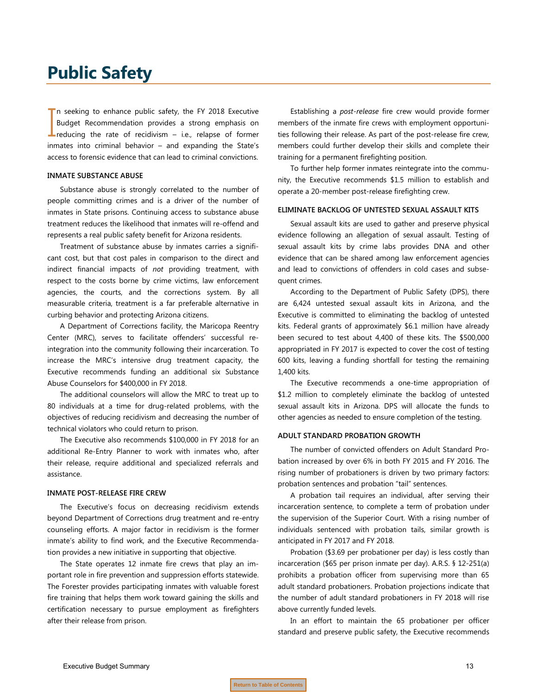# <span id="page-14-0"></span>**Public Safety**

n seeking to enhance public safety, the FY 2018 Executive Budget Recommendation provides a strong emphasis on In seeking to enhance public safety, the FY 2018 Executive<br>Budget Recommendation provides a strong emphasis on<br>reducing the rate of recidivism – i.e., relapse of former inmates into criminal behavior – and expanding the State's access to forensic evidence that can lead to criminal convictions.

#### **INMATE SUBSTANCE ABUSE**

Substance abuse is strongly correlated to the number of people committing crimes and is a driver of the number of inmates in State prisons. Continuing access to substance abuse treatment reduces the likelihood that inmates will re-offend and represents a real public safety benefit for Arizona residents.

Treatment of substance abuse by inmates carries a significant cost, but that cost pales in comparison to the direct and indirect financial impacts of *not* providing treatment, with respect to the costs borne by crime victims, law enforcement agencies, the courts, and the corrections system. By all measurable criteria, treatment is a far preferable alternative in curbing behavior and protecting Arizona citizens.

A Department of Corrections facility, the Maricopa Reentry Center (MRC), serves to facilitate offenders' successful reintegration into the community following their incarceration. To increase the MRC's intensive drug treatment capacity, the Executive recommends funding an additional six Substance Abuse Counselors for \$400,000 in FY 2018.

The additional counselors will allow the MRC to treat up to 80 individuals at a time for drug-related problems, with the objectives of reducing recidivism and decreasing the number of technical violators who could return to prison.

The Executive also recommends \$100,000 in FY 2018 for an additional Re-Entry Planner to work with inmates who, after their release, require additional and specialized referrals and assistance.

#### **INMATE POST-RELEASE FIRE CREW**

The Executive's focus on decreasing recidivism extends beyond Department of Corrections drug treatment and re-entry counseling efforts. A major factor in recidivism is the former inmate's ability to find work, and the Executive Recommendation provides a new initiative in supporting that objective.

The State operates 12 inmate fire crews that play an important role in fire prevention and suppression efforts statewide. The Forester provides participating inmates with valuable forest fire training that helps them work toward gaining the skills and certification necessary to pursue employment as firefighters after their release from prison.

Establishing a *post-release* fire crew would provide former members of the inmate fire crews with employment opportunities following their release. As part of the post-release fire crew, members could further develop their skills and complete their training for a permanent firefighting position.

To further help former inmates reintegrate into the community, the Executive recommends \$1.5 million to establish and operate a 20-member post-release firefighting crew.

#### **ELIMINATE BACKLOG OF UNTESTED SEXUAL ASSAULT KITS**

Sexual assault kits are used to gather and preserve physical evidence following an allegation of sexual assault. Testing of sexual assault kits by crime labs provides DNA and other evidence that can be shared among law enforcement agencies and lead to convictions of offenders in cold cases and subsequent crimes.

According to the Department of Public Safety (DPS), there are 6,424 untested sexual assault kits in Arizona, and the Executive is committed to eliminating the backlog of untested kits. Federal grants of approximately \$6.1 million have already been secured to test about 4,400 of these kits. The \$500,000 appropriated in FY 2017 is expected to cover the cost of testing 600 kits, leaving a funding shortfall for testing the remaining 1,400 kits.

The Executive recommends a one-time appropriation of \$1.2 million to completely eliminate the backlog of untested sexual assault kits in Arizona. DPS will allocate the funds to other agencies as needed to ensure completion of the testing.

#### **ADULT STANDARD PROBATION GROWTH**

The number of convicted offenders on Adult Standard Probation increased by over 6% in both FY 2015 and FY 2016. The rising number of probationers is driven by two primary factors: probation sentences and probation "tail" sentences.

A probation tail requires an individual, after serving their incarceration sentence, to complete a term of probation under the supervision of the Superior Court. With a rising number of individuals sentenced with probation tails, similar growth is anticipated in FY 2017 and FY 2018.

Probation (\$3.69 per probationer per day) is less costly than incarceration (\$65 per prison inmate per day). A.R.S. § 12-251(a) prohibits a probation officer from supervising more than 65 adult standard probationers. Probation projections indicate that the number of adult standard probationers in FY 2018 will rise above currently funded levels.

In an effort to maintain the 65 probationer per officer standard and preserve public safety, the Executive recommends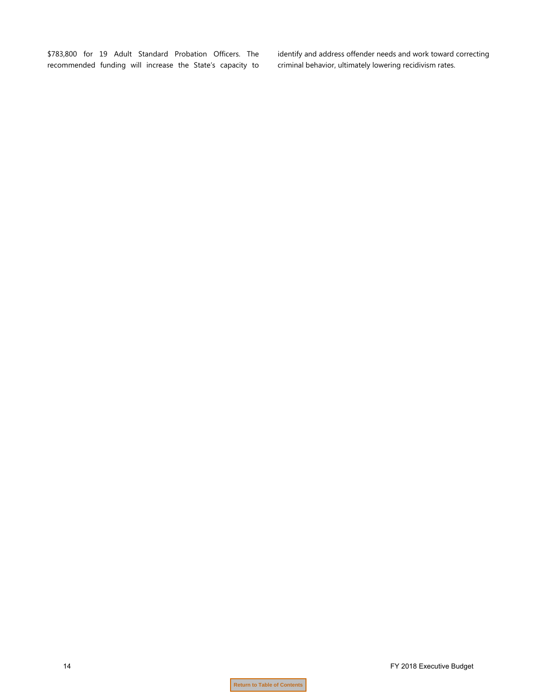\$783,800 for 19 Adult Standard Probation Officers. The recommended funding will increase the State's capacity to identify and address offender needs and work toward correcting criminal behavior, ultimately lowering recidivism rates.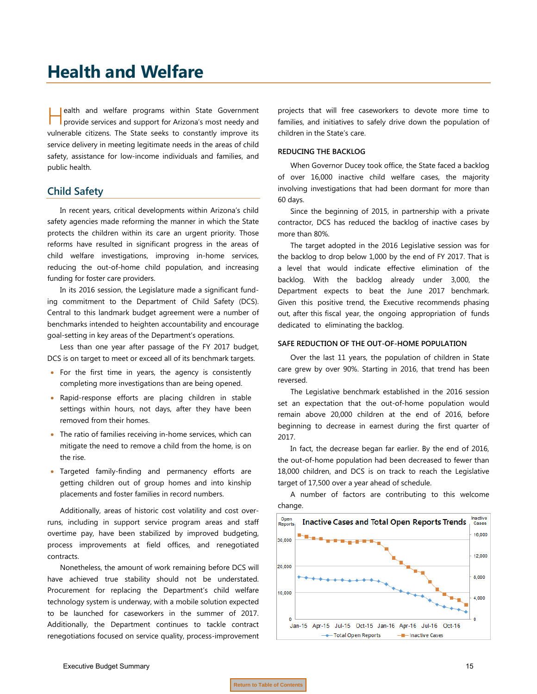## <span id="page-16-0"></span>**Health and Welfare**

ealth and welfare programs within State Government **Provide services and support for Arizona's most needy and support for Arizona's most needy and** vulnerable citizens. The State seeks to constantly improve its service delivery in meeting legitimate needs in the areas of child safety, assistance for low-income individuals and families, and public health.

#### **Child Safety**

In recent years, critical developments within Arizona's child safety agencies made reforming the manner in which the State protects the children within its care an urgent priority. Those reforms have resulted in significant progress in the areas of child welfare investigations, improving in-home services, reducing the out-of-home child population, and increasing funding for foster care providers.

In its 2016 session, the Legislature made a significant funding commitment to the Department of Child Safety (DCS). Central to this landmark budget agreement were a number of benchmarks intended to heighten accountability and encourage goal-setting in key areas of the Department's operations.

Less than one year after passage of the FY 2017 budget, DCS is on target to meet or exceed all of its benchmark targets.

- For the first time in years, the agency is consistently completing more investigations than are being opened.
- Rapid-response efforts are placing children in stable settings within hours, not days, after they have been removed from their homes.
- The ratio of families receiving in-home services, which can mitigate the need to remove a child from the home, is on the rise.
- Targeted family-finding and permanency efforts are getting children out of group homes and into kinship placements and foster families in record numbers.

Additionally, areas of historic cost volatility and cost overruns, including in support service program areas and staff overtime pay, have been stabilized by improved budgeting, process improvements at field offices, and renegotiated contracts.

Nonetheless, the amount of work remaining before DCS will have achieved true stability should not be understated. Procurement for replacing the Department's child welfare technology system is underway, with a mobile solution expected to be launched for caseworkers in the summer of 2017. Additionally, the Department continues to tackle contract renegotiations focused on service quality, process-improvement

projects that will free caseworkers to devote more time to families, and initiatives to safely drive down the population of children in the State's care.

#### **REDUCING THE BACKLOG**

When Governor Ducey took office, the State faced a backlog of over 16,000 inactive child welfare cases, the majority involving investigations that had been dormant for more than 60 days.

Since the beginning of 2015, in partnership with a private contractor, DCS has reduced the backlog of inactive cases by more than 80%.

The target adopted in the 2016 Legislative session was for the backlog to drop below 1,000 by the end of FY 2017. That is a level that would indicate effective elimination of the backlog. With the backlog already under 3,000, the Department expects to beat the June 2017 benchmark. Given this positive trend, the Executive recommends phasing out, after this fiscal year, the ongoing appropriation of funds dedicated to eliminating the backlog.

#### **SAFE REDUCTION OF THE OUT-OF-HOME POPULATION**

Over the last 11 years, the population of children in State care grew by over 90%. Starting in 2016, that trend has been reversed.

The Legislative benchmark established in the 2016 session set an expectation that the out-of-home population would remain above 20,000 children at the end of 2016, before beginning to decrease in earnest during the first quarter of 2017.

In fact, the decrease began far earlier. By the end of 2016, the out-of-home population had been decreased to fewer than 18,000 children, and DCS is on track to reach the Legislative target of 17,500 over a year ahead of schedule.

A number of factors are contributing to this welcome change.

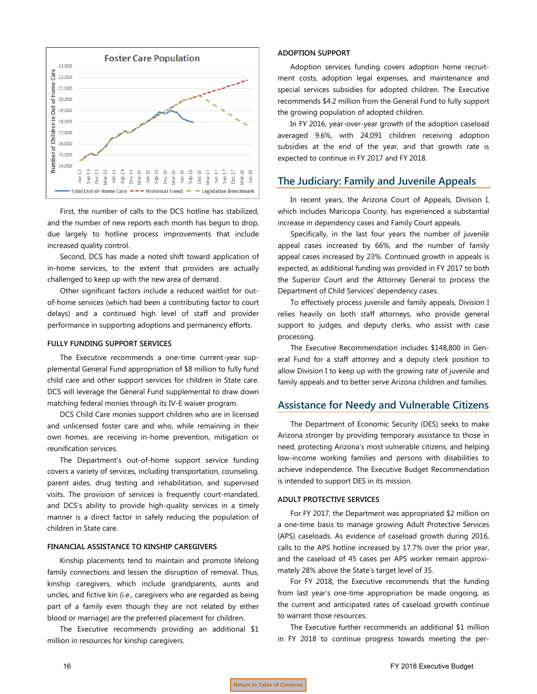

First, the number of calls to the DCS hotline has stabilized, and the number of new reports each month has begun to drop, due largely to hotline process improvements that include increased quality control.

Second, DCS has made a noted shift toward application of in-home services, to the extent that providers are actually challenged to keep up with the new area of demand.

Other significant factors include a reduced waitlist for outof-home services (which had been a contributing factor to court delays) and a continued high level of staff and provider performance in supporting adoptions and permanency efforts.

#### **FULLY FUNDING SUPPORT SERVICES**

The Executive recommends a one-time current-year supplemental General Fund appropriation of \$8 million to fully fund child care and other support services for children in State care. DCS will leverage the General Fund supplemental to draw down matching federal monies through its IV-E waiver program.

DCS Child Care monies support children who are in licensed and unlicensed foster care and who, while remaining in their own homes, are receiving in-home prevention, mitigation or reunification services.

The Department's out-of-home support service funding covers a variety of services, including transportation, counseling, parent aides, drug testing and rehabilitation, and supervised visits. The provision of services is frequently court-mandated, and DCS's ability to provide high-quality services in a timely manner is a direct factor in safely reducing the population of children in State care.

#### **FINANCIAL ASSISTANCE TO KINSHIP CAREGIVERS**

Kinship placements tend to maintain and promote lifelong family connections and lessen the disruption of removal. Thus, kinship caregivers, which include grandparents, aunts and uncles, and fictive kin (i.e., caregivers who are regarded as being part of a family even though they are not related by either blood or marriage) are the preferred placement for children.

The Executive recommends providing an additional \$1 million in resources for kinship caregivers.

#### **ADOPTION SUPPORT**

Adoption services funding covers adoption home recruitment costs, adoption legal expenses, and maintenance and special services subsidies for adopted children. The Executive recommends \$4.2 million from the General Fund to fully support the growing population of adopted children.

In FY 2016, year-over-year growth of the adoption caseload averaged 9.6%, with 24,091 children receiving adoption subsidies at the end of the year, and that growth rate is expected to continue in FY 2017 and FY 2018.

#### **The Judiciary: Family and Juvenile Appeals**

In recent years, the Arizona Court of Appeals, Division I, which includes Maricopa County, has experienced a substantial increase in dependency cases and Family Court appeals.

Specifically, in the last four years the number of juvenile appeal cases increased by 66%, and the number of family appeal cases increased by 23%. Continued growth in appeals is expected, as additional funding was provided in FY 2017 to both the Superior Court and the Attorney General to process the Department of Child Services' dependency cases.

To effectively process juvenile and family appeals, Division I relies heavily on both staff attorneys, who provide general support to judges, and deputy clerks, who assist with case processing.

The Executive Recommendation includes \$148,800 in General Fund for a staff attorney and a deputy clerk position to allow Division I to keep up with the growing rate of juvenile and family appeals and to better serve Arizona children and families.

#### **Assistance for Needy and Vulnerable Citizens**

The Department of Economic Security (DES) seeks to make Arizona stronger by providing temporary assistance to those in need, protecting Arizona's most vulnerable citizens, and helping low-income working families and persons with disabilities to achieve independence. The Executive Budget Recommendation is intended to support DES in its mission.

#### **ADULT PROTECTIVE SERVICES**

For FY 2017, the Department was appropriated \$2 million on a one-time basis to manage growing Adult Protective Services (APS) caseloads. As evidence of caseload growth during 2016, calls to the APS hotline increased by 17.7% over the prior year, and the caseload of 45 cases per APS worker remain approximately 28% above the State's target level of 35.

For FY 2018, the Executive recommends that the funding from last year's one-time appropriation be made ongoing, as the current and anticipated rates of caseload growth continue to warrant those resources.

The Executive further recommends an additional \$1 million in FY 2018 to continue progress towards meeting the per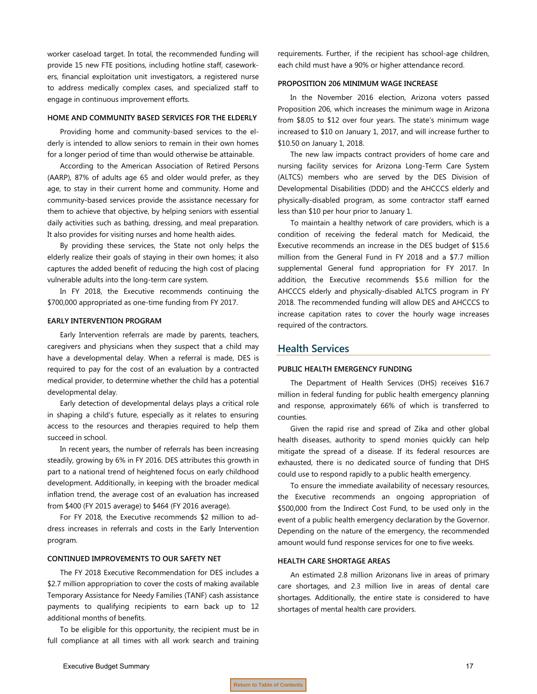worker caseload target. In total, the recommended funding will provide 15 new FTE positions, including hotline staff, caseworkers, financial exploitation unit investigators, a registered nurse to address medically complex cases, and specialized staff to engage in continuous improvement efforts.

#### **HOME AND COMMUNITY BASED SERVICES FOR THE ELDERLY**

Providing home and community-based services to the elderly is intended to allow seniors to remain in their own homes for a longer period of time than would otherwise be attainable.

According to the American Association of Retired Persons (AARP), 87% of adults age 65 and older would prefer, as they age, to stay in their current home and community. Home and community-based services provide the assistance necessary for them to achieve that objective, by helping seniors with essential daily activities such as bathing, dressing, and meal preparation. It also provides for visiting nurses and home health aides.

By providing these services, the State not only helps the elderly realize their goals of staying in their own homes; it also captures the added benefit of reducing the high cost of placing vulnerable adults into the long-term care system.

In FY 2018, the Executive recommends continuing the \$700,000 appropriated as one-time funding from FY 2017.

#### **EARLY INTERVENTION PROGRAM**

Early Intervention referrals are made by parents, teachers, caregivers and physicians when they suspect that a child may have a developmental delay. When a referral is made, DES is required to pay for the cost of an evaluation by a contracted medical provider, to determine whether the child has a potential developmental delay.

Early detection of developmental delays plays a critical role in shaping a child's future, especially as it relates to ensuring access to the resources and therapies required to help them succeed in school.

In recent years, the number of referrals has been increasing steadily, growing by 6% in FY 2016. DES attributes this growth in part to a national trend of heightened focus on early childhood development. Additionally, in keeping with the broader medical inflation trend, the average cost of an evaluation has increased from \$400 (FY 2015 average) to \$464 (FY 2016 average).

For FY 2018, the Executive recommends \$2 million to address increases in referrals and costs in the Early Intervention program.

#### **CONTINUED IMPROVEMENTS TO OUR SAFETY NET**

The FY 2018 Executive Recommendation for DES includes a \$2.7 million appropriation to cover the costs of making available Temporary Assistance for Needy Families (TANF) cash assistance payments to qualifying recipients to earn back up to 12 additional months of benefits.

To be eligible for this opportunity, the recipient must be in full compliance at all times with all work search and training requirements. Further, if the recipient has school-age children, each child must have a 90% or higher attendance record.

#### **PROPOSITION 206 MINIMUM WAGE INCREASE**

In the November 2016 election, Arizona voters passed Proposition 206, which increases the minimum wage in Arizona from \$8.05 to \$12 over four years. The state's minimum wage increased to \$10 on January 1, 2017, and will increase further to \$10.50 on January 1, 2018.

The new law impacts contract providers of home care and nursing facility services for Arizona Long-Term Care System (ALTCS) members who are served by the DES Division of Developmental Disabilities (DDD) and the AHCCCS elderly and physically-disabled program, as some contractor staff earned less than \$10 per hour prior to January 1.

To maintain a healthy network of care providers, which is a condition of receiving the federal match for Medicaid, the Executive recommends an increase in the DES budget of \$15.6 million from the General Fund in FY 2018 and a \$7.7 million supplemental General fund appropriation for FY 2017. In addition, the Executive recommends \$5.6 million for the AHCCCS elderly and physically-disabled ALTCS program in FY 2018. The recommended funding will allow DES and AHCCCS to increase capitation rates to cover the hourly wage increases required of the contractors.

#### **Health Services**

#### **PUBLIC HEALTH EMERGENCY FUNDING**

The Department of Health Services (DHS) receives \$16.7 million in federal funding for public health emergency planning and response, approximately 66% of which is transferred to counties.

Given the rapid rise and spread of Zika and other global health diseases, authority to spend monies quickly can help mitigate the spread of a disease. If its federal resources are exhausted, there is no dedicated source of funding that DHS could use to respond rapidly to a public health emergency.

To ensure the immediate availability of necessary resources, the Executive recommends an ongoing appropriation of \$500,000 from the Indirect Cost Fund, to be used only in the event of a public health emergency declaration by the Governor. Depending on the nature of the emergency, the recommended amount would fund response services for one to five weeks.

#### **HEALTH CARE SHORTAGE AREAS**

An estimated 2.8 million Arizonans live in areas of primary care shortages, and 2.3 million live in areas of dental care shortages. Additionally, the entire state is considered to have shortages of mental health care providers.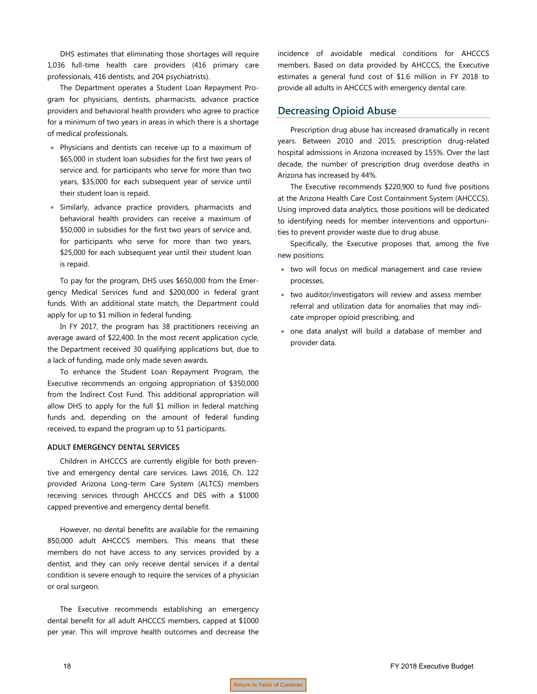DHS estimates that eliminating those shortages will require 1,036 full-time health care providers (416 primary care professionals, 416 dentists, and 204 psychiatrists).

The Department operates a Student Loan Repayment Program for physicians, dentists, pharmacists, advance practice providers and behavioral health providers who agree to practice for a minimum of two years in areas in which there is a shortage of medical professionals.

- Physicians and dentists can receive up to a maximum of \$65,000 in student loan subsidies for the first two years of service and, for participants who serve for more than two years, \$35,000 for each subsequent year of service until their student loan is repaid.
- Similarly, advance practice providers, pharmacists and behavioral health providers can receive a maximum of \$50,000 in subsidies for the first two years of service and, for participants who serve for more than two years, \$25,000 for each subsequent year until their student loan is repaid.

To pay for the program, DHS uses \$650,000 from the Emergency Medical Services fund and \$200,000 in federal grant funds. With an additional state match, the Department could apply for up to \$1 million in federal funding.

In FY 2017, the program has 38 practitioners receiving an average award of \$22,400. In the most recent application cycle, the Department received 30 qualifying applications but, due to a lack of funding, made only made seven awards.

To enhance the Student Loan Repayment Program, the Executive recommends an ongoing appropriation of \$350,000 from the Indirect Cost Fund. This additional appropriation will allow DHS to apply for the full \$1 million in federal matching funds and, depending on the amount of federal funding received, to expand the program up to 51 participants.

#### **ADULT EMERGENCY DENTAL SERVICES**

Children in AHCCCS are currently eligible for both preventive and emergency dental care services. Laws 2016, Ch. 122 provided Arizona Long-term Care System (ALTCS) members receiving services through AHCCCS and DES with a \$1000 capped preventive and emergency dental benefit.

However, no dental benefits are available for the remaining 850,000 adult AHCCCS members. This means that these members do not have access to any services provided by a dentist, and they can only receive dental services if a dental condition is severe enough to require the services of a physician or oral surgeon.

The Executive recommends establishing an emergency dental benefit for all adult AHCCCS members, capped at \$1000 per year. This will improve health outcomes and decrease the

incidence of avoidable medical conditions for AHCCCS members. Based on data provided by AHCCCS, the Executive estimates a general fund cost of \$1.6 million in FY 2018 to provide all adults in AHCCCS with emergency dental care.

#### **Decreasing Opioid Abuse**

Prescription drug abuse has increased dramatically in recent years. Between 2010 and 2015, prescription drug-related hospital admissions in Arizona increased by 155%. Over the last decade, the number of prescription drug overdose deaths in Arizona has increased by 44%.

The Executive recommends \$220,900 to fund five positions at the Arizona Health Care Cost Containment System (AHCCCS). Using improved data analytics, those positions will be dedicated to identifying needs for member interventions and opportunities to prevent provider waste due to drug abuse.

Specifically, the Executive proposes that, among the five new positions:

- two will focus on medical management and case review processes,
- two auditor/investigators will review and assess member referral and utilization data for anomalies that may indicate improper opioid prescribing, and
- one data analyst will build a database of member and provider data.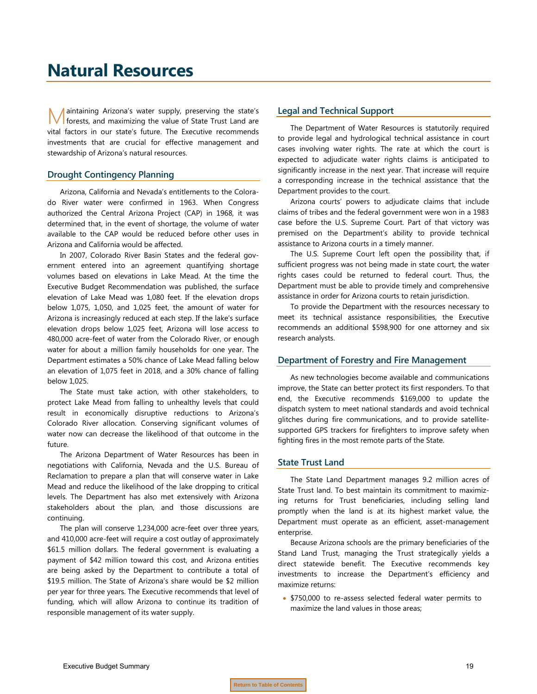## <span id="page-20-0"></span>**Natural Resources**

aintaining Arizona's water supply, preserving the state's forests, and maximizing the value of State Trust Land are vital factors in our state's future. The Executive recommends investments that are crucial for effective management and stewardship of Arizona's natural resources. M

#### **Drought Contingency Planning**

Arizona, California and Nevada's entitlements to the Colorado River water were confirmed in 1963. When Congress authorized the Central Arizona Project (CAP) in 1968, it was determined that, in the event of shortage, the volume of water available to the CAP would be reduced before other uses in Arizona and California would be affected.

In 2007, Colorado River Basin States and the federal government entered into an agreement quantifying shortage volumes based on elevations in Lake Mead. At the time the Executive Budget Recommendation was published, the surface elevation of Lake Mead was 1,080 feet. If the elevation drops below 1,075, 1,050, and 1,025 feet, the amount of water for Arizona is increasingly reduced at each step. If the lake's surface elevation drops below 1,025 feet, Arizona will lose access to 480,000 acre-feet of water from the Colorado River, or enough water for about a million family households for one year. The Department estimates a 50% chance of Lake Mead falling below an elevation of 1,075 feet in 2018, and a 30% chance of falling below 1,025.

The State must take action, with other stakeholders, to protect Lake Mead from falling to unhealthy levels that could result in economically disruptive reductions to Arizona's Colorado River allocation. Conserving significant volumes of water now can decrease the likelihood of that outcome in the future.

The Arizona Department of Water Resources has been in negotiations with California, Nevada and the U.S. Bureau of Reclamation to prepare a plan that will conserve water in Lake Mead and reduce the likelihood of the lake dropping to critical levels. The Department has also met extensively with Arizona stakeholders about the plan, and those discussions are continuing.

The plan will conserve 1,234,000 acre-feet over three years, and 410,000 acre-feet will require a cost outlay of approximately \$61.5 million dollars. The federal government is evaluating a payment of \$42 million toward this cost, and Arizona entities are being asked by the Department to contribute a total of \$19.5 million. The State of Arizona's share would be \$2 million per year for three years. The Executive recommends that level of funding, which will allow Arizona to continue its tradition of responsible management of its water supply.

#### **Legal and Technical Support**

The Department of Water Resources is statutorily required to provide legal and hydrological technical assistance in court cases involving water rights. The rate at which the court is expected to adjudicate water rights claims is anticipated to significantly increase in the next year. That increase will require a corresponding increase in the technical assistance that the Department provides to the court.

Arizona courts' powers to adjudicate claims that include claims of tribes and the federal government were won in a 1983 case before the U.S. Supreme Court. Part of that victory was premised on the Department's ability to provide technical assistance to Arizona courts in a timely manner.

The U.S. Supreme Court left open the possibility that, if sufficient progress was not being made in state court, the water rights cases could be returned to federal court. Thus, the Department must be able to provide timely and comprehensive assistance in order for Arizona courts to retain jurisdiction.

To provide the Department with the resources necessary to meet its technical assistance responsibilities, the Executive recommends an additional \$598,900 for one attorney and six research analysts.

#### **Department of Forestry and Fire Management**

As new technologies become available and communications improve, the State can better protect its first responders. To that end, the Executive recommends \$169,000 to update the dispatch system to meet national standards and avoid technical glitches during fire communications, and to provide satellitesupported GPS trackers for firefighters to improve safety when fighting fires in the most remote parts of the State.

#### **State Trust Land**

The State Land Department manages 9.2 million acres of State Trust land. To best maintain its commitment to maximizing returns for Trust beneficiaries, including selling land promptly when the land is at its highest market value, the Department must operate as an efficient, asset-management enterprise.

Because Arizona schools are the primary beneficiaries of the Stand Land Trust, managing the Trust strategically yields a direct statewide benefit. The Executive recommends key investments to increase the Department's efficiency and maximize returns:

• \$750,000 to re-assess selected federal water permits to maximize the land values in those areas;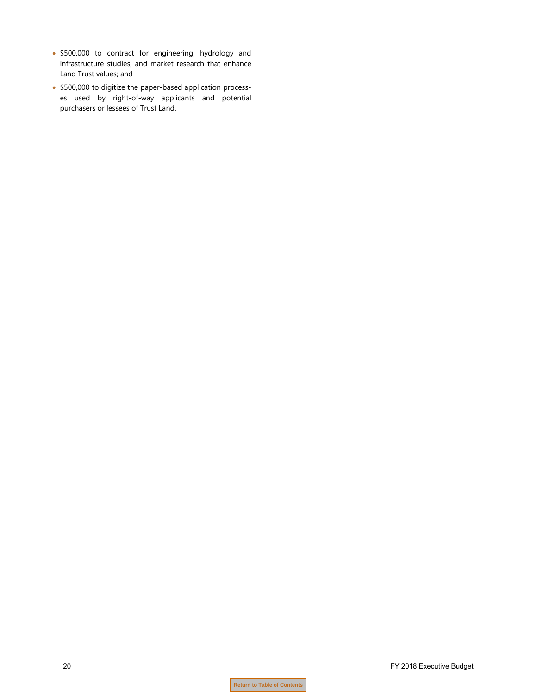- \$500,000 to contract for engineering, hydrology and infrastructure studies, and market research that enhance Land Trust values; and
- \$500,000 to digitize the paper-based application processes used by right-of-way applicants and potential purchasers or lessees of Trust Land.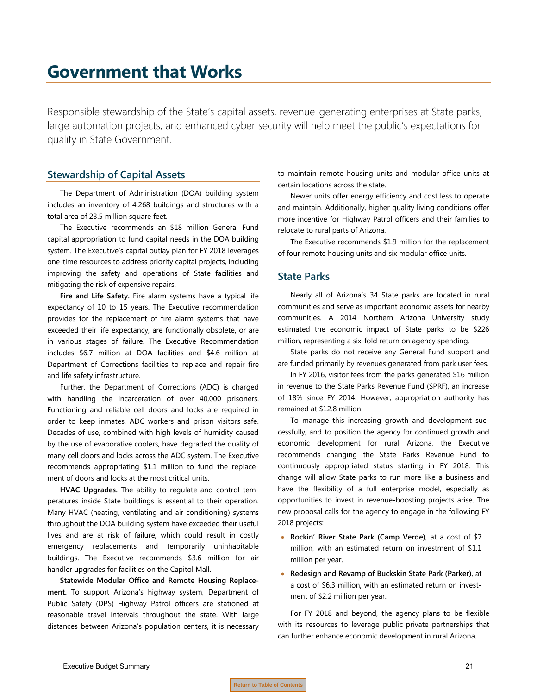## <span id="page-22-0"></span>**Government that Works**

Responsible stewardship of the State's capital assets, revenue-generating enterprises at State parks, large automation projects, and enhanced cyber security will help meet the public's expectations for quality in State Government.

#### **Stewardship of Capital Assets**

The Department of Administration (DOA) building system includes an inventory of 4,268 buildings and structures with a total area of 23.5 million square feet.

The Executive recommends an \$18 million General Fund capital appropriation to fund capital needs in the DOA building system. The Executive's capital outlay plan for FY 2018 leverages one-time resources to address priority capital projects, including improving the safety and operations of State facilities and mitigating the risk of expensive repairs.

**Fire and Life Safety.** Fire alarm systems have a typical life expectancy of 10 to 15 years. The Executive recommendation provides for the replacement of fire alarm systems that have exceeded their life expectancy, are functionally obsolete, or are in various stages of failure. The Executive Recommendation includes \$6.7 million at DOA facilities and \$4.6 million at Department of Corrections facilities to replace and repair fire and life safety infrastructure.

Further, the Department of Corrections (ADC) is charged with handling the incarceration of over 40,000 prisoners. Functioning and reliable cell doors and locks are required in order to keep inmates, ADC workers and prison visitors safe. Decades of use, combined with high levels of humidity caused by the use of evaporative coolers, have degraded the quality of many cell doors and locks across the ADC system. The Executive recommends appropriating \$1.1 million to fund the replacement of doors and locks at the most critical units.

**HVAC Upgrades.** The ability to regulate and control temperatures inside State buildings is essential to their operation. Many HVAC (heating, ventilating and air conditioning) systems throughout the DOA building system have exceeded their useful lives and are at risk of failure, which could result in costly emergency replacements and temporarily uninhabitable buildings. The Executive recommends \$3.6 million for air handler upgrades for facilities on the Capitol Mall.

**Statewide Modular Office and Remote Housing Replacement.** To support Arizona's highway system, Department of Public Safety (DPS) Highway Patrol officers are stationed at reasonable travel intervals throughout the state. With large distances between Arizona's population centers, it is necessary to maintain remote housing units and modular office units at certain locations across the state.

Newer units offer energy efficiency and cost less to operate and maintain. Additionally, higher quality living conditions offer more incentive for Highway Patrol officers and their families to relocate to rural parts of Arizona.

The Executive recommends \$1.9 million for the replacement of four remote housing units and six modular office units.

#### **State Parks**

Nearly all of Arizona's 34 State parks are located in rural communities and serve as important economic assets for nearby communities. A 2014 Northern Arizona University study estimated the economic impact of State parks to be \$226 million, representing a six-fold return on agency spending.

State parks do not receive any General Fund support and are funded primarily by revenues generated from park user fees.

In FY 2016, visitor fees from the parks generated \$16 million in revenue to the State Parks Revenue Fund (SPRF), an increase of 18% since FY 2014. However, appropriation authority has remained at \$12.8 million.

To manage this increasing growth and development successfully, and to position the agency for continued growth and economic development for rural Arizona, the Executive recommends changing the State Parks Revenue Fund to continuously appropriated status starting in FY 2018. This change will allow State parks to run more like a business and have the flexibility of a full enterprise model, especially as opportunities to invest in revenue-boosting projects arise. The new proposal calls for the agency to engage in the following FY 2018 projects:

- **Rockin' River State Park (Camp Verde)**, at a cost of \$7 million, with an estimated return on investment of \$1.1 million per year.
- **Redesign and Revamp of Buckskin State Park (Parker)**, at a cost of \$6.3 million, with an estimated return on investment of \$2.2 million per year.

For FY 2018 and beyond, the agency plans to be flexible with its resources to leverage public-private partnerships that can further enhance economic development in rural Arizona.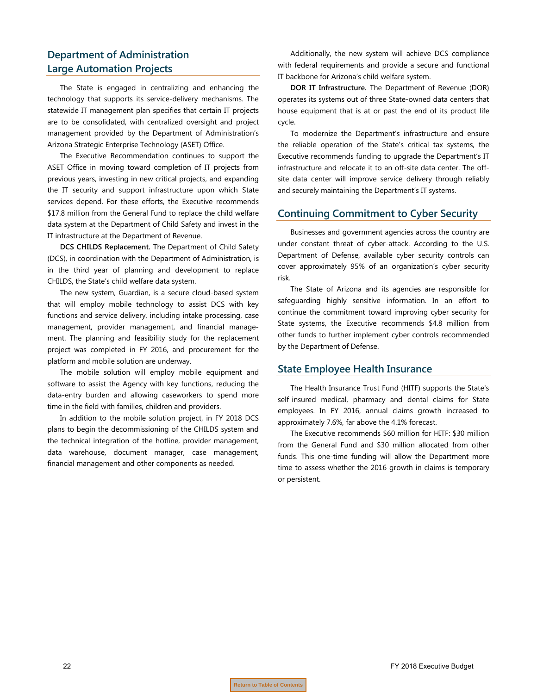### **Department of Administration Large Automation Projects**

The State is engaged in centralizing and enhancing the technology that supports its service-delivery mechanisms. The statewide IT management plan specifies that certain IT projects are to be consolidated, with centralized oversight and project management provided by the Department of Administration's Arizona Strategic Enterprise Technology (ASET) Office.

The Executive Recommendation continues to support the ASET Office in moving toward completion of IT projects from previous years, investing in new critical projects, and expanding the IT security and support infrastructure upon which State services depend. For these efforts, the Executive recommends \$17.8 million from the General Fund to replace the child welfare data system at the Department of Child Safety and invest in the IT infrastructure at the Department of Revenue.

**DCS CHILDS Replacement.** The Department of Child Safety (DCS), in coordination with the Department of Administration, is in the third year of planning and development to replace CHILDS, the State's child welfare data system.

The new system, Guardian, is a secure cloud-based system that will employ mobile technology to assist DCS with key functions and service delivery, including intake processing, case management, provider management, and financial management. The planning and feasibility study for the replacement project was completed in FY 2016, and procurement for the platform and mobile solution are underway.

The mobile solution will employ mobile equipment and software to assist the Agency with key functions, reducing the data-entry burden and allowing caseworkers to spend more time in the field with families, children and providers.

In addition to the mobile solution project, in FY 2018 DCS plans to begin the decommissioning of the CHILDS system and the technical integration of the hotline, provider management, data warehouse, document manager, case management, financial management and other components as needed.

Additionally, the new system will achieve DCS compliance with federal requirements and provide a secure and functional IT backbone for Arizona's child welfare system.

**DOR IT Infrastructure.** The Department of Revenue (DOR) operates its systems out of three State-owned data centers that house equipment that is at or past the end of its product life cycle.

To modernize the Department's infrastructure and ensure the reliable operation of the State's critical tax systems, the Executive recommends funding to upgrade the Department's IT infrastructure and relocate it to an off-site data center. The offsite data center will improve service delivery through reliably and securely maintaining the Department's IT systems.

#### **Continuing Commitment to Cyber Security**

Businesses and government agencies across the country are under constant threat of cyber-attack. According to the U.S. Department of Defense, available cyber security controls can cover approximately 95% of an organization's cyber security risk.

The State of Arizona and its agencies are responsible for safeguarding highly sensitive information. In an effort to continue the commitment toward improving cyber security for State systems, the Executive recommends \$4.8 million from other funds to further implement cyber controls recommended by the Department of Defense.

#### **State Employee Health Insurance**

The Health Insurance Trust Fund (HITF) supports the State's self-insured medical, pharmacy and dental claims for State employees. In FY 2016, annual claims growth increased to approximately 7.6%, far above the 4.1% forecast.

The Executive recommends \$60 million for HITF: \$30 million from the General Fund and \$30 million allocated from other funds. This one-time funding will allow the Department more time to assess whether the 2016 growth in claims is temporary or persistent.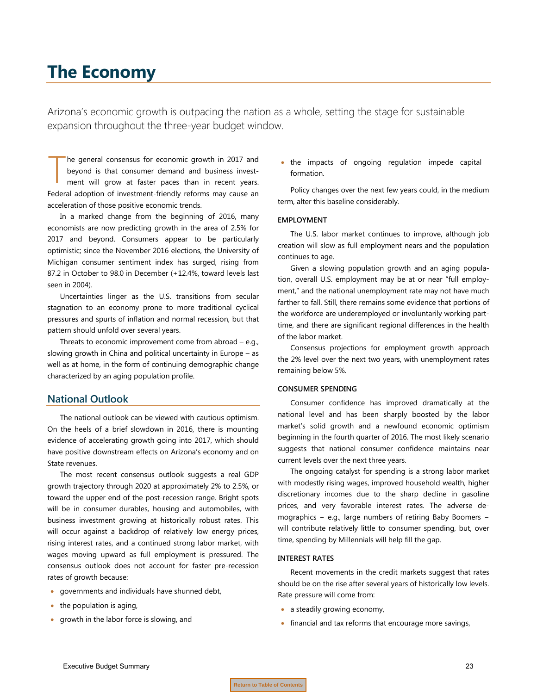## <span id="page-24-0"></span>**The Economy**

Arizona's economic growth is outpacing the nation as a whole, setting the stage for sustainable expansion throughout the three-year budget window.

he general consensus for economic growth in 2017 and beyond is that consumer demand and business investment will grow at faster paces than in recent years. Federal adoption of investment-friendly reforms may cause an acceleration of those positive economic trends. T

In a marked change from the beginning of 2016, many economists are now predicting growth in the area of 2.5% for 2017 and beyond. Consumers appear to be particularly optimistic; since the November 2016 elections, the University of Michigan consumer sentiment index has surged, rising from 87.2 in October to 98.0 in December (+12.4%, toward levels last seen in 2004).

Uncertainties linger as the U.S. transitions from secular stagnation to an economy prone to more traditional cyclical pressures and spurts of inflation and normal recession, but that pattern should unfold over several years.

Threats to economic improvement come from abroad – e.g., slowing growth in China and political uncertainty in Europe – as well as at home, in the form of continuing demographic change characterized by an aging population profile.

### **National Outlook**

The national outlook can be viewed with cautious optimism. On the heels of a brief slowdown in 2016, there is mounting evidence of accelerating growth going into 2017, which should have positive downstream effects on Arizona's economy and on State revenues.

The most recent consensus outlook suggests a real GDP growth trajectory through 2020 at approximately 2% to 2.5%, or toward the upper end of the post-recession range. Bright spots will be in consumer durables, housing and automobiles, with business investment growing at historically robust rates. This will occur against a backdrop of relatively low energy prices, rising interest rates, and a continued strong labor market, with wages moving upward as full employment is pressured. The consensus outlook does not account for faster pre-recession rates of growth because:

- governments and individuals have shunned debt,
- the population is aging,
- growth in the labor force is slowing, and

• the impacts of ongoing regulation impede capital formation.

Policy changes over the next few years could, in the medium term, alter this baseline considerably.

#### **EMPLOYMENT**

The U.S. labor market continues to improve, although job creation will slow as full employment nears and the population continues to age.

Given a slowing population growth and an aging population, overall U.S. employment may be at or near "full employment," and the national unemployment rate may not have much farther to fall. Still, there remains some evidence that portions of the workforce are underemployed or involuntarily working parttime, and there are significant regional differences in the health of the labor market.

Consensus projections for employment growth approach the 2% level over the next two years, with unemployment rates remaining below 5%.

#### **CONSUMER SPENDING**

Consumer confidence has improved dramatically at the national level and has been sharply boosted by the labor market's solid growth and a newfound economic optimism beginning in the fourth quarter of 2016. The most likely scenario suggests that national consumer confidence maintains near current levels over the next three years.

The ongoing catalyst for spending is a strong labor market with modestly rising wages, improved household wealth, higher discretionary incomes due to the sharp decline in gasoline prices, and very favorable interest rates. The adverse demographics − e.g., large numbers of retiring Baby Boomers − will contribute relatively little to consumer spending, but, over time, spending by Millennials will help fill the gap.

#### **INTEREST RATES**

Recent movements in the credit markets suggest that rates should be on the rise after several years of historically low levels. Rate pressure will come from:

- a steadily growing economy,
- financial and tax reforms that encourage more savings,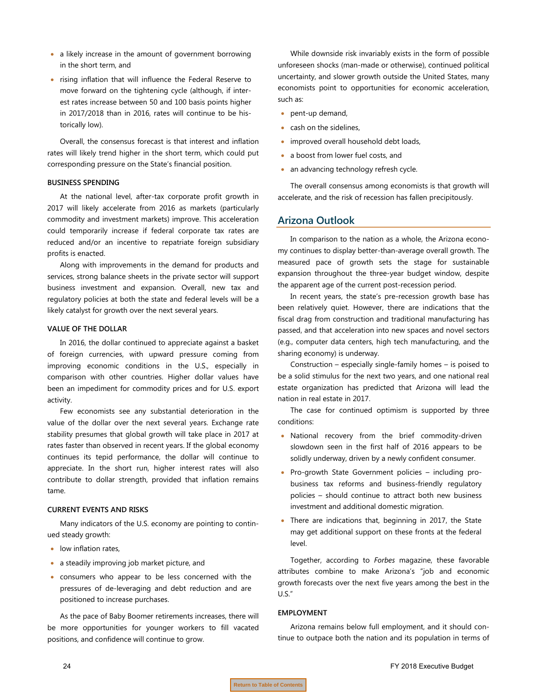- a likely increase in the amount of government borrowing in the short term, and
- rising inflation that will influence the Federal Reserve to move forward on the tightening cycle (although, if interest rates increase between 50 and 100 basis points higher in 2017/2018 than in 2016, rates will continue to be historically low).

Overall, the consensus forecast is that interest and inflation rates will likely trend higher in the short term, which could put corresponding pressure on the State's financial position.

#### **BUSINESS SPENDING**

At the national level, after-tax corporate profit growth in 2017 will likely accelerate from 2016 as markets (particularly commodity and investment markets) improve. This acceleration could temporarily increase if federal corporate tax rates are reduced and/or an incentive to repatriate foreign subsidiary profits is enacted.

Along with improvements in the demand for products and services, strong balance sheets in the private sector will support business investment and expansion. Overall, new tax and regulatory policies at both the state and federal levels will be a likely catalyst for growth over the next several years.

#### **VALUE OF THE DOLLAR**

In 2016, the dollar continued to appreciate against a basket of foreign currencies, with upward pressure coming from improving economic conditions in the U.S., especially in comparison with other countries. Higher dollar values have been an impediment for commodity prices and for U.S. export activity.

Few economists see any substantial deterioration in the value of the dollar over the next several years. Exchange rate stability presumes that global growth will take place in 2017 at rates faster than observed in recent years. If the global economy continues its tepid performance, the dollar will continue to appreciate. In the short run, higher interest rates will also contribute to dollar strength, provided that inflation remains tame.

#### **CURRENT EVENTS AND RISKS**

Many indicators of the U.S. economy are pointing to continued steady growth:

- low inflation rates,
- a steadily improving job market picture, and
- consumers who appear to be less concerned with the pressures of de-leveraging and debt reduction and are positioned to increase purchases.

As the pace of Baby Boomer retirements increases, there will be more opportunities for younger workers to fill vacated positions, and confidence will continue to grow.

While downside risk invariably exists in the form of possible unforeseen shocks (man-made or otherwise), continued political uncertainty, and slower growth outside the United States, many economists point to opportunities for economic acceleration, such as:

- pent-up demand,
- cash on the sidelines,
- improved overall household debt loads,
- a boost from lower fuel costs, and
- an advancing technology refresh cycle.

The overall consensus among economists is that growth will accelerate, and the risk of recession has fallen precipitously.

#### **Arizona Outlook**

In comparison to the nation as a whole, the Arizona economy continues to display better-than-average overall growth. The measured pace of growth sets the stage for sustainable expansion throughout the three-year budget window, despite the apparent age of the current post-recession period.

In recent years, the state's pre-recession growth base has been relatively quiet. However, there are indications that the fiscal drag from construction and traditional manufacturing has passed, and that acceleration into new spaces and novel sectors (e.g., computer data centers, high tech manufacturing, and the sharing economy) is underway.

Construction – especially single-family homes – is poised to be a solid stimulus for the next two years, and one national real estate organization has predicted that Arizona will lead the nation in real estate in 2017.

The case for continued optimism is supported by three conditions:

- National recovery from the brief commodity-driven slowdown seen in the first half of 2016 appears to be solidly underway, driven by a newly confident consumer.
- Pro-growth State Government policies including probusiness tax reforms and business-friendly regulatory policies – should continue to attract both new business investment and additional domestic migration.
- There are indications that, beginning in 2017, the State may get additional support on these fronts at the federal level.

Together, according to *Forbes* magazine, these favorable attributes combine to make Arizona's "job and economic growth forecasts over the next five years among the best in the U.S."

#### **EMPLOYMENT**

Arizona remains below full employment, and it should continue to outpace both the nation and its population in terms of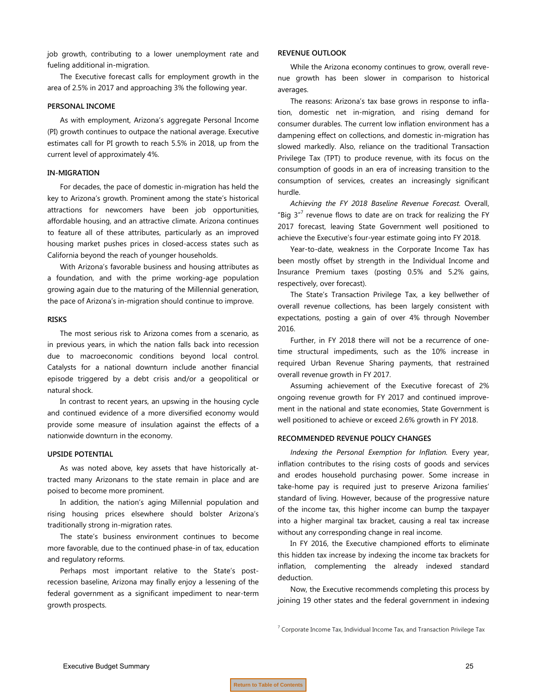job growth, contributing to a lower unemployment rate and fueling additional in-migration.

The Executive forecast calls for employment growth in the area of 2.5% in 2017 and approaching 3% the following year.

#### **PERSONAL INCOME**

As with employment, Arizona's aggregate Personal Income (PI) growth continues to outpace the national average. Executive estimates call for PI growth to reach 5.5% in 2018, up from the current level of approximately 4%.

#### **IN-MIGRATION**

For decades, the pace of domestic in-migration has held the key to Arizona's growth. Prominent among the state's historical attractions for newcomers have been job opportunities, affordable housing, and an attractive climate. Arizona continues to feature all of these attributes, particularly as an improved housing market pushes prices in closed-access states such as California beyond the reach of younger households.

With Arizona's favorable business and housing attributes as a foundation, and with the prime working-age population growing again due to the maturing of the Millennial generation, the pace of Arizona's in-migration should continue to improve.

#### **RISKS**

The most serious risk to Arizona comes from a scenario, as in previous years, in which the nation falls back into recession due to macroeconomic conditions beyond local control. Catalysts for a national downturn include another financial episode triggered by a debt crisis and/or a geopolitical or natural shock.

In contrast to recent years, an upswing in the housing cycle and continued evidence of a more diversified economy would provide some measure of insulation against the effects of a nationwide downturn in the economy.

#### **UPSIDE POTENTIAL**

As was noted above, key assets that have historically attracted many Arizonans to the state remain in place and are poised to become more prominent.

In addition, the nation's aging Millennial population and rising housing prices elsewhere should bolster Arizona's traditionally strong in-migration rates.

The state's business environment continues to become more favorable, due to the continued phase-in of tax, education and regulatory reforms.

Perhaps most important relative to the State's postrecession baseline, Arizona may finally enjoy a lessening of the federal government as a significant impediment to near-term growth prospects.

#### **REVENUE OUTLOOK**

While the Arizona economy continues to grow, overall revenue growth has been slower in comparison to historical averages.

The reasons: Arizona's tax base grows in response to inflation, domestic net in-migration, and rising demand for consumer durables. The current low inflation environment has a dampening effect on collections, and domestic in-migration has slowed markedly. Also, reliance on the traditional Transaction Privilege Tax (TPT) to produce revenue, with its focus on the consumption of goods in an era of increasing transition to the consumption of services, creates an increasingly significant hurdle.

*Achieving the FY 2018 Baseline Revenue Forecast.* Overall, "Big  $3''$  revenue flows to date are on track for realizing the FY 2017 forecast, leaving State Government well positioned to achieve the Executive's four-year estimate going into FY 2018.

Year-to-date, weakness in the Corporate Income Tax has been mostly offset by strength in the Individual Income and Insurance Premium taxes (posting 0.5% and 5.2% gains, respectively, over forecast).

The State's Transaction Privilege Tax, a key bellwether of overall revenue collections, has been largely consistent with expectations, posting a gain of over 4% through November 2016.

Further, in FY 2018 there will not be a recurrence of onetime structural impediments, such as the 10% increase in required Urban Revenue Sharing payments, that restrained overall revenue growth in FY 2017.

Assuming achievement of the Executive forecast of 2% ongoing revenue growth for FY 2017 and continued improvement in the national and state economies, State Government is well positioned to achieve or exceed 2.6% growth in FY 2018.

#### **RECOMMENDED REVENUE POLICY CHANGES**

*Indexing the Personal Exemption for Inflation.* Every year, inflation contributes to the rising costs of goods and services and erodes household purchasing power. Some increase in take-home pay is required just to preserve Arizona families' standard of living. However, because of the progressive nature of the income tax, this higher income can bump the taxpayer into a higher marginal tax bracket, causing a real tax increase without any corresponding change in real income.

In FY 2016, the Executive championed efforts to eliminate this hidden tax increase by indexing the income tax brackets for inflation, complementing the already indexed standard deduction.

Now, the Executive recommends completing this process by joining 19 other states and the federal government in indexing

 $7$  Corporate Income Tax, Individual Income Tax, and Transaction Privilege Tax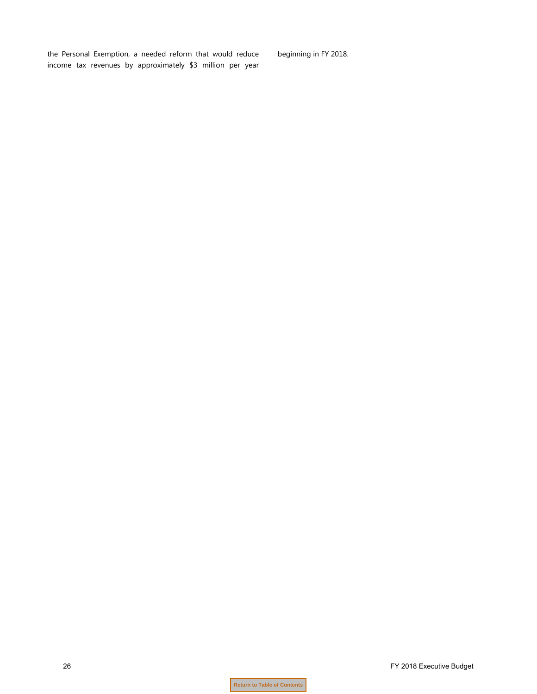the Personal Exemption, a needed reform that would reduce income tax revenues by approximately \$3 million per year beginning in FY 2018.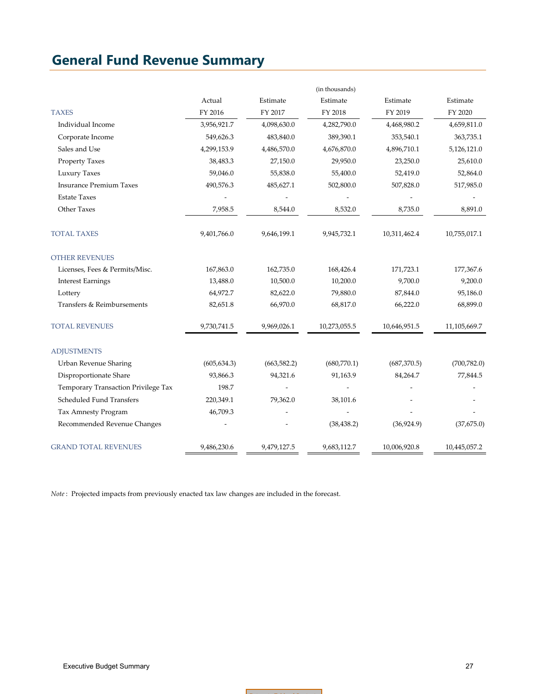### <span id="page-28-0"></span>**General Fund Revenue Summary**

|                                     |              |              | (in thousands) |              |              |
|-------------------------------------|--------------|--------------|----------------|--------------|--------------|
|                                     | Actual       | Estimate     | Estimate       | Estimate     | Estimate     |
| <b>TAXES</b>                        | FY 2016      | FY 2017      | FY 2018        | FY 2019      | FY 2020      |
| Individual Income                   | 3,956,921.7  | 4,098,630.0  | 4,282,790.0    | 4,468,980.2  | 4,659,811.0  |
| Corporate Income                    | 549,626.3    | 483,840.0    | 389,390.1      | 353,540.1    | 363,735.1    |
| Sales and Use                       | 4,299,153.9  | 4,486,570.0  | 4,676,870.0    | 4,896,710.1  | 5,126,121.0  |
| Property Taxes                      | 38,483.3     | 27,150.0     | 29,950.0       | 23,250.0     | 25,610.0     |
| Luxury Taxes                        | 59,046.0     | 55,838.0     | 55,400.0       | 52,419.0     | 52,864.0     |
| <b>Insurance Premium Taxes</b>      | 490,576.3    | 485,627.1    | 502,800.0      | 507,828.0    | 517,985.0    |
| <b>Estate Taxes</b>                 |              |              |                |              |              |
| Other Taxes                         | 7,958.5      | 8,544.0      | 8,532.0        | 8,735.0      | 8,891.0      |
| <b>TOTAL TAXES</b>                  | 9,401,766.0  | 9,646,199.1  | 9,945,732.1    | 10,311,462.4 | 10,755,017.1 |
| <b>OTHER REVENUES</b>               |              |              |                |              |              |
| Licenses, Fees & Permits/Misc.      | 167,863.0    | 162,735.0    | 168,426.4      | 171,723.1    | 177,367.6    |
| <b>Interest Earnings</b>            | 13,488.0     | 10,500.0     | 10,200.0       | 9,700.0      | 9,200.0      |
| Lottery                             | 64,972.7     | 82,622.0     | 79,880.0       | 87,844.0     | 95,186.0     |
| Transfers & Reimbursements          | 82,651.8     | 66,970.0     | 68,817.0       | 66,222.0     | 68,899.0     |
| <b>TOTAL REVENUES</b>               | 9,730,741.5  | 9,969,026.1  | 10,273,055.5   | 10,646,951.5 | 11,105,669.7 |
| <b>ADJUSTMENTS</b>                  |              |              |                |              |              |
| Urban Revenue Sharing               | (605, 634.3) | (663, 582.2) | (680,770.1)    | (687, 370.5) | (700, 782.0) |
| Disproportionate Share              | 93,866.3     | 94,321.6     | 91,163.9       | 84,264.7     | 77,844.5     |
| Temporary Transaction Privilege Tax | 198.7        |              |                |              |              |
| Scheduled Fund Transfers            | 220,349.1    | 79,362.0     | 38,101.6       |              |              |
| Tax Amnesty Program                 | 46,709.3     |              |                |              |              |
| Recommended Revenue Changes         |              |              | (38, 438.2)    | (36,924.9)   | (37,675.0)   |
| <b>GRAND TOTAL REVENUES</b>         | 9,486,230.6  | 9,479,127.5  | 9,683,112.7    | 10,006,920.8 | 10,445,057.2 |

*Note* : Projected impacts from previously enacted tax law changes are included in the forecast.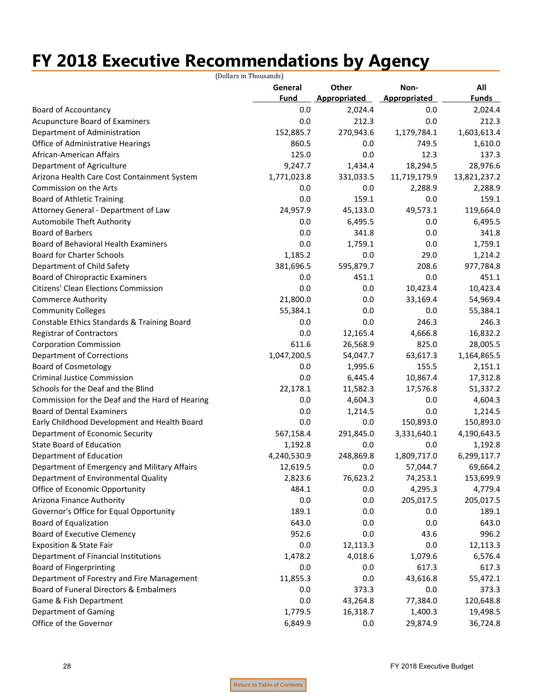# <span id="page-29-0"></span>**FY 2018 Executive Recommendations by Agency**

|                                                 | (Dollars in Thousands) |              |              |              |
|-------------------------------------------------|------------------------|--------------|--------------|--------------|
|                                                 | General                | Other        | Non-         | All          |
|                                                 | <b>Fund</b>            | Appropriated | Appropriated | <b>Funds</b> |
| <b>Board of Accountancy</b>                     | 0.0                    | 2,024.4      | 0.0          | 2,024.4      |
| Acupuncture Board of Examiners                  | 0.0                    | 212.3        | 0.0          | 212.3        |
| Department of Administration                    | 152,885.7              | 270,943.6    | 1,179,784.1  | 1,603,613.4  |
| Office of Administrative Hearings               | 860.5                  | 0.0          | 749.5        | 1,610.0      |
| African-American Affairs                        | 125.0                  | 0.0          | 12.3         | 137.3        |
| Department of Agriculture                       | 9,247.7                | 1,434.4      | 18,294.5     | 28,976.6     |
| Arizona Health Care Cost Containment System     | 1,771,023.8            | 331,033.5    | 11,719,179.9 | 13,821,237.2 |
| Commission on the Arts                          | 0.0                    | 0.0          | 2,288.9      | 2,288.9      |
| <b>Board of Athletic Training</b>               | 0.0                    | 159.1        | 0.0          | 159.1        |
| Attorney General - Department of Law            | 24,957.9               | 45,133.0     | 49,573.1     | 119,664.0    |
| Automobile Theft Authority                      | 0.0                    | 6,495.5      | 0.0          | 6,495.5      |
| <b>Board of Barbers</b>                         | 0.0                    | 341.8        | 0.0          | 341.8        |
| Board of Behavioral Health Examiners            | 0.0                    | 1,759.1      | 0.0          | 1,759.1      |
| <b>Board for Charter Schools</b>                | 1,185.2                | 0.0          | 29.0         | 1,214.2      |
| Department of Child Safety                      | 381,696.5              | 595,879.7    | 208.6        | 977,784.8    |
| Board of Chiropractic Examiners                 | 0.0                    | 451.1        | 0.0          | 451.1        |
| <b>Citizens' Clean Elections Commission</b>     | 0.0                    | 0.0          | 10,423.4     | 10,423.4     |
| <b>Commerce Authority</b>                       | 21,800.0               | 0.0          | 33,169.4     | 54,969.4     |
| <b>Community Colleges</b>                       | 55,384.1               | 0.0          | 0.0          | 55,384.1     |
| Constable Ethics Standards & Training Board     | 0.0                    | 0.0          | 246.3        | 246.3        |
| <b>Registrar of Contractors</b>                 | 0.0                    | 12,165.4     | 4,666.8      | 16,832.2     |
| <b>Corporation Commission</b>                   | 611.6                  | 26,568.9     | 825.0        | 28,005.5     |
| <b>Department of Corrections</b>                | 1,047,200.5            | 54,047.7     | 63,617.3     | 1,164,865.5  |
| <b>Board of Cosmetology</b>                     | 0.0                    | 1,995.6      | 155.5        | 2,151.1      |
| <b>Criminal Justice Commission</b>              | 0.0                    | 6,445.4      | 10,867.4     | 17,312.8     |
| Schools for the Deaf and the Blind              | 22,178.1               | 11,582.3     | 17,576.8     | 51,337.2     |
| Commission for the Deaf and the Hard of Hearing | 0.0                    | 4,604.3      | 0.0          | 4,604.3      |
| <b>Board of Dental Examiners</b>                | 0.0                    | 1,214.5      | 0.0          | 1,214.5      |
| Early Childhood Development and Health Board    | 0.0                    | 0.0          | 150,893.0    | 150,893.0    |
| Department of Economic Security                 | 567,158.4              | 291,845.0    | 3,331,640.1  | 4,190,643.5  |
| <b>State Board of Education</b>                 | 1,192.8                | 0.0          | 0.0          | 1,192.8      |
| Department of Education                         | 4,240,530.9            | 248,869.8    | 1,809,717.0  | 6,299,117.7  |
| Department of Emergency and Military Affairs    | 12,619.5               | 0.0          | 57,044.7     | 69,664.2     |
| Department of Environmental Quality             | 2,823.6                | 76,623.2     | 74,253.1     | 153,699.9    |
| Office of Economic Opportunity                  | 484.1                  | 0.0          | 4,295.3      | 4,779.4      |
| Arizona Finance Authority                       | 0.0                    | 0.0          | 205,017.5    | 205,017.5    |
| Governor's Office for Equal Opportunity         | 189.1                  | 0.0          | 0.0          | 189.1        |
| <b>Board of Equalization</b>                    | 643.0                  | 0.0          | 0.0          | 643.0        |
| <b>Board of Executive Clemency</b>              | 952.6                  | 0.0          | 43.6         | 996.2        |
| Exposition & State Fair                         | 0.0                    | 12,113.3     | 0.0          | 12,113.3     |
| Department of Financial Institutions            | 1,478.2                | 4,018.6      | 1,079.6      | 6,576.4      |
| <b>Board of Fingerprinting</b>                  | 0.0                    | 0.0          | 617.3        | 617.3        |
| Department of Forestry and Fire Management      | 11,855.3               | 0.0          | 43,616.8     | 55,472.1     |
| Board of Funeral Directors & Embalmers          | 0.0                    | 373.3        | 0.0          | 373.3        |
| Game & Fish Department                          | 0.0                    | 43,264.8     | 77,384.0     | 120,648.8    |
| <b>Department of Gaming</b>                     | 1,779.5                | 16,318.7     | 1,400.3      | 19,498.5     |
| Office of the Governor                          | 6,849.9                | 0.0          | 29,874.9     | 36,724.8     |
|                                                 |                        |              |              |              |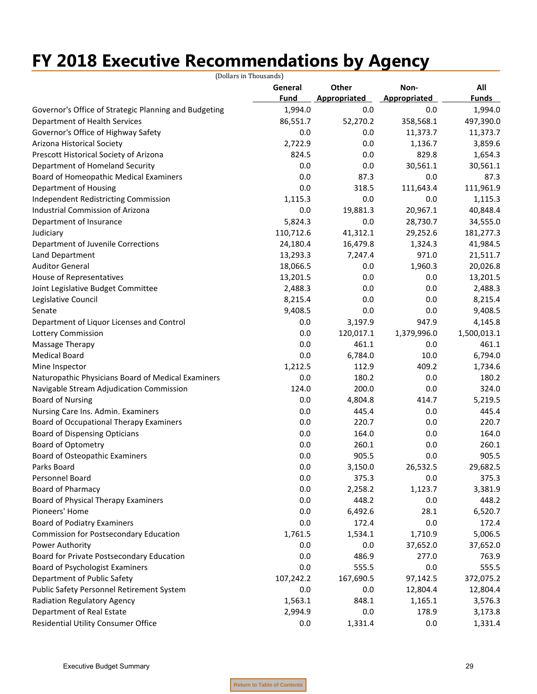# **FY 2018 Executive Recommendations by Agency**

|                                                       | (Dollars in Thousands) |              |              |              |
|-------------------------------------------------------|------------------------|--------------|--------------|--------------|
|                                                       | General                | Other        | Non-         | All          |
|                                                       | Fund                   | Appropriated | Appropriated | <b>Funds</b> |
| Governor's Office of Strategic Planning and Budgeting | 1,994.0                | 0.0          | 0.0          | 1,994.0      |
| Department of Health Services                         | 86,551.7               | 52,270.2     | 358,568.1    | 497,390.0    |
| Governor's Office of Highway Safety                   | 0.0                    | 0.0          | 11,373.7     | 11,373.7     |
| Arizona Historical Society                            | 2,722.9                | 0.0          | 1,136.7      | 3,859.6      |
| Prescott Historical Society of Arizona                | 824.5                  | 0.0          | 829.8        | 1,654.3      |
| Department of Homeland Security                       | 0.0                    | 0.0          | 30,561.1     | 30,561.1     |
| Board of Homeopathic Medical Examiners                | 0.0                    | 87.3         | 0.0          | 87.3         |
| Department of Housing                                 | 0.0                    | 318.5        | 111,643.4    | 111,961.9    |
| Independent Redistricting Commission                  | 1,115.3                | 0.0          | 0.0          | 1,115.3      |
| Industrial Commission of Arizona                      | 0.0                    | 19,881.3     | 20,967.1     | 40,848.4     |
| Department of Insurance                               | 5,824.3                | 0.0          | 28,730.7     | 34,555.0     |
| Judiciary                                             | 110,712.6              | 41,312.1     | 29,252.6     | 181,277.3    |
| Department of Juvenile Corrections                    | 24,180.4               | 16,479.8     | 1,324.3      | 41,984.5     |
| Land Department                                       | 13,293.3               | 7,247.4      | 971.0        | 21,511.7     |
| <b>Auditor General</b>                                | 18,066.5               | 0.0          | 1,960.3      | 20,026.8     |
| House of Representatives                              | 13,201.5               | 0.0          | 0.0          | 13,201.5     |
| Joint Legislative Budget Committee                    | 2,488.3                | 0.0          | 0.0          | 2,488.3      |
| Legislative Council                                   | 8,215.4                | 0.0          | 0.0          | 8,215.4      |
| Senate                                                | 9,408.5                | 0.0          | 0.0          | 9,408.5      |
| Department of Liquor Licenses and Control             | 0.0                    | 3,197.9      | 947.9        | 4,145.8      |
| Lottery Commission                                    | 0.0                    | 120,017.1    | 1,379,996.0  | 1,500,013.1  |
| Massage Therapy                                       | 0.0                    | 461.1        | 0.0          | 461.1        |
| <b>Medical Board</b>                                  | 0.0                    | 6,784.0      | 10.0         | 6,794.0      |
| Mine Inspector                                        | 1,212.5                | 112.9        | 409.2        | 1,734.6      |
| Naturopathic Physicians Board of Medical Examiners    | 0.0                    | 180.2        | 0.0          | 180.2        |
| Navigable Stream Adjudication Commission              | 124.0                  | 200.0        | 0.0          | 324.0        |
| <b>Board of Nursing</b>                               | 0.0                    | 4,804.8      | 414.7        | 5,219.5      |
| Nursing Care Ins. Admin. Examiners                    | 0.0                    | 445.4        | 0.0          | 445.4        |
| Board of Occupational Therapy Examiners               | 0.0                    | 220.7        | 0.0          | 220.7        |
| <b>Board of Dispensing Opticians</b>                  | 0.0                    | 164.0        | 0.0          | 164.0        |
| <b>Board of Optometry</b>                             | 0.0                    | 260.1        | 0.0          | 260.1        |
| Board of Osteopathic Examiners                        | 0.0                    | 905.5        | 0.0          | 905.5        |
| Parks Board                                           | 0.0                    | 3,150.0      | 26,532.5     | 29,682.5     |
| Personnel Board                                       | 0.0                    | 375.3        | 0.0          | 375.3        |
| <b>Board of Pharmacy</b>                              | 0.0                    | 2,258.2      | 1,123.7      | 3,381.9      |
| Board of Physical Therapy Examiners                   | 0.0                    | 448.2        | 0.0          | 448.2        |
| Pioneers' Home                                        | 0.0                    | 6,492.6      | 28.1         | 6,520.7      |
| <b>Board of Podiatry Examiners</b>                    | 0.0                    | 172.4        | 0.0          | 172.4        |
| Commission for Postsecondary Education                | 1,761.5                | 1,534.1      | 1,710.9      | 5,006.5      |
|                                                       |                        |              |              |              |
| Power Authority                                       | 0.0                    | 0.0          | 37,652.0     | 37,652.0     |
| Board for Private Postsecondary Education             | 0.0                    | 486.9        | 277.0        | 763.9        |
| Board of Psychologist Examiners                       | 0.0                    | 555.5        | 0.0          | 555.5        |
| Department of Public Safety                           | 107,242.2              | 167,690.5    | 97,142.5     | 372,075.2    |
| Public Safety Personnel Retirement System             | 0.0                    | 0.0          | 12,804.4     | 12,804.4     |
| Radiation Regulatory Agency                           | 1,563.1                | 848.1        | 1,165.1      | 3,576.3      |
| Department of Real Estate                             | 2,994.9                | 0.0          | 178.9        | 3,173.8      |
| Residential Utility Consumer Office                   | 0.0                    | 1,331.4      | 0.0          | 1,331.4      |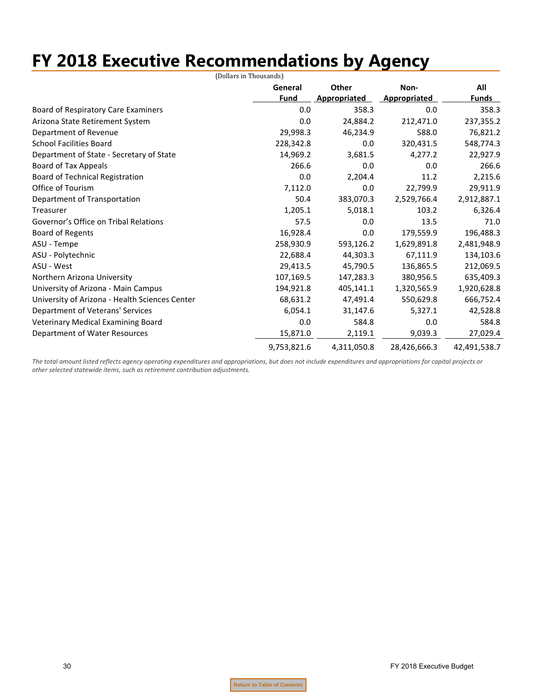# **FY 2018 Executive Recommendations by Agency**

|                                                | (Dollars in Thousands) |              |              |              |
|------------------------------------------------|------------------------|--------------|--------------|--------------|
|                                                | General                | <b>Other</b> | Non-         | All          |
|                                                | <b>Fund</b>            | Appropriated | Appropriated | <u>Funds</u> |
| <b>Board of Respiratory Care Examiners</b>     | 0.0                    | 358.3        | 0.0          | 358.3        |
| Arizona State Retirement System                | 0.0                    | 24,884.2     | 212,471.0    | 237,355.2    |
| Department of Revenue                          | 29,998.3               | 46,234.9     | 588.0        | 76,821.2     |
| <b>School Facilities Board</b>                 | 228,342.8              | 0.0          | 320,431.5    | 548,774.3    |
| Department of State - Secretary of State       | 14,969.2               | 3,681.5      | 4,277.2      | 22,927.9     |
| Board of Tax Appeals                           | 266.6                  | 0.0          | 0.0          | 266.6        |
| Board of Technical Registration                | 0.0                    | 2,204.4      | 11.2         | 2,215.6      |
| Office of Tourism                              | 7,112.0                | 0.0          | 22,799.9     | 29,911.9     |
| Department of Transportation                   | 50.4                   | 383,070.3    | 2,529,766.4  | 2,912,887.1  |
| Treasurer                                      | 1,205.1                | 5,018.1      | 103.2        | 6,326.4      |
| Governor's Office on Tribal Relations          | 57.5                   | 0.0          | 13.5         | 71.0         |
| <b>Board of Regents</b>                        | 16,928.4               | 0.0          | 179,559.9    | 196,488.3    |
| ASU - Tempe                                    | 258,930.9              | 593,126.2    | 1,629,891.8  | 2,481,948.9  |
| ASU - Polytechnic                              | 22,688.4               | 44,303.3     | 67,111.9     | 134,103.6    |
| ASU - West                                     | 29,413.5               | 45,790.5     | 136,865.5    | 212,069.5    |
| Northern Arizona University                    | 107,169.5              | 147,283.3    | 380,956.5    | 635,409.3    |
| University of Arizona - Main Campus            | 194,921.8              | 405,141.1    | 1,320,565.9  | 1,920,628.8  |
| University of Arizona - Health Sciences Center | 68,631.2               | 47,491.4     | 550,629.8    | 666,752.4    |
| Department of Veterans' Services               | 6,054.1                | 31,147.6     | 5,327.1      | 42,528.8     |
| Veterinary Medical Examining Board             | 0.0                    | 584.8        | 0.0          | 584.8        |
| Department of Water Resources                  | 15,871.0               | 2,119.1      | 9,039.3      | 27,029.4     |
|                                                | 9,753,821.6            | 4,311,050.8  | 28,426,666.3 | 42,491,538.7 |

The total amount listed reflects agency operating expenditures and appropriations, but does not include expenditures and appropriations for capital projects or *other selected statewide items, such as retirement contribution adjustments.*

30 FY 2018 Executive Budget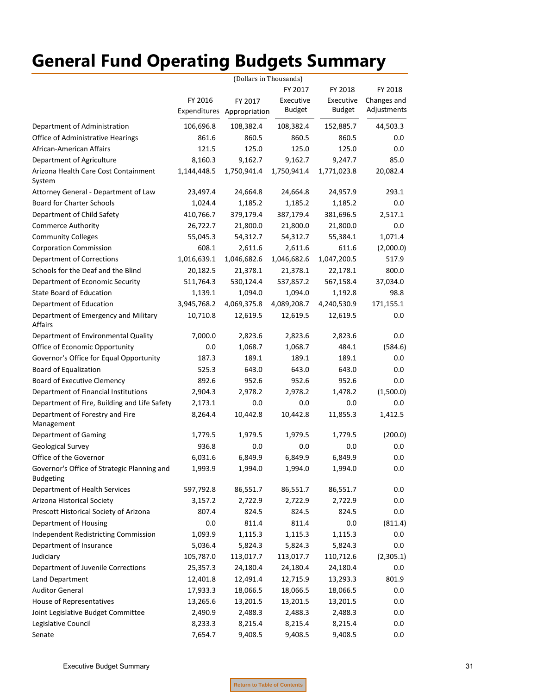# <span id="page-32-0"></span>**General Fund Operating Budgets Summary**

|                                                                 | (Dollars in Thousands) |                            |               |               |             |
|-----------------------------------------------------------------|------------------------|----------------------------|---------------|---------------|-------------|
|                                                                 |                        |                            | FY 2017       | FY 2018       | FY 2018     |
|                                                                 | FY 2016                | FY 2017                    | Executive     | Executive     | Changes and |
|                                                                 |                        | Expenditures Appropriation | <b>Budget</b> | <b>Budget</b> | Adjustments |
| Department of Administration                                    | 106,696.8              | 108,382.4                  | 108,382.4     | 152,885.7     | 44,503.3    |
| Office of Administrative Hearings                               | 861.6                  | 860.5                      | 860.5         | 860.5         | 0.0         |
| African-American Affairs                                        | 121.5                  | 125.0                      | 125.0         | 125.0         | 0.0         |
| Department of Agriculture                                       | 8,160.3                | 9,162.7                    | 9,162.7       | 9,247.7       | 85.0        |
| Arizona Health Care Cost Containment<br>System                  | 1,144,448.5            | 1,750,941.4                | 1,750,941.4   | 1,771,023.8   | 20,082.4    |
| Attorney General - Department of Law                            | 23,497.4               | 24,664.8                   | 24,664.8      | 24,957.9      | 293.1       |
| <b>Board for Charter Schools</b>                                | 1,024.4                | 1,185.2                    | 1,185.2       | 1,185.2       | 0.0         |
| Department of Child Safety                                      | 410,766.7              | 379,179.4                  | 387,179.4     | 381,696.5     | 2,517.1     |
| <b>Commerce Authority</b>                                       | 26,722.7               | 21,800.0                   | 21,800.0      | 21,800.0      | 0.0         |
| <b>Community Colleges</b>                                       | 55,045.3               | 54,312.7                   | 54,312.7      | 55,384.1      | 1,071.4     |
| <b>Corporation Commission</b>                                   | 608.1                  | 2,611.6                    | 2,611.6       | 611.6         | (2,000.0)   |
| Department of Corrections                                       | 1,016,639.1            | 1,046,682.6                | 1,046,682.6   | 1,047,200.5   | 517.9       |
| Schools for the Deaf and the Blind                              | 20,182.5               | 21,378.1                   | 21,378.1      | 22,178.1      | 800.0       |
| Department of Economic Security                                 | 511,764.3              | 530,124.4                  | 537,857.2     | 567,158.4     | 37,034.0    |
| <b>State Board of Education</b>                                 | 1,139.1                | 1,094.0                    | 1,094.0       | 1,192.8       | 98.8        |
| Department of Education                                         | 3,945,768.2            | 4,069,375.8                | 4,089,208.7   | 4,240,530.9   | 171,155.1   |
| Department of Emergency and Military<br>Affairs                 | 10,710.8               | 12,619.5                   | 12,619.5      | 12,619.5      | 0.0         |
| Department of Environmental Quality                             | 7,000.0                | 2,823.6                    | 2,823.6       | 2,823.6       | $0.0\,$     |
| Office of Economic Opportunity                                  | 0.0                    | 1,068.7                    | 1,068.7       | 484.1         | (584.6)     |
| Governor's Office for Equal Opportunity                         | 187.3                  | 189.1                      | 189.1         | 189.1         | 0.0         |
| <b>Board of Equalization</b>                                    | 525.3                  | 643.0                      | 643.0         | 643.0         | 0.0         |
| Board of Executive Clemency                                     | 892.6                  | 952.6                      | 952.6         | 952.6         | $0.0\,$     |
| Department of Financial Institutions                            | 2,904.3                | 2,978.2                    | 2,978.2       | 1,478.2       | (1,500.0)   |
| Department of Fire, Building and Life Safety                    | 2,173.1                | 0.0                        | 0.0           | 0.0           | $0.0\,$     |
| Department of Forestry and Fire                                 | 8,264.4                | 10,442.8                   | 10,442.8      | 11,855.3      | 1,412.5     |
| Management                                                      |                        |                            |               |               |             |
| Department of Gaming                                            | 1,779.5                | 1,979.5                    | 1,979.5       | 1,779.5       | (200.0)     |
| Geological Survey                                               | 936.8                  | 0.0                        | 0.0           | 0.0           | $0.0\,$     |
| Office of the Governor                                          | 6,031.6                | 6,849.9                    | 6,849.9       | 6,849.9       | 0.0         |
| Governor's Office of Strategic Planning and<br><b>Budgeting</b> | 1,993.9                | 1,994.0                    | 1,994.0       | 1,994.0       | $0.0\,$     |
| Department of Health Services                                   | 597,792.8              | 86,551.7                   | 86,551.7      | 86,551.7      | 0.0         |
| Arizona Historical Society                                      | 3,157.2                | 2,722.9                    | 2,722.9       | 2,722.9       | 0.0         |
| Prescott Historical Society of Arizona                          | 807.4                  | 824.5                      | 824.5         | 824.5         | $0.0\,$     |
| Department of Housing                                           | 0.0                    | 811.4                      | 811.4         | 0.0           | (811.4)     |
| <b>Independent Redistricting Commission</b>                     | 1,093.9                | 1,115.3                    | 1,115.3       | 1,115.3       | 0.0         |
| Department of Insurance                                         | 5,036.4                | 5,824.3                    | 5,824.3       | 5,824.3       | 0.0         |
| Judiciary                                                       | 105,787.0              | 113,017.7                  | 113,017.7     | 110,712.6     | (2,305.1)   |
| Department of Juvenile Corrections                              | 25,357.3               | 24,180.4                   | 24,180.4      | 24,180.4      | 0.0         |
| Land Department                                                 | 12,401.8               | 12,491.4                   | 12,715.9      | 13,293.3      | 801.9       |
| <b>Auditor General</b>                                          | 17,933.3               | 18,066.5                   | 18,066.5      | 18,066.5      | 0.0         |
| House of Representatives                                        | 13,265.6               | 13,201.5                   | 13,201.5      | 13,201.5      | 0.0         |
| Joint Legislative Budget Committee                              | 2,490.9                | 2,488.3                    | 2,488.3       | 2,488.3       | 0.0         |
| Legislative Council                                             | 8,233.3                | 8,215.4                    | 8,215.4       | 8,215.4       | 0.0         |
| Senate                                                          | 7,654.7                | 9,408.5                    | 9,408.5       | 9,408.5       | 0.0         |
|                                                                 |                        |                            |               |               |             |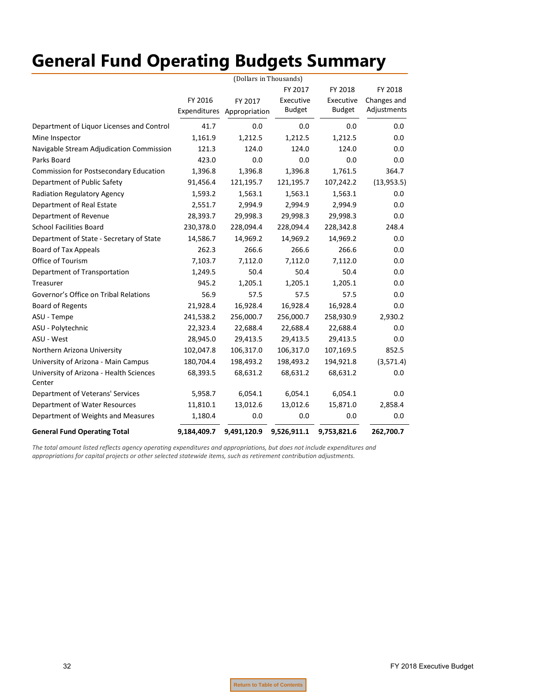# **General Fund Operating Budgets Summary**

|                                                   | (Dollars in Thousands) |               |               |               |             |
|---------------------------------------------------|------------------------|---------------|---------------|---------------|-------------|
|                                                   |                        |               | FY 2017       | FY 2018       | FY 2018     |
|                                                   | FY 2016                | FY 2017       | Executive     | Executive     | Changes and |
|                                                   | Expenditures           | Appropriation | <b>Budget</b> | <b>Budget</b> | Adjustments |
| Department of Liquor Licenses and Control         | 41.7                   | 0.0           | 0.0           | 0.0           | 0.0         |
| Mine Inspector                                    | 1,161.9                | 1,212.5       | 1,212.5       | 1,212.5       | 0.0         |
| Navigable Stream Adjudication Commission          | 121.3                  | 124.0         | 124.0         | 124.0         | 0.0         |
| Parks Board                                       | 423.0                  | 0.0           | 0.0           | 0.0           | 0.0         |
| Commission for Postsecondary Education            | 1,396.8                | 1,396.8       | 1,396.8       | 1,761.5       | 364.7       |
| Department of Public Safety                       | 91,456.4               | 121,195.7     | 121,195.7     | 107,242.2     | (13,953.5)  |
| Radiation Regulatory Agency                       | 1,593.2                | 1,563.1       | 1,563.1       | 1,563.1       | 0.0         |
| Department of Real Estate                         | 2,551.7                | 2,994.9       | 2,994.9       | 2,994.9       | 0.0         |
| Department of Revenue                             | 28,393.7               | 29,998.3      | 29,998.3      | 29,998.3      | 0.0         |
| <b>School Facilities Board</b>                    | 230,378.0              | 228,094.4     | 228,094.4     | 228,342.8     | 248.4       |
| Department of State - Secretary of State          | 14,586.7               | 14,969.2      | 14,969.2      | 14,969.2      | 0.0         |
| Board of Tax Appeals                              | 262.3                  | 266.6         | 266.6         | 266.6         | 0.0         |
| Office of Tourism                                 | 7,103.7                | 7,112.0       | 7,112.0       | 7,112.0       | 0.0         |
| Department of Transportation                      | 1,249.5                | 50.4          | 50.4          | 50.4          | 0.0         |
| Treasurer                                         | 945.2                  | 1,205.1       | 1,205.1       | 1,205.1       | 0.0         |
| Governor's Office on Tribal Relations             | 56.9                   | 57.5          | 57.5          | 57.5          | 0.0         |
| <b>Board of Regents</b>                           | 21,928.4               | 16,928.4      | 16,928.4      | 16,928.4      | 0.0         |
| ASU - Tempe                                       | 241,538.2              | 256,000.7     | 256,000.7     | 258,930.9     | 2,930.2     |
| ASU - Polytechnic                                 | 22,323.4               | 22,688.4      | 22,688.4      | 22,688.4      | 0.0         |
| ASU - West                                        | 28,945.0               | 29,413.5      | 29,413.5      | 29,413.5      | 0.0         |
| Northern Arizona University                       | 102,047.8              | 106,317.0     | 106,317.0     | 107,169.5     | 852.5       |
| University of Arizona - Main Campus               | 180,704.4              | 198,493.2     | 198,493.2     | 194,921.8     | (3,571.4)   |
| University of Arizona - Health Sciences<br>Center | 68,393.5               | 68,631.2      | 68,631.2      | 68,631.2      | 0.0         |
| Department of Veterans' Services                  | 5,958.7                | 6,054.1       | 6,054.1       | 6,054.1       | 0.0         |
| Department of Water Resources                     | 11,810.1               | 13,012.6      | 13,012.6      | 15,871.0      | 2,858.4     |
| Department of Weights and Measures                | 1,180.4                | 0.0           | 0.0           | 0.0           | 0.0         |
| <b>General Fund Operating Total</b>               | 9,184,409.7            | 9,491,120.9   | 9,526,911.1   | 9,753,821.6   | 262,700.7   |

The total amount listed reflects agency operating expenditures and appropriations, but does not include expenditures and *appropriations for capital projects or other selected statewide items, such as retirement contribution adjustments.*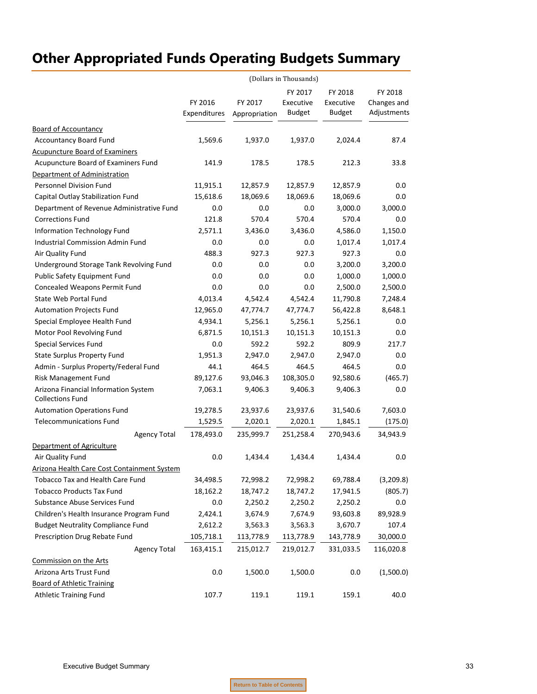<span id="page-34-0"></span>

|                                                                 | FY 2016<br>Expenditures | FY 2017<br>Appropriation | FY 2017<br>Executive<br><b>Budget</b> | FY 2018<br>Executive<br><b>Budget</b> | FY 2018<br>Changes and<br>Adjustments |
|-----------------------------------------------------------------|-------------------------|--------------------------|---------------------------------------|---------------------------------------|---------------------------------------|
| <b>Board of Accountancy</b>                                     |                         |                          |                                       |                                       |                                       |
| <b>Accountancy Board Fund</b>                                   | 1,569.6                 | 1,937.0                  | 1,937.0                               | 2,024.4                               | 87.4                                  |
| <b>Acupuncture Board of Examiners</b>                           |                         |                          |                                       |                                       |                                       |
| Acupuncture Board of Examiners Fund                             | 141.9                   | 178.5                    | 178.5                                 | 212.3                                 | 33.8                                  |
| Department of Administration                                    |                         |                          |                                       |                                       |                                       |
| Personnel Division Fund                                         | 11,915.1                | 12,857.9                 | 12,857.9                              | 12,857.9                              | 0.0                                   |
| Capital Outlay Stabilization Fund                               | 15,618.6                | 18,069.6                 | 18,069.6                              | 18,069.6                              | 0.0                                   |
| Department of Revenue Administrative Fund                       | 0.0                     | 0.0                      | 0.0                                   | 3,000.0                               | 3,000.0                               |
| <b>Corrections Fund</b>                                         | 121.8                   | 570.4                    | 570.4                                 | 570.4                                 | 0.0                                   |
| Information Technology Fund                                     | 2,571.1                 | 3,436.0                  | 3,436.0                               | 4,586.0                               | 1,150.0                               |
| Industrial Commission Admin Fund                                | 0.0                     | 0.0                      | 0.0                                   | 1,017.4                               | 1,017.4                               |
| Air Quality Fund                                                | 488.3                   | 927.3                    | 927.3                                 | 927.3                                 | 0.0                                   |
| Underground Storage Tank Revolving Fund                         | 0.0                     | 0.0                      | 0.0                                   | 3,200.0                               | 3,200.0                               |
| Public Safety Equipment Fund                                    | 0.0                     | 0.0                      | 0.0                                   | 1,000.0                               | 1,000.0                               |
| Concealed Weapons Permit Fund                                   | 0.0                     | 0.0                      | 0.0                                   | 2,500.0                               | 2,500.0                               |
| State Web Portal Fund                                           | 4,013.4                 | 4,542.4                  | 4,542.4                               | 11,790.8                              | 7,248.4                               |
| <b>Automation Projects Fund</b>                                 | 12,965.0                | 47,774.7                 | 47,774.7                              | 56,422.8                              | 8,648.1                               |
| Special Employee Health Fund                                    | 4,934.1                 | 5,256.1                  | 5,256.1                               | 5,256.1                               | 0.0                                   |
| Motor Pool Revolving Fund                                       | 6,871.5                 | 10,151.3                 | 10,151.3                              | 10,151.3                              | 0.0                                   |
| <b>Special Services Fund</b>                                    | 0.0                     | 592.2                    | 592.2                                 | 809.9                                 | 217.7                                 |
| State Surplus Property Fund                                     | 1,951.3                 | 2,947.0                  | 2,947.0                               | 2,947.0                               | 0.0                                   |
| Admin - Surplus Property/Federal Fund                           | 44.1                    | 464.5                    | 464.5                                 | 464.5                                 | 0.0                                   |
| Risk Management Fund                                            | 89,127.6                | 93,046.3                 | 108,305.0                             | 92,580.6                              | (465.7)                               |
| Arizona Financial Information System<br><b>Collections Fund</b> | 7,063.1                 | 9,406.3                  | 9,406.3                               | 9,406.3                               | 0.0                                   |
| <b>Automation Operations Fund</b>                               | 19,278.5                | 23,937.6                 | 23,937.6                              | 31,540.6                              | 7,603.0                               |
| <b>Telecommunications Fund</b>                                  | 1,529.5                 | 2,020.1                  | 2,020.1                               | 1,845.1                               | (175.0)                               |
| <b>Agency Total</b>                                             | 178,493.0               | 235,999.7                | 251,258.4                             | 270,943.6                             | 34,943.9                              |
| Department of Agriculture                                       |                         |                          |                                       |                                       |                                       |
| Air Quality Fund                                                | 0.0                     | 1,434.4                  | 1,434.4                               | 1,434.4                               | 0.0                                   |
| <b>Arizona Health Care Cost Containment System</b>              |                         |                          |                                       |                                       |                                       |
| <b>Tobacco Tax and Health Care Fund</b>                         | 34,498.5                | 72,998.2                 | 72,998.2                              | 69,788.4                              | (3,209.8)                             |
| <b>Tobacco Products Tax Fund</b>                                | 18,162.2                | 18,747.2                 | 18,747.2                              | 17,941.5                              | (805.7)                               |
| Substance Abuse Services Fund                                   | 0.0                     | 2,250.2                  | 2,250.2                               | 2,250.2                               | 0.0                                   |
| Children's Health Insurance Program Fund                        | 2,424.1                 | 3,674.9                  | 7,674.9                               | 93,603.8                              | 89,928.9                              |
| <b>Budget Neutrality Compliance Fund</b>                        | 2,612.2                 | 3,563.3                  | 3,563.3                               | 3,670.7                               | 107.4                                 |
| Prescription Drug Rebate Fund                                   | 105,718.1               | 113,778.9                | 113,778.9                             | 143,778.9                             | 30,000.0                              |
| <b>Agency Total</b>                                             | 163,415.1               | 215,012.7                | 219,012.7                             | 331,033.5                             | 116,020.8                             |
| Commission on the Arts                                          |                         |                          |                                       |                                       |                                       |
| Arizona Arts Trust Fund                                         | 0.0                     | 1,500.0                  | 1,500.0                               | 0.0                                   | (1,500.0)                             |
| <b>Board of Athletic Training</b>                               |                         |                          |                                       |                                       |                                       |
| <b>Athletic Training Fund</b>                                   | 107.7                   | 119.1                    | 119.1                                 | 159.1                                 | 40.0                                  |
|                                                                 |                         |                          |                                       |                                       |                                       |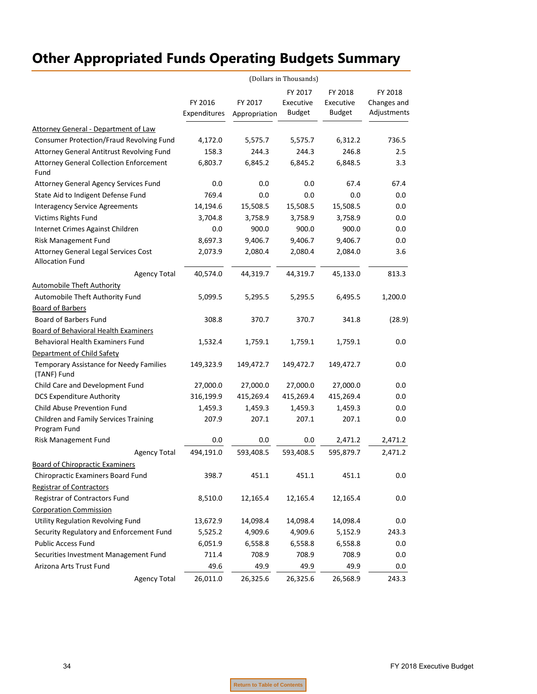|                                                                | (Dollars in Thousands)  |                          |                                       |                                |                                       |  |
|----------------------------------------------------------------|-------------------------|--------------------------|---------------------------------------|--------------------------------|---------------------------------------|--|
|                                                                | FY 2016<br>Expenditures | FY 2017<br>Appropriation | FY 2017<br>Executive<br><b>Budget</b> | FY 2018<br>Executive<br>Budget | FY 2018<br>Changes and<br>Adjustments |  |
| Attorney General - Department of Law                           |                         |                          |                                       |                                |                                       |  |
| Consumer Protection/Fraud Revolving Fund                       | 4,172.0                 | 5,575.7                  | 5,575.7                               | 6,312.2                        | 736.5                                 |  |
| Attorney General Antitrust Revolving Fund                      | 158.3                   | 244.3                    | 244.3                                 | 246.8                          | 2.5                                   |  |
| <b>Attorney General Collection Enforcement</b><br>Fund         | 6,803.7                 | 6,845.2                  | 6,845.2                               | 6,848.5                        | 3.3                                   |  |
| Attorney General Agency Services Fund                          | 0.0                     | 0.0                      | 0.0                                   | 67.4                           | 67.4                                  |  |
| State Aid to Indigent Defense Fund                             | 769.4                   | 0.0                      | $0.0\,$                               | 0.0                            | 0.0                                   |  |
| <b>Interagency Service Agreements</b>                          | 14,194.6                | 15,508.5                 | 15,508.5                              | 15,508.5                       | 0.0                                   |  |
| Victims Rights Fund                                            | 3,704.8                 | 3,758.9                  | 3,758.9                               | 3,758.9                        | 0.0                                   |  |
| Internet Crimes Against Children                               | 0.0                     | 900.0                    | 900.0                                 | 900.0                          | 0.0                                   |  |
| Risk Management Fund                                           | 8,697.3                 | 9,406.7                  | 9,406.7                               | 9,406.7                        | 0.0                                   |  |
| Attorney General Legal Services Cost<br><b>Allocation Fund</b> | 2,073.9                 | 2,080.4                  | 2,080.4                               | 2,084.0                        | 3.6                                   |  |
| <b>Agency Total</b>                                            | 40,574.0                | 44,319.7                 | 44,319.7                              | 45,133.0                       | 813.3                                 |  |
| <b>Automobile Theft Authority</b>                              |                         |                          |                                       |                                |                                       |  |
| Automobile Theft Authority Fund                                | 5,099.5                 | 5,295.5                  | 5,295.5                               | 6,495.5                        | 1,200.0                               |  |
| <b>Board of Barbers</b>                                        |                         |                          |                                       |                                |                                       |  |
| Board of Barbers Fund                                          | 308.8                   | 370.7                    | 370.7                                 | 341.8                          | (28.9)                                |  |
| Board of Behavioral Health Examiners                           |                         |                          |                                       |                                |                                       |  |
| <b>Behavioral Health Examiners Fund</b>                        | 1,532.4                 | 1,759.1                  | 1,759.1                               | 1,759.1                        | $0.0\,$                               |  |
| Department of Child Safety                                     |                         |                          |                                       |                                |                                       |  |
| Temporary Assistance for Needy Families<br>(TANF) Fund         | 149,323.9               | 149,472.7                | 149,472.7                             | 149,472.7                      | 0.0                                   |  |
| Child Care and Development Fund                                | 27,000.0                | 27,000.0                 | 27,000.0                              | 27,000.0                       | 0.0                                   |  |
| <b>DCS Expenditure Authority</b>                               | 316,199.9               | 415,269.4                | 415,269.4                             | 415,269.4                      | $0.0\,$                               |  |
| Child Abuse Prevention Fund                                    | 1,459.3                 | 1,459.3                  | 1,459.3                               | 1,459.3                        | 0.0                                   |  |
| Children and Family Services Training<br>Program Fund          | 207.9                   | 207.1                    | 207.1                                 | 207.1                          | 0.0                                   |  |
| <b>Risk Management Fund</b>                                    | 0.0                     | 0.0                      | 0.0                                   | 2,471.2                        | 2,471.2                               |  |
| <b>Agency Total</b>                                            | 494,191.0               | 593,408.5                | 593,408.5                             | 595,879.7                      | 2,471.2                               |  |
| <b>Board of Chiropractic Examiners</b>                         |                         |                          |                                       |                                |                                       |  |
| Chiropractic Examiners Board Fund                              | 398.7                   | 451.1                    | 451.1                                 | 451.1                          | 0.0                                   |  |
| <b>Registrar of Contractors</b>                                |                         |                          |                                       |                                |                                       |  |
| Registrar of Contractors Fund                                  | 8,510.0                 | 12,165.4                 | 12,165.4                              | 12,165.4                       | 0.0                                   |  |
| <b>Corporation Commission</b>                                  |                         |                          |                                       |                                |                                       |  |
| Utility Regulation Revolving Fund                              | 13,672.9                | 14,098.4                 | 14,098.4                              | 14,098.4                       | 0.0                                   |  |
| Security Regulatory and Enforcement Fund                       | 5,525.2                 | 4,909.6                  | 4,909.6                               | 5,152.9                        | 243.3                                 |  |
| Public Access Fund                                             | 6,051.9                 | 6,558.8                  | 6,558.8                               | 6,558.8                        | 0.0                                   |  |
| Securities Investment Management Fund                          | 711.4                   | 708.9                    | 708.9                                 | 708.9                          | 0.0                                   |  |
| Arizona Arts Trust Fund                                        | 49.6                    | 49.9                     | 49.9                                  | 49.9                           | $0.0\,$                               |  |
| <b>Agency Total</b>                                            | 26,011.0                | 26,325.6                 | 26,325.6                              | 26,568.9                       | 243.3                                 |  |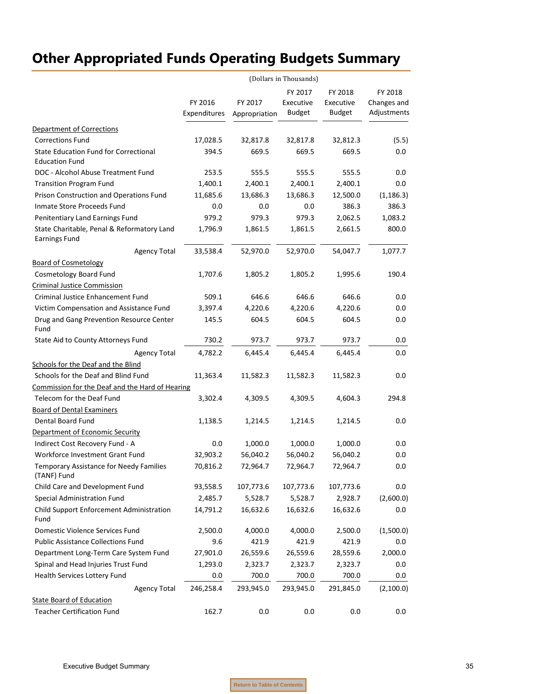|                                                                       | (Dollars in Thousands) |                          |               |               |             |  |  |
|-----------------------------------------------------------------------|------------------------|--------------------------|---------------|---------------|-------------|--|--|
|                                                                       |                        |                          | FY 2017       | FY 2018       | FY 2018     |  |  |
|                                                                       | FY 2016                | FY 2017<br>Appropriation | Executive     | Executive     | Changes and |  |  |
|                                                                       | Expenditures           |                          | <b>Budget</b> | <b>Budget</b> | Adjustments |  |  |
| <b>Department of Corrections</b>                                      |                        |                          |               |               |             |  |  |
| <b>Corrections Fund</b>                                               | 17,028.5               | 32,817.8                 | 32,817.8      | 32,812.3      | (5.5)       |  |  |
| <b>State Education Fund for Correctional</b><br><b>Education Fund</b> | 394.5                  | 669.5                    | 669.5         | 669.5         | $0.0\,$     |  |  |
| DOC - Alcohol Abuse Treatment Fund                                    | 253.5                  | 555.5                    | 555.5         | 555.5         | 0.0         |  |  |
| <b>Transition Program Fund</b>                                        | 1,400.1                | 2,400.1                  | 2,400.1       | 2,400.1       | 0.0         |  |  |
| Prison Construction and Operations Fund                               | 11,685.6               | 13,686.3                 | 13,686.3      | 12,500.0      | (1, 186.3)  |  |  |
| Inmate Store Proceeds Fund                                            | 0.0                    | 0.0                      | 0.0           | 386.3         | 386.3       |  |  |
| Penitentiary Land Earnings Fund                                       | 979.2                  | 979.3                    | 979.3         | 2,062.5       | 1,083.2     |  |  |
| State Charitable, Penal & Reformatory Land<br><b>Earnings Fund</b>    | 1,796.9                | 1,861.5                  | 1,861.5       | 2,661.5       | 800.0       |  |  |
| <b>Agency Total</b>                                                   | 33,538.4               | 52,970.0                 | 52,970.0      | 54,047.7      | 1,077.7     |  |  |
| <b>Board of Cosmetology</b>                                           |                        |                          |               |               |             |  |  |
| Cosmetology Board Fund                                                | 1,707.6                | 1,805.2                  | 1,805.2       | 1,995.6       | 190.4       |  |  |
| <b>Criminal Justice Commission</b>                                    |                        |                          |               |               |             |  |  |
| Criminal Justice Enhancement Fund                                     | 509.1                  | 646.6                    | 646.6         | 646.6         | 0.0         |  |  |
| Victim Compensation and Assistance Fund                               | 3,397.4                | 4,220.6                  | 4,220.6       | 4,220.6       | 0.0         |  |  |
| Drug and Gang Prevention Resource Center<br>Fund                      | 145.5                  | 604.5                    | 604.5         | 604.5         | 0.0         |  |  |
| State Aid to County Attorneys Fund                                    | 730.2                  | 973.7                    | 973.7         | 973.7         | 0.0         |  |  |
| <b>Agency Total</b>                                                   | 4,782.2                | 6,445.4                  | 6,445.4       | 6,445.4       | 0.0         |  |  |
| Schools for the Deaf and the Blind                                    |                        |                          |               |               |             |  |  |
| Schools for the Deaf and Blind Fund                                   | 11,363.4               | 11,582.3                 | 11,582.3      | 11,582.3      | 0.0         |  |  |
| Commission for the Deaf and the Hard of Hearing                       |                        |                          |               |               |             |  |  |
| Telecom for the Deaf Fund                                             | 3,302.4                | 4,309.5                  | 4,309.5       | 4,604.3       | 294.8       |  |  |
| <b>Board of Dental Examiners</b>                                      |                        |                          |               |               |             |  |  |
| Dental Board Fund                                                     | 1,138.5                | 1,214.5                  | 1,214.5       | 1,214.5       | 0.0         |  |  |
| Department of Economic Security                                       |                        |                          |               |               |             |  |  |
| Indirect Cost Recovery Fund - A                                       | 0.0                    | 1,000.0                  | 1,000.0       | 1,000.0       | 0.0         |  |  |
| Workforce Investment Grant Fund                                       | 32,903.2               | 56,040.2                 | 56,040.2      | 56,040.2      | 0.0         |  |  |
| Temporary Assistance for Needy Families<br>(TANF) Fund                | 70,816.2               | 72,964.7                 | 72,964.7      | 72,964.7      | $0.0\,$     |  |  |
| Child Care and Development Fund                                       | 93,558.5               | 107,773.6                | 107,773.6     | 107,773.6     | 0.0         |  |  |
| Special Administration Fund                                           | 2,485.7                | 5,528.7                  | 5,528.7       | 2,928.7       | (2,600.0)   |  |  |
| Child Support Enforcement Administration<br>Fund                      | 14,791.2               | 16,632.6                 | 16,632.6      | 16,632.6      | 0.0         |  |  |
| Domestic Violence Services Fund                                       | 2,500.0                | 4,000.0                  | 4,000.0       | 2,500.0       | (1,500.0)   |  |  |
| <b>Public Assistance Collections Fund</b>                             | 9.6                    | 421.9                    | 421.9         | 421.9         | 0.0         |  |  |
| Department Long-Term Care System Fund                                 | 27,901.0               | 26,559.6                 | 26,559.6      | 28,559.6      | 2,000.0     |  |  |
| Spinal and Head Injuries Trust Fund                                   | 1,293.0                | 2,323.7                  | 2,323.7       | 2,323.7       | 0.0         |  |  |
| Health Services Lottery Fund                                          | 0.0                    | 700.0                    | 700.0         | 700.0         | 0.0         |  |  |
| <b>Agency Total</b>                                                   | 246,258.4              | 293,945.0                | 293,945.0     | 291,845.0     | (2,100.0)   |  |  |
| <b>State Board of Education</b>                                       |                        |                          |               |               |             |  |  |
| <b>Teacher Certification Fund</b>                                     | 162.7                  | 0.0                      | 0.0           | 0.0           | 0.0         |  |  |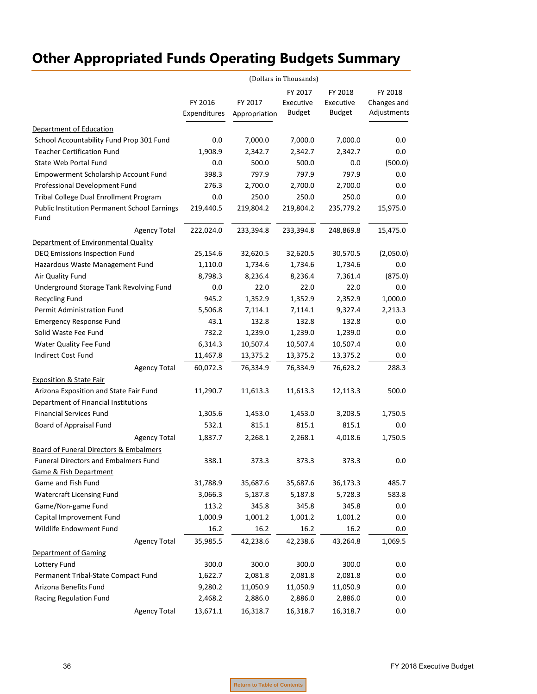|                                                             | (Dollars in Thousands) |                          |               |               |             |  |
|-------------------------------------------------------------|------------------------|--------------------------|---------------|---------------|-------------|--|
|                                                             |                        |                          | FY 2017       | FY 2018       | FY 2018     |  |
|                                                             | FY 2016                | FY 2017<br>Appropriation | Executive     | Executive     | Changes and |  |
|                                                             | Expenditures           |                          | <b>Budget</b> | <b>Budget</b> | Adjustments |  |
| Department of Education                                     |                        |                          |               |               |             |  |
| School Accountability Fund Prop 301 Fund                    | 0.0                    | 7,000.0                  | 7,000.0       | 7,000.0       | 0.0         |  |
| <b>Teacher Certification Fund</b>                           | 1,908.9                | 2,342.7                  | 2,342.7       | 2,342.7       | 0.0         |  |
| State Web Portal Fund                                       | 0.0                    | 500.0                    | 500.0         | 0.0           | (500.0)     |  |
| Empowerment Scholarship Account Fund                        | 398.3                  | 797.9                    | 797.9         | 797.9         | 0.0         |  |
| Professional Development Fund                               | 276.3                  | 2,700.0                  | 2,700.0       | 2,700.0       | $0.0\,$     |  |
| Tribal College Dual Enrollment Program                      | 0.0                    | 250.0                    | 250.0         | 250.0         | $0.0\,$     |  |
| <b>Public Institution Permanent School Earnings</b><br>Fund | 219,440.5              | 219,804.2                | 219,804.2     | 235,779.2     | 15,975.0    |  |
| <b>Agency Total</b>                                         | 222,024.0              | 233,394.8                | 233,394.8     | 248,869.8     | 15,475.0    |  |
| Department of Environmental Quality                         |                        |                          |               |               |             |  |
| DEQ Emissions Inspection Fund                               | 25,154.6               | 32,620.5                 | 32,620.5      | 30,570.5      | (2,050.0)   |  |
| Hazardous Waste Management Fund                             | 1,110.0                | 1,734.6                  | 1,734.6       | 1,734.6       | $0.0\,$     |  |
| Air Quality Fund                                            | 8,798.3                | 8,236.4                  | 8,236.4       | 7,361.4       | (875.0)     |  |
| Underground Storage Tank Revolving Fund                     | 0.0                    | 22.0                     | 22.0          | 22.0          | 0.0         |  |
| <b>Recycling Fund</b>                                       | 945.2                  | 1,352.9                  | 1,352.9       | 2,352.9       | 1,000.0     |  |
| Permit Administration Fund                                  | 5,506.8                | 7,114.1                  | 7,114.1       | 9,327.4       | 2,213.3     |  |
| <b>Emergency Response Fund</b>                              | 43.1                   | 132.8                    | 132.8         | 132.8         | 0.0         |  |
| Solid Waste Fee Fund                                        | 732.2                  | 1,239.0                  | 1,239.0       | 1,239.0       | 0.0         |  |
| Water Quality Fee Fund                                      | 6,314.3                | 10,507.4                 | 10,507.4      | 10,507.4      | 0.0         |  |
| Indirect Cost Fund                                          | 11,467.8               | 13,375.2                 | 13,375.2      | 13,375.2      | $0.0\,$     |  |
| <b>Agency Total</b>                                         | 60,072.3               | 76,334.9                 | 76,334.9      | 76,623.2      | 288.3       |  |
| <b>Exposition &amp; State Fair</b>                          |                        |                          |               |               |             |  |
| Arizona Exposition and State Fair Fund                      | 11,290.7               | 11,613.3                 | 11,613.3      | 12,113.3      | 500.0       |  |
| Department of Financial Institutions                        |                        |                          |               |               |             |  |
| <b>Financial Services Fund</b>                              | 1,305.6                | 1,453.0                  | 1,453.0       | 3,203.5       | 1,750.5     |  |
| Board of Appraisal Fund                                     | 532.1                  | 815.1                    | 815.1         | 815.1         | 0.0         |  |
| <b>Agency Total</b>                                         | 1,837.7                | 2,268.1                  | 2,268.1       | 4,018.6       | 1,750.5     |  |
| Board of Funeral Directors & Embalmers                      |                        |                          |               |               |             |  |
| <b>Funeral Directors and Embalmers Fund</b>                 | 338.1                  | 373.3                    | 373.3         | 373.3         | 0.0         |  |
| <b>Game &amp; Fish Department</b>                           |                        |                          |               |               |             |  |
| Game and Fish Fund                                          | 31,788.9               | 35,687.6                 | 35,687.6      | 36,173.3      | 485.7       |  |
| <b>Watercraft Licensing Fund</b>                            | 3,066.3                | 5,187.8                  | 5,187.8       | 5,728.3       | 583.8       |  |
| Game/Non-game Fund                                          | 113.2                  | 345.8                    | 345.8         | 345.8         | 0.0         |  |
| Capital Improvement Fund                                    | 1,000.9                | 1,001.2                  | 1,001.2       | 1,001.2       | 0.0         |  |
| Wildlife Endowment Fund                                     | 16.2                   | 16.2                     | 16.2          | 16.2          | $0.0\,$     |  |
| <b>Agency Total</b>                                         | 35,985.5               | 42,238.6                 | 42,238.6      | 43,264.8      | 1,069.5     |  |
| <b>Department of Gaming</b>                                 |                        |                          |               |               |             |  |
| Lottery Fund                                                | 300.0                  | 300.0                    | 300.0         | 300.0         | 0.0         |  |
| Permanent Tribal-State Compact Fund                         | 1,622.7                | 2,081.8                  | 2,081.8       | 2,081.8       | 0.0         |  |
| Arizona Benefits Fund                                       | 9,280.2                | 11,050.9                 | 11,050.9      | 11,050.9      | 0.0         |  |
| Racing Regulation Fund                                      | 2,468.2                | 2,886.0                  | 2,886.0       | 2,886.0       | $0.0\,$     |  |
| <b>Agency Total</b>                                         | 13,671.1               | 16,318.7                 | 16,318.7      | 16,318.7      | 0.0         |  |
|                                                             |                        |                          |               |               |             |  |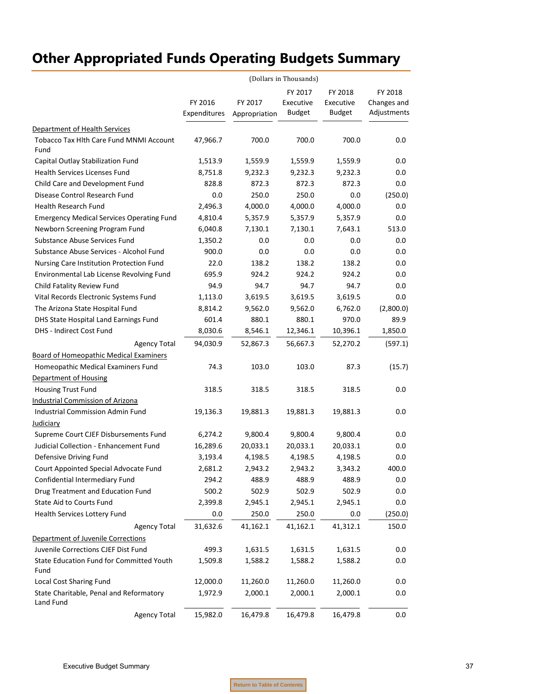|                                                        |                         | (Dollars in Thousands)   |                                       |                                       |                                       |
|--------------------------------------------------------|-------------------------|--------------------------|---------------------------------------|---------------------------------------|---------------------------------------|
|                                                        | FY 2016<br>Expenditures | FY 2017<br>Appropriation | FY 2017<br>Executive<br><b>Budget</b> | FY 2018<br>Executive<br><b>Budget</b> | FY 2018<br>Changes and<br>Adjustments |
| Department of Health Services                          |                         |                          |                                       |                                       |                                       |
| <b>Tobacco Tax Hith Care Fund MNMI Account</b><br>Fund | 47,966.7                | 700.0                    | 700.0                                 | 700.0                                 | 0.0                                   |
| Capital Outlay Stabilization Fund                      | 1,513.9                 | 1,559.9                  | 1,559.9                               | 1,559.9                               | 0.0                                   |
| <b>Health Services Licenses Fund</b>                   | 8,751.8                 | 9,232.3                  | 9,232.3                               | 9,232.3                               | 0.0                                   |
| Child Care and Development Fund                        | 828.8                   | 872.3                    | 872.3                                 | 872.3                                 | 0.0                                   |
| Disease Control Research Fund                          | 0.0                     | 250.0                    | 250.0                                 | 0.0                                   | (250.0)                               |
| Health Research Fund                                   | 2,496.3                 | 4,000.0                  | 4,000.0                               | 4,000.0                               | 0.0                                   |
| <b>Emergency Medical Services Operating Fund</b>       | 4,810.4                 | 5,357.9                  | 5,357.9                               | 5,357.9                               | 0.0                                   |
| Newborn Screening Program Fund                         | 6,040.8                 | 7,130.1                  | 7,130.1                               | 7,643.1                               | 513.0                                 |
| Substance Abuse Services Fund                          | 1,350.2                 | 0.0                      | 0.0                                   | 0.0                                   | 0.0                                   |
| Substance Abuse Services - Alcohol Fund                | 900.0                   | 0.0                      | 0.0                                   | 0.0                                   | 0.0                                   |
| Nursing Care Institution Protection Fund               | 22.0                    | 138.2                    | 138.2                                 | 138.2                                 | 0.0                                   |
| Environmental Lab License Revolving Fund               | 695.9                   | 924.2                    | 924.2                                 | 924.2                                 | 0.0                                   |
| Child Fatality Review Fund                             | 94.9                    | 94.7                     | 94.7                                  | 94.7                                  | 0.0                                   |
| Vital Records Electronic Systems Fund                  | 1,113.0                 | 3,619.5                  | 3,619.5                               | 3,619.5                               | 0.0                                   |
| The Arizona State Hospital Fund                        | 8,814.2                 | 9,562.0                  | 9,562.0                               | 6,762.0                               | (2,800.0)                             |
| DHS State Hospital Land Earnings Fund                  | 601.4                   | 880.1                    | 880.1                                 | 970.0                                 | 89.9                                  |
| <b>DHS - Indirect Cost Fund</b>                        | 8,030.6                 | 8,546.1                  | 12,346.1                              | 10,396.1                              | 1,850.0                               |
| <b>Agency Total</b>                                    | 94,030.9                | 52,867.3                 | 56,667.3                              | 52,270.2                              | (597.1)                               |
| <b>Board of Homeopathic Medical Examiners</b>          |                         |                          |                                       |                                       |                                       |
| Homeopathic Medical Examiners Fund                     | 74.3                    | 103.0                    | 103.0                                 | 87.3                                  | (15.7)                                |
| Department of Housing                                  |                         |                          |                                       |                                       |                                       |
| <b>Housing Trust Fund</b>                              | 318.5                   | 318.5                    | 318.5                                 | 318.5                                 | 0.0                                   |
| <b>Industrial Commission of Arizona</b>                |                         |                          |                                       |                                       |                                       |
| Industrial Commission Admin Fund                       | 19,136.3                | 19,881.3                 | 19,881.3                              | 19,881.3                              | 0.0                                   |
| Judiciary                                              |                         |                          |                                       |                                       |                                       |
| Supreme Court CJEF Disbursements Fund                  | 6,274.2                 | 9,800.4                  | 9,800.4                               | 9,800.4                               | 0.0                                   |
| Judicial Collection - Enhancement Fund                 | 16,289.6                | 20,033.1                 | 20,033.1                              | 20,033.1                              | 0.0                                   |
| Defensive Driving Fund                                 | 3,193.4                 | 4,198.5                  | 4,198.5                               | 4,198.5                               | 0.0                                   |
| Court Appointed Special Advocate Fund                  | 2,681.2                 | 2,943.2                  | 2,943.2                               | 3,343.2                               | 400.0                                 |
| Confidential Intermediary Fund                         | 294.2                   | 488.9                    | 488.9                                 | 488.9                                 | 0.0                                   |
| Drug Treatment and Education Fund                      | 500.2                   | 502.9                    | 502.9                                 | 502.9                                 | 0.0                                   |
| State Aid to Courts Fund                               | 2,399.8                 | 2,945.1                  | 2,945.1                               | 2,945.1                               | 0.0                                   |
| Health Services Lottery Fund                           | 0.0                     | 250.0                    | 250.0                                 | 0.0                                   | (250.0)                               |
| <b>Agency Total</b>                                    | 31,632.6                | 41,162.1                 | 41,162.1                              | 41,312.1                              | 150.0                                 |
| Department of Juvenile Corrections                     |                         |                          |                                       |                                       |                                       |
| Juvenile Corrections CJEF Dist Fund                    | 499.3                   | 1,631.5                  | 1,631.5                               | 1,631.5                               | 0.0                                   |
| State Education Fund for Committed Youth<br>Fund       | 1,509.8                 | 1,588.2                  | 1,588.2                               | 1,588.2                               | 0.0                                   |
| Local Cost Sharing Fund                                | 12,000.0                | 11,260.0                 | 11,260.0                              | 11,260.0                              | 0.0                                   |
| State Charitable, Penal and Reformatory<br>Land Fund   | 1,972.9                 | 2,000.1                  | 2,000.1                               | 2,000.1                               | $0.0\,$                               |
| <b>Agency Total</b>                                    | 15,982.0                | 16,479.8                 | 16,479.8                              | 16,479.8                              | 0.0                                   |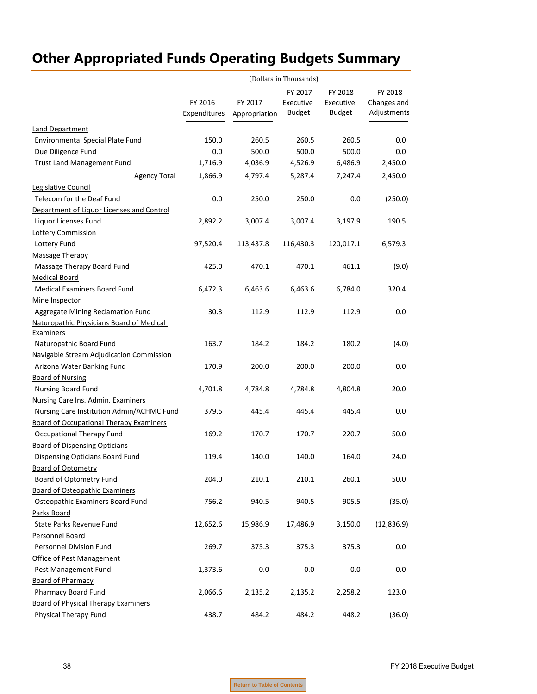|                                                | (Dollars in Thousands) |               |               |               |             |  |  |
|------------------------------------------------|------------------------|---------------|---------------|---------------|-------------|--|--|
|                                                |                        |               | FY 2017       | FY 2018       | FY 2018     |  |  |
|                                                | FY 2016                | FY 2017       | Executive     | Executive     | Changes and |  |  |
|                                                | Expenditures           | Appropriation | <b>Budget</b> | <b>Budget</b> | Adjustments |  |  |
| <b>Land Department</b>                         |                        |               |               |               |             |  |  |
| Environmental Special Plate Fund               | 150.0                  | 260.5         | 260.5         | 260.5         | 0.0         |  |  |
| Due Diligence Fund                             | 0.0                    | 500.0         | 500.0         | 500.0         | 0.0         |  |  |
| <b>Trust Land Management Fund</b>              | 1,716.9                | 4,036.9       | 4,526.9       | 6,486.9       | 2,450.0     |  |  |
| <b>Agency Total</b>                            | 1,866.9                | 4,797.4       | 5,287.4       | 7,247.4       | 2,450.0     |  |  |
| Legislative Council                            |                        |               |               |               |             |  |  |
| Telecom for the Deaf Fund                      | 0.0                    | 250.0         | 250.0         | 0.0           | (250.0)     |  |  |
| Department of Liquor Licenses and Control      |                        |               |               |               |             |  |  |
| Liquor Licenses Fund                           | 2,892.2                | 3,007.4       | 3,007.4       | 3,197.9       | 190.5       |  |  |
| <b>Lottery Commission</b>                      |                        |               |               |               |             |  |  |
| Lottery Fund                                   | 97,520.4               | 113,437.8     | 116,430.3     | 120,017.1     | 6,579.3     |  |  |
| <b>Massage Therapy</b>                         |                        |               |               |               |             |  |  |
| Massage Therapy Board Fund                     | 425.0                  | 470.1         | 470.1         | 461.1         | (9.0)       |  |  |
| <b>Medical Board</b>                           |                        |               |               |               |             |  |  |
| <b>Medical Examiners Board Fund</b>            | 6,472.3                | 6,463.6       | 6,463.6       | 6,784.0       | 320.4       |  |  |
| Mine Inspector                                 |                        |               |               |               |             |  |  |
| Aggregate Mining Reclamation Fund              | 30.3                   | 112.9         | 112.9         | 112.9         | 0.0         |  |  |
| Naturopathic Physicians Board of Medical       |                        |               |               |               |             |  |  |
| <b>Examiners</b>                               |                        |               |               |               |             |  |  |
| Naturopathic Board Fund                        | 163.7                  | 184.2         | 184.2         | 180.2         | (4.0)       |  |  |
| Navigable Stream Adjudication Commission       |                        |               |               |               |             |  |  |
| Arizona Water Banking Fund                     | 170.9                  | 200.0         | 200.0         | 200.0         | 0.0         |  |  |
| <b>Board of Nursing</b>                        |                        |               |               |               |             |  |  |
| Nursing Board Fund                             | 4,701.8                | 4,784.8       | 4,784.8       | 4,804.8       | 20.0        |  |  |
| Nursing Care Ins. Admin. Examiners             |                        |               |               |               |             |  |  |
| Nursing Care Institution Admin/ACHMC Fund      | 379.5                  | 445.4         | 445.4         | 445.4         | 0.0         |  |  |
| <b>Board of Occupational Therapy Examiners</b> |                        |               |               |               |             |  |  |
| Occupational Therapy Fund                      | 169.2                  | 170.7         | 170.7         | 220.7         | 50.0        |  |  |
| <b>Board of Dispensing Opticians</b>           |                        |               |               |               |             |  |  |
| Dispensing Opticians Board Fund                | 119.4                  | 140.0         | 140.0         | 164.0         | 24.0        |  |  |
| <b>Board of Optometry</b>                      |                        |               |               |               |             |  |  |
| Board of Optometry Fund                        | 204.0                  | 210.1         | 210.1         | 260.1         | 50.0        |  |  |
| <b>Board of Osteopathic Examiners</b>          |                        |               |               |               |             |  |  |
| Osteopathic Examiners Board Fund               | 756.2                  | 940.5         | 940.5         | 905.5         | (35.0)      |  |  |
| Parks Board                                    |                        |               |               |               |             |  |  |
| State Parks Revenue Fund                       | 12,652.6               | 15,986.9      | 17,486.9      | 3,150.0       | (12, 836.9) |  |  |
| Personnel Board                                |                        |               |               |               |             |  |  |
| Personnel Division Fund                        | 269.7                  | 375.3         | 375.3         | 375.3         | 0.0         |  |  |
| Office of Pest Management                      |                        |               |               |               |             |  |  |
| Pest Management Fund                           | 1,373.6                | 0.0           | 0.0           | 0.0           | 0.0         |  |  |
| <b>Board of Pharmacy</b>                       |                        |               |               |               |             |  |  |
| Pharmacy Board Fund                            | 2,066.6                | 2,135.2       | 2,135.2       | 2,258.2       | 123.0       |  |  |
| <b>Board of Physical Therapy Examiners</b>     |                        |               |               |               |             |  |  |
| Physical Therapy Fund                          | 438.7                  | 484.2         | 484.2         | 448.2         | (36.0)      |  |  |

**Return to Table of Contents**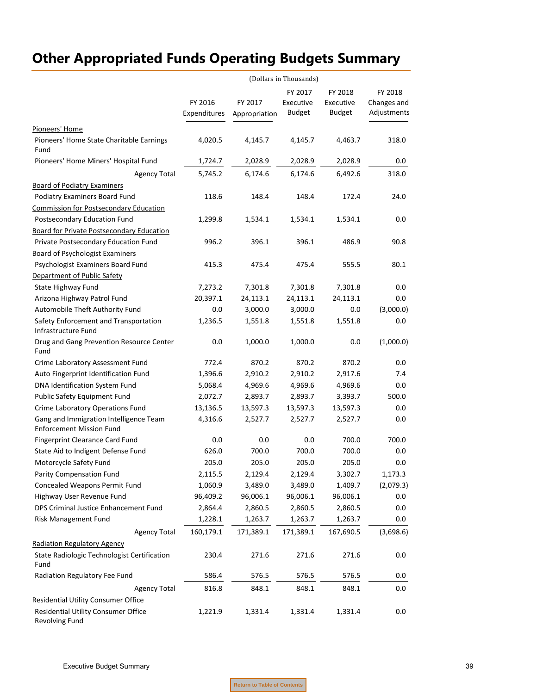|                                                                           | (Dollars in Thousands)  |                          |                            |                            |                            |  |
|---------------------------------------------------------------------------|-------------------------|--------------------------|----------------------------|----------------------------|----------------------------|--|
|                                                                           |                         |                          | FY 2017                    | FY 2018                    | FY 2018                    |  |
|                                                                           | FY 2016<br>Expenditures | FY 2017<br>Appropriation | Executive<br><b>Budget</b> | Executive<br><b>Budget</b> | Changes and<br>Adjustments |  |
| Pioneers' Home                                                            |                         |                          |                            |                            |                            |  |
| Pioneers' Home State Charitable Earnings<br>Fund                          | 4,020.5                 | 4,145.7                  | 4,145.7                    | 4,463.7                    | 318.0                      |  |
| Pioneers' Home Miners' Hospital Fund                                      | 1,724.7                 | 2,028.9                  | 2,028.9                    | 2,028.9                    | 0.0                        |  |
| <b>Agency Total</b>                                                       | 5,745.2                 | 6,174.6                  | 6,174.6                    | 6,492.6                    | 318.0                      |  |
| <b>Board of Podiatry Examiners</b>                                        |                         |                          |                            |                            |                            |  |
| Podiatry Examiners Board Fund                                             | 118.6                   | 148.4                    | 148.4                      | 172.4                      | 24.0                       |  |
| <b>Commission for Postsecondary Education</b>                             |                         |                          |                            |                            |                            |  |
| Postsecondary Education Fund                                              | 1,299.8                 | 1,534.1                  | 1,534.1                    | 1,534.1                    | 0.0                        |  |
| <b>Board for Private Postsecondary Education</b>                          |                         |                          |                            |                            |                            |  |
| Private Postsecondary Education Fund                                      | 996.2                   | 396.1                    | 396.1                      | 486.9                      | 90.8                       |  |
| <b>Board of Psychologist Examiners</b>                                    |                         |                          |                            |                            |                            |  |
| Psychologist Examiners Board Fund                                         | 415.3                   | 475.4                    | 475.4                      | 555.5                      | 80.1                       |  |
| Department of Public Safety                                               |                         |                          |                            |                            |                            |  |
| State Highway Fund                                                        | 7,273.2                 | 7,301.8                  | 7,301.8                    | 7,301.8                    | 0.0                        |  |
| Arizona Highway Patrol Fund                                               | 20,397.1                | 24,113.1                 | 24,113.1                   | 24,113.1                   | $0.0\,$                    |  |
| Automobile Theft Authority Fund                                           | 0.0                     | 3,000.0                  | 3,000.0                    | 0.0                        | (3,000.0)                  |  |
| Safety Enforcement and Transportation<br>Infrastructure Fund              | 1,236.5                 | 1,551.8                  | 1,551.8                    | 1,551.8                    | 0.0                        |  |
| Drug and Gang Prevention Resource Center<br>Fund                          | 0.0                     | 1,000.0                  | 1,000.0                    | 0.0                        | (1,000.0)                  |  |
| Crime Laboratory Assessment Fund                                          | 772.4                   | 870.2                    | 870.2                      | 870.2                      | 0.0                        |  |
| Auto Fingerprint Identification Fund                                      | 1,396.6                 | 2,910.2                  | 2,910.2                    | 2,917.6                    | 7.4                        |  |
| DNA Identification System Fund                                            | 5,068.4                 | 4,969.6                  | 4,969.6                    | 4,969.6                    | 0.0                        |  |
| Public Safety Equipment Fund                                              | 2,072.7                 | 2,893.7                  | 2,893.7                    | 3,393.7                    | 500.0                      |  |
| Crime Laboratory Operations Fund                                          | 13,136.5                | 13,597.3                 | 13,597.3                   | 13,597.3                   | 0.0                        |  |
| Gang and Immigration Intelligence Team<br><b>Enforcement Mission Fund</b> | 4,316.6                 | 2,527.7                  | 2,527.7                    | 2,527.7                    | 0.0                        |  |
| Fingerprint Clearance Card Fund                                           | 0.0                     | 0.0                      | 0.0                        | 700.0                      | 700.0                      |  |
| State Aid to Indigent Defense Fund                                        | 626.0                   | 700.0                    | 700.0                      | 700.0                      | $0.0\,$                    |  |
| Motorcycle Safety Fund                                                    | 205.0                   | 205.0                    | 205.0                      | 205.0                      | 0.0                        |  |
| Parity Compensation Fund                                                  | 2,115.5                 | 2,129.4                  | 2,129.4                    | 3,302.7                    | 1,173.3                    |  |
| Concealed Weapons Permit Fund                                             | 1,060.9                 | 3,489.0                  | 3,489.0                    | 1,409.7                    | (2,079.3)                  |  |
| Highway User Revenue Fund                                                 | 96,409.2                | 96,006.1                 | 96,006.1                   | 96,006.1                   | 0.0                        |  |
| DPS Criminal Justice Enhancement Fund                                     | 2,864.4                 | 2,860.5                  | 2,860.5                    | 2,860.5                    | 0.0                        |  |
| Risk Management Fund                                                      | 1,228.1                 | 1,263.7                  | 1,263.7                    | 1,263.7                    | $0.0\,$                    |  |
| <b>Agency Total</b>                                                       | 160,179.1               | 171,389.1                | 171,389.1                  | 167,690.5                  | (3,698.6)                  |  |
| <b>Radiation Regulatory Agency</b>                                        |                         |                          |                            |                            |                            |  |
| State Radiologic Technologist Certification<br>Fund                       | 230.4                   | 271.6                    | 271.6                      | 271.6                      | 0.0                        |  |
| Radiation Regulatory Fee Fund                                             | 586.4                   | 576.5                    | 576.5                      | 576.5                      | $0.0\,$                    |  |
| <b>Agency Total</b>                                                       | 816.8                   | 848.1                    | 848.1                      | 848.1                      | 0.0                        |  |
| <b>Residential Utility Consumer Office</b>                                |                         |                          |                            |                            |                            |  |
| Residential Utility Consumer Office<br>Revolving Fund                     | 1,221.9                 | 1,331.4                  | 1,331.4                    | 1,331.4                    | 0.0                        |  |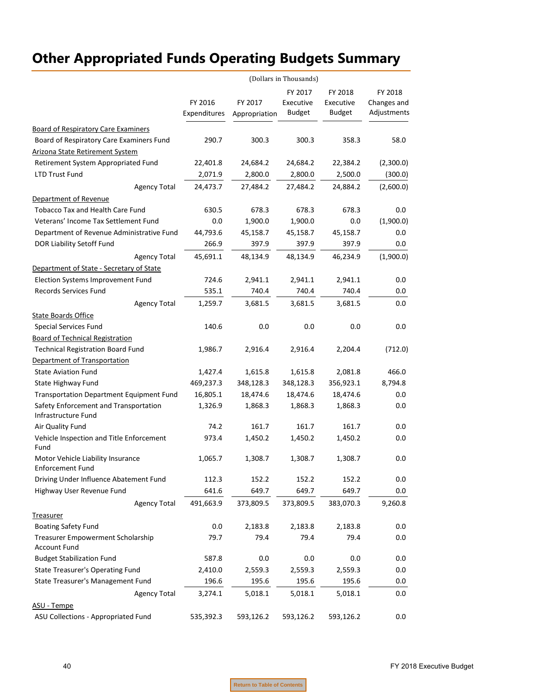|                                                                 | (Dollars in Thousands)  |                          |                                       |                                       |                                       |
|-----------------------------------------------------------------|-------------------------|--------------------------|---------------------------------------|---------------------------------------|---------------------------------------|
|                                                                 | FY 2016<br>Expenditures | FY 2017<br>Appropriation | FY 2017<br>Executive<br><b>Budget</b> | FY 2018<br>Executive<br><b>Budget</b> | FY 2018<br>Changes and<br>Adjustments |
| <b>Board of Respiratory Care Examiners</b>                      |                         |                          |                                       |                                       |                                       |
| Board of Respiratory Care Examiners Fund                        | 290.7                   | 300.3                    | 300.3                                 | 358.3                                 | 58.0                                  |
| <b>Arizona State Retirement System</b>                          |                         |                          |                                       |                                       |                                       |
| Retirement System Appropriated Fund                             | 22,401.8                | 24,684.2                 | 24,684.2                              | 22,384.2                              | (2,300.0)                             |
| <b>LTD Trust Fund</b>                                           | 2,071.9                 | 2,800.0                  | 2,800.0                               | 2,500.0                               | (300.0)                               |
| <b>Agency Total</b>                                             | 24,473.7                | 27,484.2                 | 27,484.2                              | 24,884.2                              | (2,600.0)                             |
| Department of Revenue                                           |                         |                          |                                       |                                       |                                       |
| <b>Tobacco Tax and Health Care Fund</b>                         | 630.5                   | 678.3                    | 678.3                                 | 678.3                                 | 0.0                                   |
| Veterans' Income Tax Settlement Fund                            | 0.0                     | 1,900.0                  | 1,900.0                               | 0.0                                   | (1,900.0)                             |
| Department of Revenue Administrative Fund                       | 44,793.6                | 45,158.7                 | 45,158.7                              | 45,158.7                              | 0.0                                   |
| DOR Liability Setoff Fund                                       | 266.9                   | 397.9                    | 397.9                                 | 397.9                                 | 0.0                                   |
| <b>Agency Total</b>                                             | 45,691.1                | 48,134.9                 | 48,134.9                              | 46,234.9                              | (1,900.0)                             |
| Department of State - Secretary of State                        |                         |                          |                                       |                                       |                                       |
| Election Systems Improvement Fund                               | 724.6                   | 2,941.1                  | 2,941.1                               | 2,941.1                               | 0.0                                   |
| Records Services Fund                                           | 535.1                   | 740.4                    | 740.4                                 | 740.4                                 | 0.0                                   |
| <b>Agency Total</b>                                             | 1,259.7                 | 3,681.5                  | 3,681.5                               | 3,681.5                               | 0.0                                   |
| <b>State Boards Office</b>                                      |                         |                          |                                       |                                       |                                       |
| <b>Special Services Fund</b>                                    | 140.6                   | 0.0                      | 0.0                                   | 0.0                                   | 0.0                                   |
| <b>Board of Technical Registration</b>                          |                         |                          |                                       |                                       |                                       |
| <b>Technical Registration Board Fund</b>                        | 1,986.7                 | 2,916.4                  | 2,916.4                               | 2,204.4                               | (712.0)                               |
| Department of Transportation                                    |                         |                          |                                       |                                       |                                       |
| <b>State Aviation Fund</b>                                      | 1,427.4                 | 1,615.8                  | 1,615.8                               | 2,081.8                               | 466.0                                 |
| State Highway Fund                                              | 469,237.3               | 348,128.3                | 348,128.3                             | 356,923.1                             | 8,794.8                               |
| Transportation Department Equipment Fund                        | 16,805.1                | 18,474.6                 | 18,474.6                              | 18,474.6                              | 0.0                                   |
| Safety Enforcement and Transportation<br>Infrastructure Fund    | 1,326.9                 | 1,868.3                  | 1,868.3                               | 1,868.3                               | 0.0                                   |
| Air Quality Fund                                                | 74.2                    | 161.7                    | 161.7                                 | 161.7                                 | 0.0                                   |
| Vehicle Inspection and Title Enforcement<br>Fund                | 973.4                   | 1,450.2                  | 1,450.2                               | 1,450.2                               | 0.0                                   |
| Motor Vehicle Liability Insurance<br>Enforcement Fund           | 1,065.7                 | 1,308.7                  | 1,308.7                               | 1,308.7                               | 0.0                                   |
| Driving Under Influence Abatement Fund                          | 112.3                   | 152.2                    | 152.2                                 | 152.2                                 | 0.0                                   |
| Highway User Revenue Fund                                       | 641.6                   | 649.7                    | 649.7                                 | 649.7                                 | 0.0                                   |
| <b>Agency Total</b>                                             | 491,663.9               | 373,809.5                | 373,809.5                             | 383,070.3                             | 9,260.8                               |
| <b>Treasurer</b>                                                |                         |                          |                                       |                                       |                                       |
| <b>Boating Safety Fund</b>                                      | 0.0                     | 2,183.8                  | 2,183.8                               | 2,183.8                               | 0.0                                   |
| <b>Treasurer Empowerment Scholarship</b><br><b>Account Fund</b> | 79.7                    | 79.4                     | 79.4                                  | 79.4                                  | 0.0                                   |
| <b>Budget Stabilization Fund</b>                                | 587.8                   | 0.0                      | 0.0                                   | 0.0                                   | 0.0                                   |
| <b>State Treasurer's Operating Fund</b>                         | 2,410.0                 | 2,559.3                  | 2,559.3                               | 2,559.3                               | 0.0                                   |
| State Treasurer's Management Fund                               | 196.6                   | 195.6                    | 195.6                                 | 195.6                                 | $0.0\,$                               |
| <b>Agency Total</b>                                             | 3,274.1                 | 5,018.1                  | 5,018.1                               | 5,018.1                               | 0.0                                   |
| ASU - Tempe                                                     |                         |                          |                                       |                                       |                                       |
| ASU Collections - Appropriated Fund                             | 535,392.3               | 593,126.2                | 593,126.2                             | 593,126.2                             | 0.0                                   |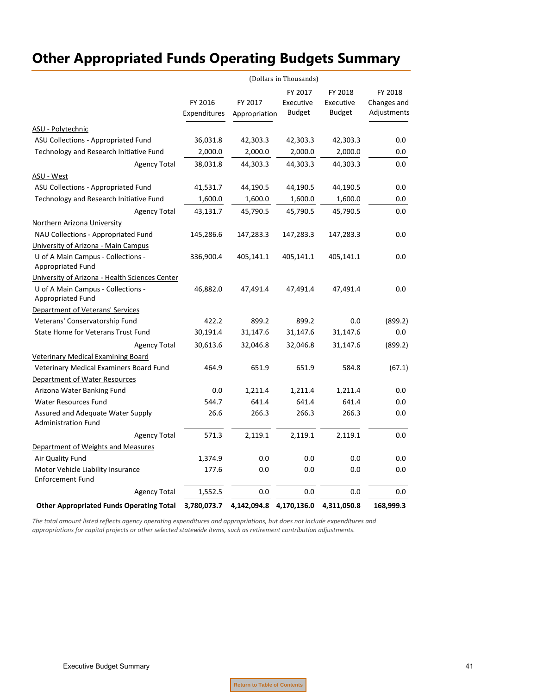|                                                                                                           | (Dollars in Thousands)  |                          |                                       |                                       |                                       |
|-----------------------------------------------------------------------------------------------------------|-------------------------|--------------------------|---------------------------------------|---------------------------------------|---------------------------------------|
|                                                                                                           | FY 2016<br>Expenditures | FY 2017<br>Appropriation | FY 2017<br>Executive<br><b>Budget</b> | FY 2018<br>Executive<br><b>Budget</b> | FY 2018<br>Changes and<br>Adjustments |
| ASU - Polytechnic                                                                                         |                         |                          |                                       |                                       |                                       |
| ASU Collections - Appropriated Fund                                                                       | 36,031.8                | 42,303.3                 | 42,303.3                              | 42,303.3                              | 0.0                                   |
| Technology and Research Initiative Fund                                                                   | 2,000.0                 | 2,000.0                  | 2,000.0                               | 2,000.0                               | 0.0                                   |
| <b>Agency Total</b>                                                                                       | 38,031.8                | 44,303.3                 | 44,303.3                              | 44,303.3                              | 0.0                                   |
| ASU - West                                                                                                |                         |                          |                                       |                                       |                                       |
| ASU Collections - Appropriated Fund                                                                       | 41,531.7                | 44,190.5                 | 44,190.5                              | 44,190.5                              | 0.0                                   |
| Technology and Research Initiative Fund                                                                   | 1,600.0                 | 1,600.0                  | 1,600.0                               | 1,600.0                               | 0.0                                   |
| <b>Agency Total</b>                                                                                       | 43,131.7                | 45,790.5                 | 45,790.5                              | 45,790.5                              | 0.0                                   |
| Northern Arizona University                                                                               |                         |                          |                                       |                                       |                                       |
| NAU Collections - Appropriated Fund                                                                       | 145,286.6               | 147,283.3                | 147,283.3                             | 147,283.3                             | 0.0                                   |
| University of Arizona - Main Campus<br>U of A Main Campus - Collections -<br>Appropriated Fund            | 336,900.4               | 405,141.1                | 405,141.1                             | 405,141.1                             | 0.0                                   |
| University of Arizona - Health Sciences Center<br>U of A Main Campus - Collections -<br>Appropriated Fund | 46,882.0                | 47,491.4                 | 47,491.4                              | 47,491.4                              | 0.0                                   |
| Department of Veterans' Services                                                                          |                         |                          |                                       |                                       |                                       |
| Veterans' Conservatorship Fund                                                                            | 422.2                   | 899.2                    | 899.2                                 | 0.0                                   | (899.2)                               |
| State Home for Veterans Trust Fund                                                                        | 30,191.4                | 31,147.6                 | 31,147.6                              | 31,147.6                              | $0.0\,$                               |
| <b>Agency Total</b>                                                                                       | 30,613.6                | 32,046.8                 | 32,046.8                              | 31,147.6                              | (899.2)                               |
| <b>Veterinary Medical Examining Board</b><br>Veterinary Medical Examiners Board Fund                      | 464.9                   | 651.9                    | 651.9                                 | 584.8                                 | (67.1)                                |
| Department of Water Resources                                                                             |                         |                          |                                       |                                       |                                       |
| Arizona Water Banking Fund<br><b>Water Resources Fund</b>                                                 | 0.0<br>544.7            | 1,211.4<br>641.4         | 1,211.4<br>641.4                      | 1,211.4<br>641.4                      | 0.0                                   |
| Assured and Adequate Water Supply<br><b>Administration Fund</b>                                           | 26.6                    | 266.3                    | 266.3                                 | 266.3                                 | 0.0<br>0.0                            |
| <b>Agency Total</b>                                                                                       | 571.3                   | 2,119.1                  | 2,119.1                               | 2,119.1                               | 0.0                                   |
| Department of Weights and Measures                                                                        |                         |                          |                                       |                                       |                                       |
| Air Quality Fund                                                                                          | 1,374.9                 | 0.0                      | 0.0                                   | 0.0                                   | 0.0                                   |
| Motor Vehicle Liability Insurance<br><b>Enforcement Fund</b>                                              | 177.6                   | 0.0                      | 0.0                                   | 0.0                                   | 0.0                                   |
| <b>Agency Total</b>                                                                                       | 1,552.5                 | 0.0                      | 0.0                                   | 0.0                                   | 0.0                                   |
| <b>Other Appropriated Funds Operating Total</b>                                                           | 3,780,073.7             | 4,142,094.8              | 4,170,136.0                           | 4,311,050.8                           | 168,999.3                             |

The total amount listed reflects agency operating expenditures and appropriations, but does not include expenditures and *appropriations for capital projects or other selected statewide items, such as retirement contribution adjustments.*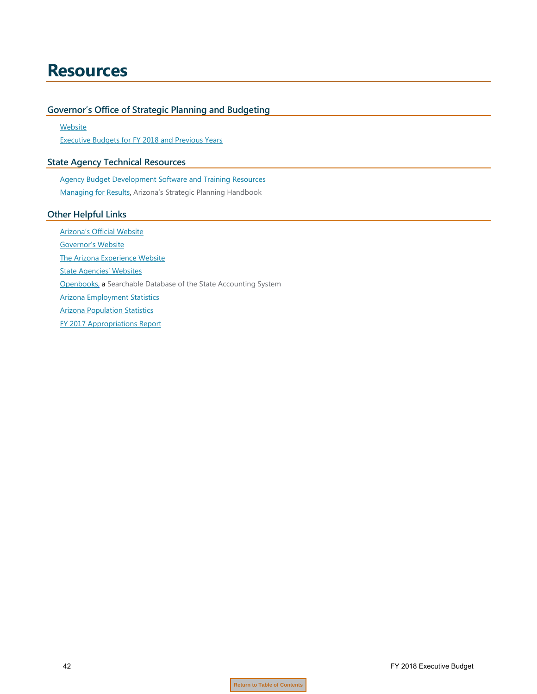## <span id="page-43-0"></span>**Resources**

#### **Governor's Office of Strategic Planning and Budgeting**

**[Website](http://www.azospb.gov/)** Executive [Budgets for FY 2018 and Previous Years](http://azospb.gov/publications2014newweb.aspx)

### **State Agency Technical Resources**

[Agency Budget Development Software and Training Resources](http://azospb.gov/budget-development.aspx)

[Managing for Results,](http://azospb.gov/documents/pdf/Handbook_ManagingResults_FY2012.pdf) Arizona's Strategic Planning Handbook

#### **Other Helpful Links**

[Arizona's Official Website](http://az.gov/) [Governor's Website](http://azgovernor.gov/index.asp) [The Arizona Experience Website](http://arizonaexperience.org/) [State Agencies' Websites](https://azdirect.az.gov/agencies) [Openbooks,](http://openbooks.az.gov/app/transparency/index.html) a Searchable Database of the State Accounting System [Arizona Employment](https://laborstats.az.gov/) Statistics [Arizona Population Statistics](https://population.az.gov/) [FY 2017 Appropriations Report](http://www.azleg.gov/jlbc/17AR/FY2017AppropRpt.pdf)